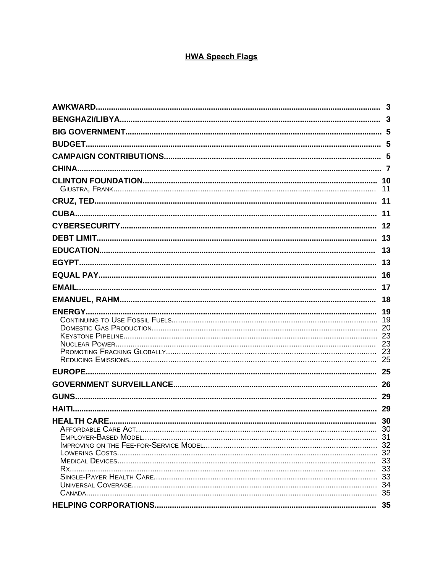# **HWA Speech Flags**

| 3  |
|----|
|    |
|    |
|    |
|    |
|    |
|    |
|    |
|    |
|    |
|    |
|    |
|    |
|    |
|    |
|    |
|    |
|    |
|    |
|    |
|    |
| 30 |
|    |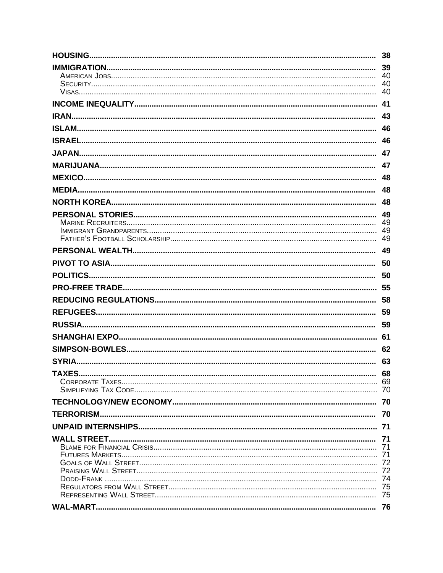|              | 38  |
|--------------|-----|
|              | 39  |
|              | -40 |
|              |     |
|              |     |
|              |     |
|              |     |
|              |     |
|              |     |
|              | 47  |
|              |     |
|              |     |
|              | 48  |
|              | 49  |
|              |     |
|              |     |
|              | 49  |
|              | 50  |
|              | 50  |
|              |     |
|              |     |
|              | 59  |
|              |     |
|              | 61  |
|              | 62  |
|              | 63  |
| <b>TAXES</b> | 68  |
|              |     |
|              |     |
|              |     |
|              |     |
|              |     |
|              |     |
|              |     |
|              |     |
|              |     |
|              |     |
|              |     |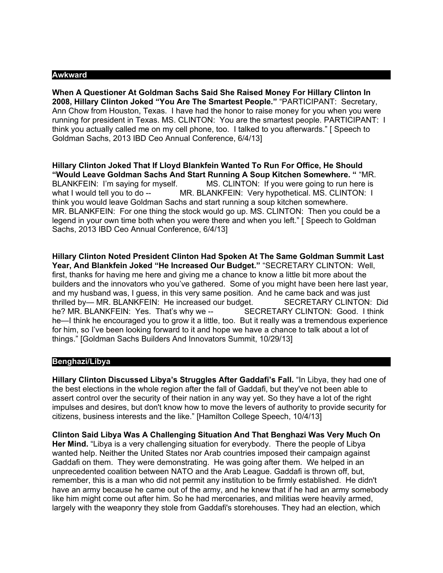#### **Awkward**

**When A Questioner At Goldman Sachs Said She Raised Money For Hillary Clinton In 2008, Hillary Clinton Joked "You Are The Smartest People."** "PARTICIPANT: Secretary, Ann Chow from Houston, Texas. I have had the honor to raise money for you when you were running for president in Texas. MS. CLINTON: You are the smartest people. PARTICIPANT: I think you actually called me on my cell phone, too. I talked to you afterwards." [ Speech to Goldman Sachs, 2013 IBD Ceo Annual Conference, 6/4/13]

**Hillary Clinton Joked That If Lloyd Blankfein Wanted To Run For Office, He Should "Would Leave Goldman Sachs And Start Running A Soup Kitchen Somewhere. "** "MR. BLANKFEIN: I'm saying for myself. MS. CLINTON: If you were going to run here is what I would tell you to do -- MR. BLANKFEIN: Very hypothetical. MS. CLINTON: I think you would leave Goldman Sachs and start running a soup kitchen somewhere. MR. BLANKFEIN: For one thing the stock would go up. MS. CLINTON: Then you could be a legend in your own time both when you were there and when you left." [ Speech to Goldman Sachs, 2013 IBD Ceo Annual Conference, 6/4/13]

**Hillary Clinton Noted President Clinton Had Spoken At The Same Goldman Summit Last Year, And Blankfein Joked "He Increased Our Budget."** "SECRETARY CLINTON: Well, first, thanks for having me here and giving me a chance to know a little bit more about the builders and the innovators who you've gathered. Some of you might have been here last year, and my husband was, I guess, in this very same position. And he came back and was just thrilled by— MR. BLANKFEIN: He increased our budget. SECRETARY CLINTON: Did he? MR. BLANKFEIN: Yes. That's why we -- SECRETARY CLINTON: Good. I think he—I think he encouraged you to grow it a little, too. But it really was a tremendous experience for him, so I've been looking forward to it and hope we have a chance to talk about a lot of things." [Goldman Sachs Builders And Innovators Summit, 10/29/13]

#### **Benghazi/Libya**

**Hillary Clinton Discussed Libya's Struggles After Gaddafi's Fall.** "In Libya, they had one of the best elections in the whole region after the fall of Gaddafi, but they've not been able to assert control over the security of their nation in any way yet. So they have a lot of the right impulses and desires, but don't know how to move the levers of authority to provide security for citizens, business interests and the like." [Hamilton College Speech, 10/4/13]

**Clinton Said Libya Was A Challenging Situation And That Benghazi Was Very Much On Her Mind.** "Libya is a very challenging situation for everybody. There the people of Libya wanted help. Neither the United States nor Arab countries imposed their campaign against Gaddafi on them. They were demonstrating. He was going after them. We helped in an unprecedented coalition between NATO and the Arab League. Gaddafi is thrown off, but, remember, this is a man who did not permit any institution to be firmly established. He didn't have an army because he came out of the army, and he knew that if he had an army somebody like him might come out after him. So he had mercenaries, and militias were heavily armed, largely with the weaponry they stole from Gaddafi's storehouses. They had an election, which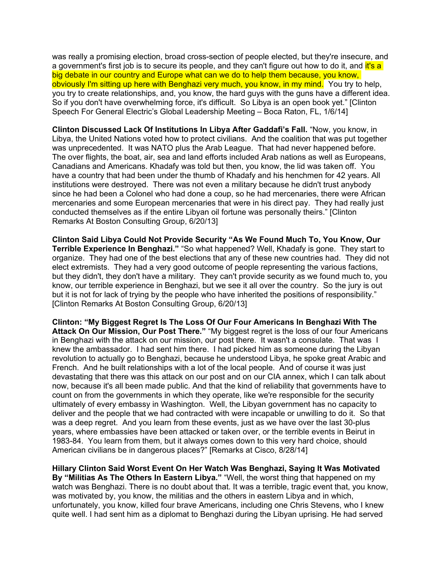was really a promising election, broad cross-section of people elected, but they're insecure, and a government's first job is to secure its people, and they can't figure out how to do it, and it's a big debate in our country and Europe what can we do to help them because, you know, obviously I'm sitting up here with Benghazi very much, you know, in my mind. You try to help, you try to create relationships, and, you know, the hard guys with the guns have a different idea. So if you don't have overwhelming force, it's difficult. So Libya is an open book yet." [Clinton Speech For General Electric's Global Leadership Meeting – Boca Raton, FL, 1/6/14]

**Clinton Discussed Lack Of Institutions In Libya After Gaddafi's Fall.** "Now, you know, in Libya, the United Nations voted how to protect civilians. And the coalition that was put together was unprecedented. It was NATO plus the Arab League. That had never happened before. The over flights, the boat, air, sea and land efforts included Arab nations as well as Europeans, Canadians and Americans. Khadafy was told but then, you know, the lid was taken off. You have a country that had been under the thumb of Khadafy and his henchmen for 42 years. All institutions were destroyed. There was not even a military because he didn't trust anybody since he had been a Colonel who had done a coup, so he had mercenaries, there were African mercenaries and some European mercenaries that were in his direct pay. They had really just conducted themselves as if the entire Libyan oil fortune was personally theirs." [Clinton Remarks At Boston Consulting Group, 6/20/13]

**Clinton Said Libya Could Not Provide Security "As We Found Much To, You Know, Our Terrible Experience In Benghazi."** "So what happened? Well, Khadafy is gone. They start to organize. They had one of the best elections that any of these new countries had. They did not elect extremists. They had a very good outcome of people representing the various factions, but they didn't, they don't have a military. They can't provide security as we found much to, you know, our terrible experience in Benghazi, but we see it all over the country. So the jury is out but it is not for lack of trying by the people who have inherited the positions of responsibility." [Clinton Remarks At Boston Consulting Group, 6/20/13]

**Clinton: "My Biggest Regret Is The Loss Of Our Four Americans In Benghazi With The Attack On Our Mission, Our Post There."** "My biggest regret is the loss of our four Americans in Benghazi with the attack on our mission, our post there. It wasn't a consulate. That was I knew the ambassador. I had sent him there. I had picked him as someone during the Libyan revolution to actually go to Benghazi, because he understood Libya, he spoke great Arabic and French. And he built relationships with a lot of the local people. And of course it was just devastating that there was this attack on our post and on our CIA annex, which I can talk about now, because it's all been made public. And that the kind of reliability that governments have to count on from the governments in which they operate, like we're responsible for the security ultimately of every embassy in Washington. Well, the Libyan government has no capacity to deliver and the people that we had contracted with were incapable or unwilling to do it. So that was a deep regret. And you learn from these events, just as we have over the last 30-plus years, where embassies have been attacked or taken over, or the terrible events in Beirut in 1983-84. You learn from them, but it always comes down to this very hard choice, should American civilians be in dangerous places?" [Remarks at Cisco, 8/28/14]

**Hillary Clinton Said Worst Event On Her Watch Was Benghazi, Saying It Was Motivated By "Militias As The Others In Eastern Libya."** "Well, the worst thing that happened on my watch was Benghazi. There is no doubt about that. It was a terrible, tragic event that, you know, was motivated by, you know, the militias and the others in eastern Libya and in which, unfortunately, you know, killed four brave Americans, including one Chris Stevens, who I knew quite well. I had sent him as a diplomat to Benghazi during the Libyan uprising. He had served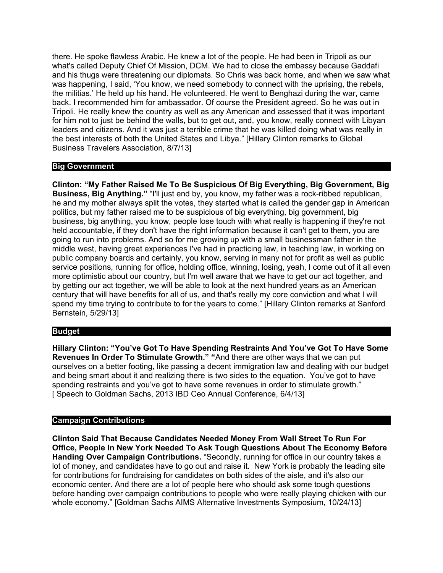there. He spoke flawless Arabic. He knew a lot of the people. He had been in Tripoli as our what's called Deputy Chief Of Mission, DCM. We had to close the embassy because Gaddafi and his thugs were threatening our diplomats. So Chris was back home, and when we saw what was happening, I said, 'You know, we need somebody to connect with the uprising, the rebels, the militias.' He held up his hand. He volunteered. He went to Benghazi during the war, came back. I recommended him for ambassador. Of course the President agreed. So he was out in Tripoli. He really knew the country as well as any American and assessed that it was important for him not to just be behind the walls, but to get out, and, you know, really connect with Libyan leaders and citizens. And it was just a terrible crime that he was killed doing what was really in the best interests of both the United States and Libya." [Hillary Clinton remarks to Global Business Travelers Association, 8/7/13]

### **Big Government**

**Clinton: "My Father Raised Me To Be Suspicious Of Big Everything, Big Government, Big Business, Big Anything."** "I'll just end by, you know, my father was a rock-ribbed republican, he and my mother always split the votes, they started what is called the gender gap in American politics, but my father raised me to be suspicious of big everything, big government, big business, big anything, you know, people lose touch with what really is happening if they're not held accountable, if they don't have the right information because it can't get to them, you are going to run into problems. And so for me growing up with a small businessman father in the middle west, having great experiences I've had in practicing law, in teaching law, in working on public company boards and certainly, you know, serving in many not for profit as well as public service positions, running for office, holding office, winning, losing, yeah, I come out of it all even more optimistic about our country, but I'm well aware that we have to get our act together, and by getting our act together, we will be able to look at the next hundred years as an American century that will have benefits for all of us, and that's really my core conviction and what I will spend my time trying to contribute to for the years to come." [Hillary Clinton remarks at Sanford Bernstein, 5/29/13]

### **Budget**

**Hillary Clinton: "You've Got To Have Spending Restraints And You've Got To Have Some Revenues In Order To Stimulate Growth." "**And there are other ways that we can put ourselves on a better footing, like passing a decent immigration law and dealing with our budget and being smart about it and realizing there is two sides to the equation. You've got to have spending restraints and you've got to have some revenues in order to stimulate growth." [ Speech to Goldman Sachs, 2013 IBD Ceo Annual Conference, 6/4/13]

### **Campaign Contributions**

**Clinton Said That Because Candidates Needed Money From Wall Street To Run For Office, People In New York Needed To Ask Tough Questions About The Economy Before Handing Over Campaign Contributions.** "Secondly, running for office in our country takes a lot of money, and candidates have to go out and raise it. New York is probably the leading site for contributions for fundraising for candidates on both sides of the aisle, and it's also our economic center. And there are a lot of people here who should ask some tough questions before handing over campaign contributions to people who were really playing chicken with our whole economy." [Goldman Sachs AIMS Alternative Investments Symposium, 10/24/13]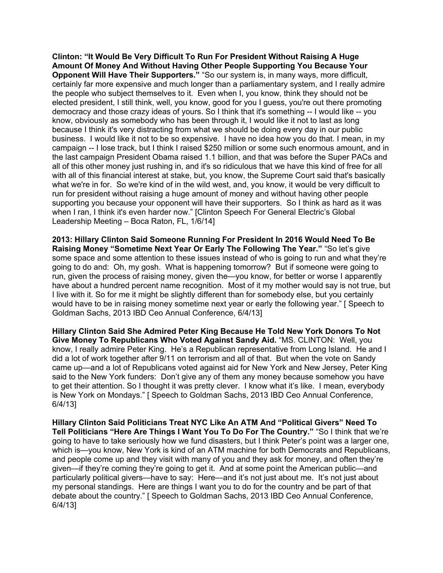**Clinton: "It Would Be Very Difficult To Run For President Without Raising A Huge Amount Of Money And Without Having Other People Supporting You Because Your Opponent Will Have Their Supporters."** "So our system is, in many ways, more difficult, certainly far more expensive and much longer than a parliamentary system, and I really admire the people who subject themselves to it. Even when I, you know, think they should not be elected president, I still think, well, you know, good for you I guess, you're out there promoting democracy and those crazy ideas of yours. So I think that it's something -- I would like -- you know, obviously as somebody who has been through it, I would like it not to last as long because I think it's very distracting from what we should be doing every day in our public business. I would like it not to be so expensive. I have no idea how you do that. I mean, in my campaign -- I lose track, but I think I raised \$250 million or some such enormous amount, and in the last campaign President Obama raised 1.1 billion, and that was before the Super PACs and all of this other money just rushing in, and it's so ridiculous that we have this kind of free for all with all of this financial interest at stake, but, you know, the Supreme Court said that's basically what we're in for. So we're kind of in the wild west, and, you know, it would be very difficult to run for president without raising a huge amount of money and without having other people supporting you because your opponent will have their supporters. So I think as hard as it was when I ran, I think it's even harder now." [Clinton Speech For General Electric's Global Leadership Meeting – Boca Raton, FL, 1/6/14]

**2013: Hillary Clinton Said Someone Running For President In 2016 Would Need To Be Raising Money "Sometime Next Year Or Early The Following The Year."** "So let's give some space and some attention to these issues instead of who is going to run and what they're going to do and: Oh, my gosh. What is happening tomorrow? But if someone were going to run, given the process of raising money, given the—you know, for better or worse I apparently have about a hundred percent name recognition. Most of it my mother would say is not true, but I live with it. So for me it might be slightly different than for somebody else, but you certainly would have to be in raising money sometime next year or early the following year." [ Speech to Goldman Sachs, 2013 IBD Ceo Annual Conference, 6/4/13]

**Hillary Clinton Said She Admired Peter King Because He Told New York Donors To Not Give Money To Republicans Who Voted Against Sandy Aid.** "MS. CLINTON: Well, you know, I really admire Peter King. He's a Republican representative from Long Island. He and I did a lot of work together after 9/11 on terrorism and all of that. But when the vote on Sandy came up—and a lot of Republicans voted against aid for New York and New Jersey, Peter King said to the New York funders: Don't give any of them any money because somehow you have to get their attention. So I thought it was pretty clever. I know what it's like. I mean, everybody is New York on Mondays." [ Speech to Goldman Sachs, 2013 IBD Ceo Annual Conference, 6/4/13]

**Hillary Clinton Said Politicians Treat NYC Like An ATM And "Political Givers" Need To Tell Politicians "Here Are Things I Want You To Do For The Country."** "So I think that we're going to have to take seriously how we fund disasters, but I think Peter's point was a larger one, which is—you know, New York is kind of an ATM machine for both Democrats and Republicans, and people come up and they visit with many of you and they ask for money, and often they're given—if they're coming they're going to get it. And at some point the American public—and particularly political givers—have to say: Here—and it's not just about me. It's not just about my personal standings. Here are things I want you to do for the country and be part of that debate about the country." [ Speech to Goldman Sachs, 2013 IBD Ceo Annual Conference, 6/4/13]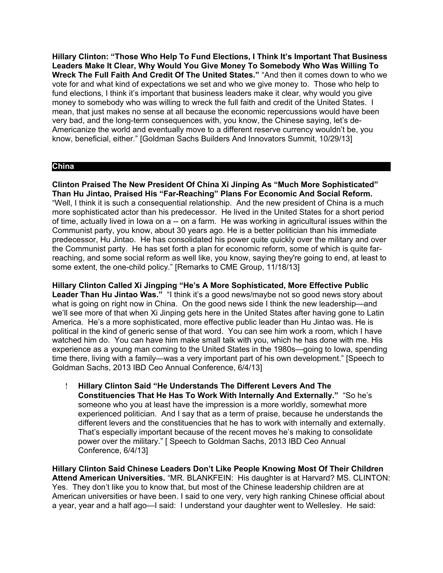**Hillary Clinton: "Those Who Help To Fund Elections, I Think It's Important That Business Leaders Make It Clear, Why Would You Give Money To Somebody Who Was Willing To Wreck The Full Faith And Credit Of The United States."** "And then it comes down to who we vote for and what kind of expectations we set and who we give money to. Those who help to fund elections. I think it's important that business leaders make it clear, why would you give money to somebody who was willing to wreck the full faith and credit of the United States. I mean, that just makes no sense at all because the economic repercussions would have been very bad, and the long-term consequences with, you know, the Chinese saying, let's de-Americanize the world and eventually move to a different reserve currency wouldn't be, you know, beneficial, either." [Goldman Sachs Builders And Innovators Summit, 10/29/13]

#### **China**

**Clinton Praised The New President Of China Xi Jinping As "Much More Sophisticated" Than Hu Jintao, Praised His "Far-Reaching" Plans For Economic And Social Reform.** "Well, I think it is such a consequential relationship. And the new president of China is a much more sophisticated actor than his predecessor. He lived in the United States for a short period of time, actually lived in Iowa on a -- on a farm. He was working in agricultural issues within the Communist party, you know, about 30 years ago. He is a better politician than his immediate predecessor, Hu Jintao. He has consolidated his power quite quickly over the military and over the Communist party. He has set forth a plan for economic reform, some of which is quite farreaching, and some social reform as well like, you know, saying they're going to end, at least to some extent, the one-child policy." [Remarks to CME Group, 11/18/13]

**Hillary Clinton Called Xi Jingping "He's A More Sophisticated, More Effective Public**  Leader Than Hu Jintao Was." "I think it's a good news/maybe not so good news story about what is going on right now in China. On the good news side I think the new leadership—and we'll see more of that when Xi Jinping gets here in the United States after having gone to Latin America. He's a more sophisticated, more effective public leader than Hu Jintao was. He is political in the kind of generic sense of that word. You can see him work a room, which I have watched him do. You can have him make small talk with you, which he has done with me. His experience as a young man coming to the United States in the 1980s—going to Iowa, spending time there, living with a family—was a very important part of his own development." [Speech to Goldman Sachs, 2013 IBD Ceo Annual Conference, 6/4/13]

 **Hillary Clinton Said "He Understands The Different Levers And The Constituencies That He Has To Work With Internally And Externally."** "So he's someone who you at least have the impression is a more worldly, somewhat more experienced politician. And I say that as a term of praise, because he understands the different levers and the constituencies that he has to work with internally and externally. That's especially important because of the recent moves he's making to consolidate power over the military." [ Speech to Goldman Sachs, 2013 IBD Ceo Annual Conference, 6/4/13]

**Hillary Clinton Said Chinese Leaders Don't Like People Knowing Most Of Their Children Attend American Universities.** "MR. BLANKFEIN: His daughter is at Harvard? MS. CLINTON: Yes. They don't like you to know that, but most of the Chinese leadership children are at American universities or have been. I said to one very, very high ranking Chinese official about a year, year and a half ago—I said: I understand your daughter went to Wellesley. He said: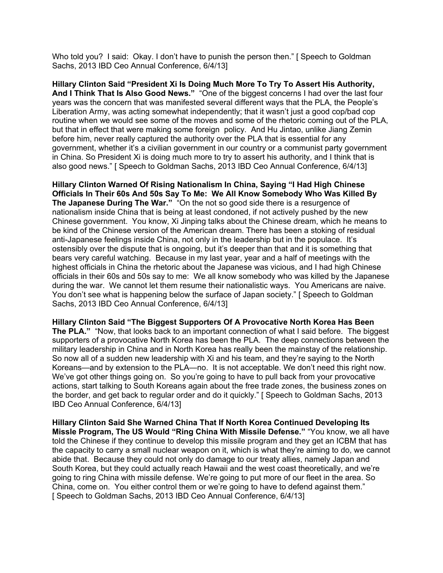Who told you? I said: Okay. I don't have to punish the person then." [ Speech to Goldman Sachs, 2013 IBD Ceo Annual Conference, 6/4/13]

**Hillary Clinton Said "President Xi Is Doing Much More To Try To Assert His Authority, And I Think That Is Also Good News."** "One of the biggest concerns I had over the last four years was the concern that was manifested several different ways that the PLA, the People's Liberation Army, was acting somewhat independently; that it wasn't just a good cop/bad cop routine when we would see some of the moves and some of the rhetoric coming out of the PLA, but that in effect that were making some foreign policy. And Hu Jintao, unlike Jiang Zemin before him, never really captured the authority over the PLA that is essential for any government, whether it's a civilian government in our country or a communist party government in China. So President Xi is doing much more to try to assert his authority, and I think that is also good news." [ Speech to Goldman Sachs, 2013 IBD Ceo Annual Conference, 6/4/13]

**Hillary Clinton Warned Of Rising Nationalism In China, Saying "I Had High Chinese Officials In Their 60s And 50s Say To Me: We All Know Somebody Who Was Killed By The Japanese During The War."** "On the not so good side there is a resurgence of nationalism inside China that is being at least condoned, if not actively pushed by the new Chinese government. You know, Xi Jinping talks about the Chinese dream, which he means to be kind of the Chinese version of the American dream. There has been a stoking of residual anti-Japanese feelings inside China, not only in the leadership but in the populace. It's ostensibly over the dispute that is ongoing, but it's deeper than that and it is something that bears very careful watching. Because in my last year, year and a half of meetings with the highest officials in China the rhetoric about the Japanese was vicious, and I had high Chinese officials in their 60s and 50s say to me: We all know somebody who was killed by the Japanese during the war. We cannot let them resume their nationalistic ways. You Americans are naive. You don't see what is happening below the surface of Japan society." [ Speech to Goldman Sachs, 2013 IBD Ceo Annual Conference, 6/4/13]

**Hillary Clinton Said "The Biggest Supporters Of A Provocative North Korea Has Been The PLA."** "Now, that looks back to an important connection of what I said before. The biggest supporters of a provocative North Korea has been the PLA. The deep connections between the military leadership in China and in North Korea has really been the mainstay of the relationship. So now all of a sudden new leadership with Xi and his team, and they're saying to the North Koreans—and by extension to the PLA—no. It is not acceptable. We don't need this right now. We've got other things going on. So you're going to have to pull back from your provocative actions, start talking to South Koreans again about the free trade zones, the business zones on the border, and get back to regular order and do it quickly." [ Speech to Goldman Sachs, 2013 IBD Ceo Annual Conference, 6/4/13]

**Hillary Clinton Said She Warned China That If North Korea Continued Developing Its Missle Program, The US Would "Ring China With Missile Defense."** "You know, we all have told the Chinese if they continue to develop this missile program and they get an ICBM that has the capacity to carry a small nuclear weapon on it, which is what they're aiming to do, we cannot abide that. Because they could not only do damage to our treaty allies, namely Japan and South Korea, but they could actually reach Hawaii and the west coast theoretically, and we're going to ring China with missile defense. We're going to put more of our fleet in the area. So China, come on. You either control them or we're going to have to defend against them." [ Speech to Goldman Sachs, 2013 IBD Ceo Annual Conference, 6/4/13]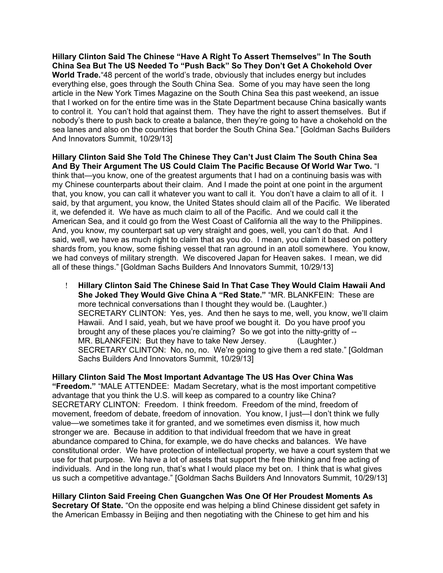**Hillary Clinton Said The Chinese "Have A Right To Assert Themselves" In The South China Sea But The US Needed To "Push Back" So They Don't Get A Chokehold Over World Trade.**"48 percent of the world's trade, obviously that includes energy but includes everything else, goes through the South China Sea. Some of you may have seen the long article in the New York Times Magazine on the South China Sea this past weekend, an issue that I worked on for the entire time was in the State Department because China basically wants to control it. You can't hold that against them. They have the right to assert themselves. But if nobody's there to push back to create a balance, then they're going to have a chokehold on the sea lanes and also on the countries that border the South China Sea." [Goldman Sachs Builders And Innovators Summit, 10/29/13]

**Hillary Clinton Said She Told The Chinese They Can't Just Claim The South China Sea And By Their Argument The US Could Claim The Pacific Because Of World War Two.** "I think that—you know, one of the greatest arguments that I had on a continuing basis was with my Chinese counterparts about their claim. And I made the point at one point in the argument that, you know, you can call it whatever you want to call it. You don't have a claim to all of it. I said, by that argument, you know, the United States should claim all of the Pacific. We liberated it, we defended it. We have as much claim to all of the Pacific. And we could call it the American Sea, and it could go from the West Coast of California all the way to the Philippines. And, you know, my counterpart sat up very straight and goes, well, you can't do that. And I said, well, we have as much right to claim that as you do. I mean, you claim it based on pottery shards from, you know, some fishing vessel that ran aground in an atoll somewhere. You know, we had conveys of military strength. We discovered Japan for Heaven sakes. I mean, we did all of these things." [Goldman Sachs Builders And Innovators Summit, 10/29/13]

 **Hillary Clinton Said The Chinese Said In That Case They Would Claim Hawaii And She Joked They Would Give China A "Red State."** "MR. BLANKFEIN: These are more technical conversations than I thought they would be. (Laughter.) SECRETARY CLINTON: Yes, yes. And then he says to me, well, you know, we'll claim Hawaii. And I said, yeah, but we have proof we bought it. Do you have proof you brought any of these places you're claiming? So we got into the nitty-gritty of -- MR. BLANKFEIN: But they have to take New Jersey. (Laughter.) SECRETARY CLINTON: No, no, no. We're going to give them a red state." [Goldman Sachs Builders And Innovators Summit, 10/29/13]

**Hillary Clinton Said The Most Important Advantage The US Has Over China Was "Freedom."** "MALE ATTENDEE: Madam Secretary, what is the most important competitive advantage that you think the U.S. will keep as compared to a country like China? SECRETARY CLINTON: Freedom. I think freedom. Freedom of the mind, freedom of movement, freedom of debate, freedom of innovation. You know, I just—I don't think we fully value—we sometimes take it for granted, and we sometimes even dismiss it, how much stronger we are. Because in addition to that individual freedom that we have in great abundance compared to China, for example, we do have checks and balances. We have constitutional order. We have protection of intellectual property, we have a court system that we use for that purpose. We have a lot of assets that support the free thinking and free acting of individuals. And in the long run, that's what I would place my bet on. I think that is what gives us such a competitive advantage." [Goldman Sachs Builders And Innovators Summit, 10/29/13]

**Hillary Clinton Said Freeing Chen Guangchen Was One Of Her Proudest Moments As Secretary Of State.** "On the opposite end was helping a blind Chinese dissident get safety in the American Embassy in Beijing and then negotiating with the Chinese to get him and his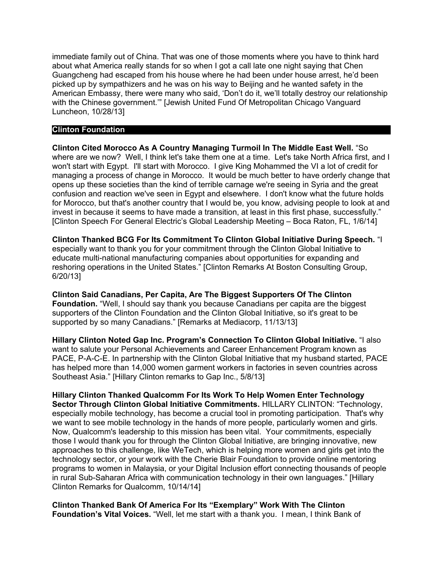immediate family out of China. That was one of those moments where you have to think hard about what America really stands for so when I got a call late one night saying that Chen Guangcheng had escaped from his house where he had been under house arrest, he'd been picked up by sympathizers and he was on his way to Beijing and he wanted safety in the American Embassy, there were many who said, 'Don't do it, we'll totally destroy our relationship with the Chinese government.'" [Jewish United Fund Of Metropolitan Chicago Vanguard Luncheon, 10/28/13]

### **Clinton Foundation**

**Clinton Cited Morocco As A Country Managing Turmoil In The Middle East Well.** "So where are we now? Well, I think let's take them one at a time. Let's take North Africa first, and I won't start with Egypt. I'll start with Morocco. I give King Mohammed the VI a lot of credit for managing a process of change in Morocco. It would be much better to have orderly change that opens up these societies than the kind of terrible carnage we're seeing in Syria and the great confusion and reaction we've seen in Egypt and elsewhere. I don't know what the future holds for Morocco, but that's another country that I would be, you know, advising people to look at and invest in because it seems to have made a transition, at least in this first phase, successfully." [Clinton Speech For General Electric's Global Leadership Meeting – Boca Raton, FL, 1/6/14]

**Clinton Thanked BCG For Its Commitment To Clinton Global Initiative During Speech.** "I especially want to thank you for your commitment through the Clinton Global Initiative to educate multi-national manufacturing companies about opportunities for expanding and reshoring operations in the United States." [Clinton Remarks At Boston Consulting Group, 6/20/13]

**Clinton Said Canadians, Per Capita, Are The Biggest Supporters Of The Clinton Foundation.** "Well, I should say thank you because Canadians per capita are the biggest supporters of the Clinton Foundation and the Clinton Global Initiative, so it's great to be supported by so many Canadians." [Remarks at Mediacorp, 11/13/13]

**Hillary Clinton Noted Gap Inc. Program's Connection To Clinton Global Initiative.** "I also want to salute your Personal Achievements and Career Enhancement Program known as PACE, P-A-C-E. In partnership with the Clinton Global Initiative that my husband started, PACE has helped more than 14,000 women garment workers in factories in seven countries across Southeast Asia." [Hillary Clinton remarks to Gap Inc., 5/8/13]

**Hillary Clinton Thanked Qualcomm For Its Work To Help Women Enter Technology Sector Through Clinton Global Initiative Commitments.** HILLARY CLINTON: "Technology, especially mobile technology, has become a crucial tool in promoting participation. That's why we want to see mobile technology in the hands of more people, particularly women and girls. Now, Qualcomm's leadership to this mission has been vital. Your commitments, especially those I would thank you for through the Clinton Global Initiative, are bringing innovative, new approaches to this challenge, like WeTech, which is helping more women and girls get into the technology sector, or your work with the Cherie Blair Foundation to provide online mentoring programs to women in Malaysia, or your Digital Inclusion effort connecting thousands of people in rural Sub-Saharan Africa with communication technology in their own languages." [Hillary Clinton Remarks for Qualcomm, 10/14/14]

**Clinton Thanked Bank Of America For Its "Exemplary" Work With The Clinton Foundation's Vital Voices.** "Well, let me start with a thank you. I mean, I think Bank of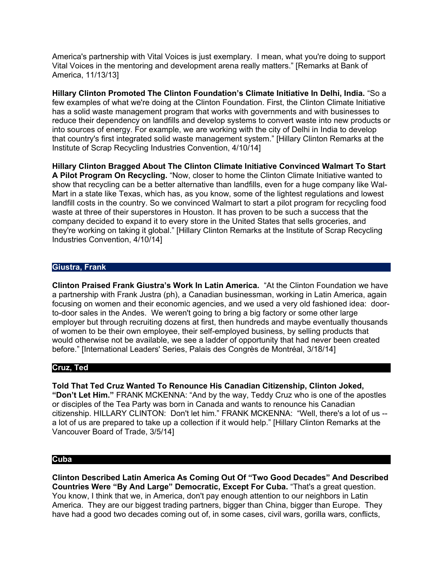America's partnership with Vital Voices is just exemplary. I mean, what you're doing to support Vital Voices in the mentoring and development arena really matters." [Remarks at Bank of America, 11/13/13]

**Hillary Clinton Promoted The Clinton Foundation's Climate Initiative In Delhi, India.** "So a few examples of what we're doing at the Clinton Foundation. First, the Clinton Climate Initiative has a solid waste management program that works with governments and with businesses to reduce their dependency on landfills and develop systems to convert waste into new products or into sources of energy. For example, we are working with the city of Delhi in India to develop that country's first integrated solid waste management system." [Hillary Clinton Remarks at the Institute of Scrap Recycling Industries Convention, 4/10/14]

**Hillary Clinton Bragged About The Clinton Climate Initiative Convinced Walmart To Start A Pilot Program On Recycling.** "Now, closer to home the Clinton Climate Initiative wanted to show that recycling can be a better alternative than landfills, even for a huge company like Wal-Mart in a state like Texas, which has, as you know, some of the lightest regulations and lowest landfill costs in the country. So we convinced Walmart to start a pilot program for recycling food waste at three of their superstores in Houston. It has proven to be such a success that the company decided to expand it to every store in the United States that sells groceries, and they're working on taking it global." [Hillary Clinton Remarks at the Institute of Scrap Recycling Industries Convention, 4/10/14]

### **Giustra, Frank**

**Clinton Praised Frank Giustra's Work In Latin America.** "At the Clinton Foundation we have a partnership with Frank Justra (ph), a Canadian businessman, working in Latin America, again focusing on women and their economic agencies, and we used a very old fashioned idea: doorto-door sales in the Andes. We weren't going to bring a big factory or some other large employer but through recruiting dozens at first, then hundreds and maybe eventually thousands of women to be their own employee, their self-employed business, by selling products that would otherwise not be available, we see a ladder of opportunity that had never been created before." [International Leaders' Series, Palais des Congrès de Montréal, 3/18/14]

### **Cruz, Ted**

**Told That Ted Cruz Wanted To Renounce His Canadian Citizenship, Clinton Joked, "Don't Let Him."** FRANK MCKENNA: "And by the way, Teddy Cruz who is one of the apostles or disciples of the Tea Party was born in Canada and wants to renounce his Canadian citizenship. HILLARY CLINTON: Don't let him." FRANK MCKENNA: "Well, there's a lot of us - a lot of us are prepared to take up a collection if it would help." [Hillary Clinton Remarks at the Vancouver Board of Trade, 3/5/14]

#### **Cuba**

**Clinton Described Latin America As Coming Out Of "Two Good Decades" And Described Countries Were "By And Large" Democratic, Except For Cuba.** "That's a great question. You know, I think that we, in America, don't pay enough attention to our neighbors in Latin America. They are our biggest trading partners, bigger than China, bigger than Europe. They have had a good two decades coming out of, in some cases, civil wars, gorilla wars, conflicts,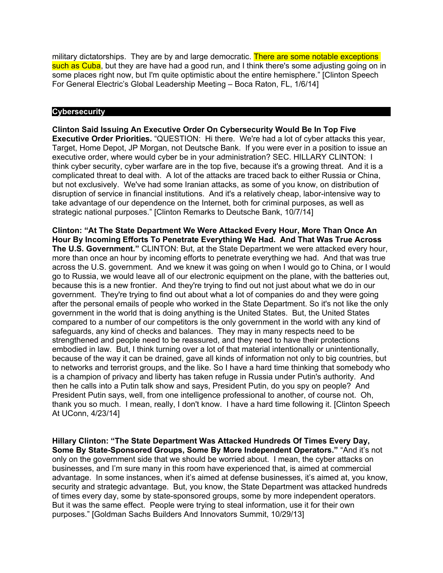military dictatorships. They are by and large democratic. There are some notable exceptions such as Cuba, but they are have had a good run, and I think there's some adjusting going on in some places right now, but I'm quite optimistic about the entire hemisphere." [Clinton Speech For General Electric's Global Leadership Meeting – Boca Raton, FL, 1/6/14]

### **Cybersecurity**

**Clinton Said Issuing An Executive Order On Cybersecurity Would Be In Top Five Executive Order Priorities.** "QUESTION: Hi there. We're had a lot of cyber attacks this year, Target, Home Depot, JP Morgan, not Deutsche Bank. If you were ever in a position to issue an executive order, where would cyber be in your administration? SEC. HILLARY CLINTON: I think cyber security, cyber warfare are in the top five, because it's a growing threat. And it is a complicated threat to deal with. A lot of the attacks are traced back to either Russia or China, but not exclusively. We've had some Iranian attacks, as some of you know, on distribution of disruption of service in financial institutions. And it's a relatively cheap, labor-intensive way to take advantage of our dependence on the Internet, both for criminal purposes, as well as strategic national purposes." [Clinton Remarks to Deutsche Bank, 10/7/14]

**Clinton: "At The State Department We Were Attacked Every Hour, More Than Once An Hour By Incoming Efforts To Penetrate Everything We Had. And That Was True Across The U.S. Government."** CLINTON: But, at the State Department we were attacked every hour, more than once an hour by incoming efforts to penetrate everything we had. And that was true across the U.S. government. And we knew it was going on when I would go to China, or I would go to Russia, we would leave all of our electronic equipment on the plane, with the batteries out, because this is a new frontier. And they're trying to find out not just about what we do in our government. They're trying to find out about what a lot of companies do and they were going after the personal emails of people who worked in the State Department. So it's not like the only government in the world that is doing anything is the United States. But, the United States compared to a number of our competitors is the only government in the world with any kind of safeguards, any kind of checks and balances. They may in many respects need to be strengthened and people need to be reassured, and they need to have their protections embodied in law. But, I think turning over a lot of that material intentionally or unintentionally, because of the way it can be drained, gave all kinds of information not only to big countries, but to networks and terrorist groups, and the like. So I have a hard time thinking that somebody who is a champion of privacy and liberty has taken refuge in Russia under Putin's authority. And then he calls into a Putin talk show and says, President Putin, do you spy on people? And President Putin says, well, from one intelligence professional to another, of course not. Oh, thank you so much. I mean, really, I don't know. I have a hard time following it. [Clinton Speech At UConn, 4/23/14]

**Hillary Clinton: "The State Department Was Attacked Hundreds Of Times Every Day, Some By State-Sponsored Groups, Some By More Independent Operators."** "And it's not only on the government side that we should be worried about. I mean, the cyber attacks on businesses, and I'm sure many in this room have experienced that, is aimed at commercial advantage. In some instances, when it's aimed at defense businesses, it's aimed at, you know, security and strategic advantage. But, you know, the State Department was attacked hundreds of times every day, some by state-sponsored groups, some by more independent operators. But it was the same effect. People were trying to steal information, use it for their own purposes." [Goldman Sachs Builders And Innovators Summit, 10/29/13]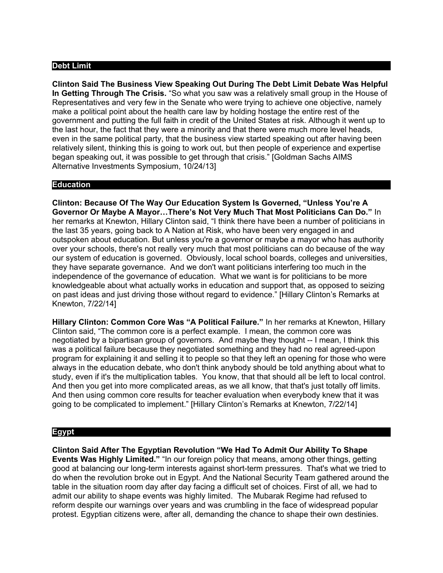#### **Debt Limit**

**Clinton Said The Business View Speaking Out During The Debt Limit Debate Was Helpful In Getting Through The Crisis.** "So what you saw was a relatively small group in the House of Representatives and very few in the Senate who were trying to achieve one objective, namely make a political point about the health care law by holding hostage the entire rest of the government and putting the full faith in credit of the United States at risk. Although it went up to the last hour, the fact that they were a minority and that there were much more level heads, even in the same political party, that the business view started speaking out after having been relatively silent, thinking this is going to work out, but then people of experience and expertise began speaking out, it was possible to get through that crisis." [Goldman Sachs AIMS Alternative Investments Symposium, 10/24/13]

#### **Education**

**Clinton: Because Of The Way Our Education System Is Governed, "Unless You're A Governor Or Maybe A Mayor…There's Not Very Much That Most Politicians Can Do."** In her remarks at Knewton, Hillary Clinton said, "I think there have been a number of politicians in the last 35 years, going back to A Nation at Risk, who have been very engaged in and outspoken about education. But unless you're a governor or maybe a mayor who has authority over your schools, there's not really very much that most politicians can do because of the way our system of education is governed. Obviously, local school boards, colleges and universities, they have separate governance. And we don't want politicians interfering too much in the independence of the governance of education. What we want is for politicians to be more knowledgeable about what actually works in education and support that, as opposed to seizing on past ideas and just driving those without regard to evidence." [Hillary Clinton's Remarks at Knewton, 7/22/14]

**Hillary Clinton: Common Core Was "A Political Failure."** In her remarks at Knewton, Hillary Clinton said, "The common core is a perfect example. I mean, the common core was negotiated by a bipartisan group of governors. And maybe they thought -- I mean, I think this was a political failure because they negotiated something and they had no real agreed-upon program for explaining it and selling it to people so that they left an opening for those who were always in the education debate, who don't think anybody should be told anything about what to study, even if it's the multiplication tables. You know, that that should all be left to local control. And then you get into more complicated areas, as we all know, that that's just totally off limits. And then using common core results for teacher evaluation when everybody knew that it was going to be complicated to implement." [Hillary Clinton's Remarks at Knewton, 7/22/14]

### **Egypt**

**Clinton Said After The Egyptian Revolution "We Had To Admit Our Ability To Shape Events Was Highly Limited."** "In our foreign policy that means, among other things, getting good at balancing our long-term interests against short-term pressures. That's what we tried to do when the revolution broke out in Egypt. And the National Security Team gathered around the table in the situation room day after day facing a difficult set of choices. First of all, we had to admit our ability to shape events was highly limited. The Mubarak Regime had refused to reform despite our warnings over years and was crumbling in the face of widespread popular protest. Egyptian citizens were, after all, demanding the chance to shape their own destinies.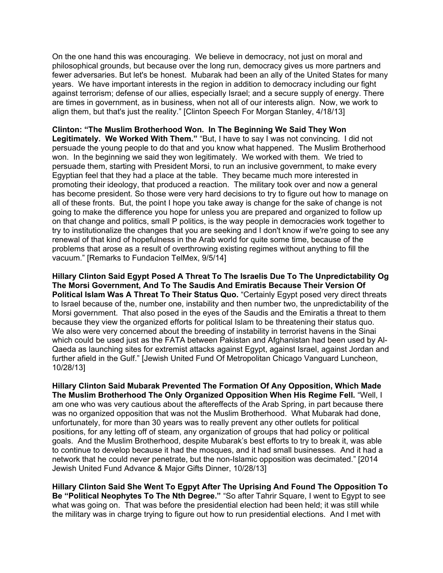On the one hand this was encouraging. We believe in democracy, not just on moral and philosophical grounds, but because over the long run, democracy gives us more partners and fewer adversaries. But let's be honest. Mubarak had been an ally of the United States for many years. We have important interests in the region in addition to democracy including our fight against terrorism; defense of our allies, especially Israel; and a secure supply of energy. There are times in government, as in business, when not all of our interests align. Now, we work to align them, but that's just the reality." [Clinton Speech For Morgan Stanley, 4/18/13]

**Clinton: "The Muslim Brotherhood Won. In The Beginning We Said They Won Legitimately. We Worked With Them."** "But, I have to say I was not convincing. I did not persuade the young people to do that and you know what happened. The Muslim Brotherhood won. In the beginning we said they won legitimately. We worked with them. We tried to persuade them, starting with President Morsi, to run an inclusive government, to make every Egyptian feel that they had a place at the table. They became much more interested in promoting their ideology, that produced a reaction. The military took over and now a general has become president. So those were very hard decisions to try to figure out how to manage on all of these fronts. But, the point I hope you take away is change for the sake of change is not going to make the difference you hope for unless you are prepared and organized to follow up on that change and politics, small P politics, is the way people in democracies work together to try to institutionalize the changes that you are seeking and I don't know if we're going to see any renewal of that kind of hopefulness in the Arab world for quite some time, because of the problems that arose as a result of overthrowing existing regimes without anything to fill the vacuum." [Remarks to Fundacion TelMex, 9/5/14]

**Hillary Clinton Said Egypt Posed A Threat To The Israelis Due To The Unpredictability Og The Morsi Government, And To The Saudis And Emiratis Because Their Version Of**  Political Islam Was A Threat To Their Status Quo. "Certainly Egypt posed very direct threats to Israel because of the, number one, instability and then number two, the unpredictability of the Morsi government. That also posed in the eyes of the Saudis and the Emiratis a threat to them because they view the organized efforts for political Islam to be threatening their status quo. We also were very concerned about the breeding of instability in terrorist havens in the Sinai which could be used just as the FATA between Pakistan and Afghanistan had been used by Al-Qaeda as launching sites for extremist attacks against Egypt, against Israel, against Jordan and further afield in the Gulf." [Jewish United Fund Of Metropolitan Chicago Vanguard Luncheon, 10/28/13]

**Hillary Clinton Said Mubarak Prevented The Formation Of Any Opposition, Which Made The Muslim Brotherhood The Only Organized Opposition When His Regime Fell.** "Well, I am one who was very cautious about the aftereffects of the Arab Spring, in part because there was no organized opposition that was not the Muslim Brotherhood. What Mubarak had done, unfortunately, for more than 30 years was to really prevent any other outlets for political positions, for any letting off of steam, any organization of groups that had policy or political goals. And the Muslim Brotherhood, despite Mubarak's best efforts to try to break it, was able to continue to develop because it had the mosques, and it had small businesses. And it had a network that he could never penetrate, but the non-Islamic opposition was decimated." [2014 Jewish United Fund Advance & Major Gifts Dinner, 10/28/13]

**Hillary Clinton Said She Went To Egpyt After The Uprising And Found The Opposition To Be "Political Neophytes To The Nth Degree."** "So after Tahrir Square, I went to Egypt to see what was going on. That was before the presidential election had been held; it was still while the military was in charge trying to figure out how to run presidential elections. And I met with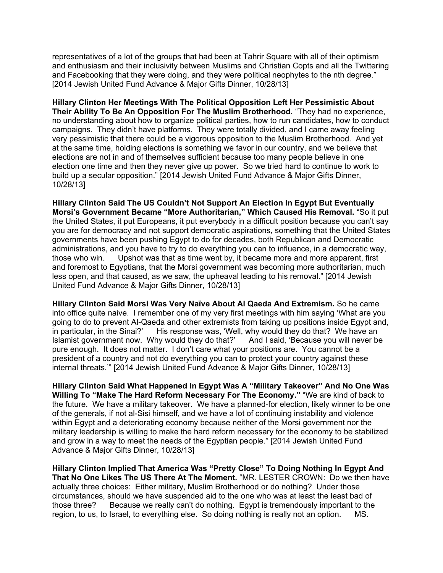representatives of a lot of the groups that had been at Tahrir Square with all of their optimism and enthusiasm and their inclusivity between Muslims and Christian Copts and all the Twittering and Facebooking that they were doing, and they were political neophytes to the nth degree." [2014 Jewish United Fund Advance & Major Gifts Dinner, 10/28/13]

**Hillary Clinton Her Meetings With The Political Opposition Left Her Pessimistic About Their Ability To Be An Opposition For The Muslim Brotherhood.** "They had no experience, no understanding about how to organize political parties, how to run candidates, how to conduct campaigns. They didn't have platforms. They were totally divided, and I came away feeling very pessimistic that there could be a vigorous opposition to the Muslim Brotherhood. And yet at the same time, holding elections is something we favor in our country, and we believe that elections are not in and of themselves sufficient because too many people believe in one election one time and then they never give up power. So we tried hard to continue to work to build up a secular opposition." [2014 Jewish United Fund Advance & Major Gifts Dinner, 10/28/13]

**Hillary Clinton Said The US Couldn't Not Support An Election In Egypt But Eventually Morsi's Government Became "More Authoritarian," Which Caused His Removal.** "So it put the United States, it put Europeans, it put everybody in a difficult position because you can't say you are for democracy and not support democratic aspirations, something that the United States governments have been pushing Egypt to do for decades, both Republican and Democratic administrations, and you have to try to do everything you can to influence, in a democratic way, those who win. Upshot was that as time went by, it became more and more apparent, first and foremost to Egyptians, that the Morsi government was becoming more authoritarian, much less open, and that caused, as we saw, the upheaval leading to his removal." [2014 Jewish United Fund Advance & Major Gifts Dinner, 10/28/13]

**Hillary Clinton Said Morsi Was Very Naïve About Al Qaeda And Extremism.** So he came into office quite naive. I remember one of my very first meetings with him saying 'What are you going to do to prevent Al-Qaeda and other extremists from taking up positions inside Egypt and, in particular, in the Sinai?' His response was, 'Well, why would they do that? We have an Islamist government now. Why would they do that?' And I said, 'Because you will never be pure enough. It does not matter. I don't care what your positions are. You cannot be a president of a country and not do everything you can to protect your country against these internal threats.'" [2014 Jewish United Fund Advance & Major Gifts Dinner, 10/28/13]

**Hillary Clinton Said What Happened In Egypt Was A "Military Takeover" And No One Was Willing To "Make The Hard Reform Necessary For The Economy."** "We are kind of back to the future. We have a military takeover. We have a planned-for election, likely winner to be one of the generals, if not al-Sisi himself, and we have a lot of continuing instability and violence within Egypt and a deteriorating economy because neither of the Morsi government nor the military leadership is willing to make the hard reform necessary for the economy to be stabilized and grow in a way to meet the needs of the Egyptian people." [2014 Jewish United Fund Advance & Major Gifts Dinner, 10/28/13]

**Hillary Clinton Implied That America Was "Pretty Close" To Doing Nothing In Egypt And That No One Likes The US There At The Moment.** "MR. LESTER CROWN: Do we then have actually three choices: Either military, Muslim Brotherhood or do nothing? Under those circumstances, should we have suspended aid to the one who was at least the least bad of those three? Because we really can't do nothing. Egypt is tremendously important to the region, to us, to Israel, to everything else. So doing nothing is really not an option. MS.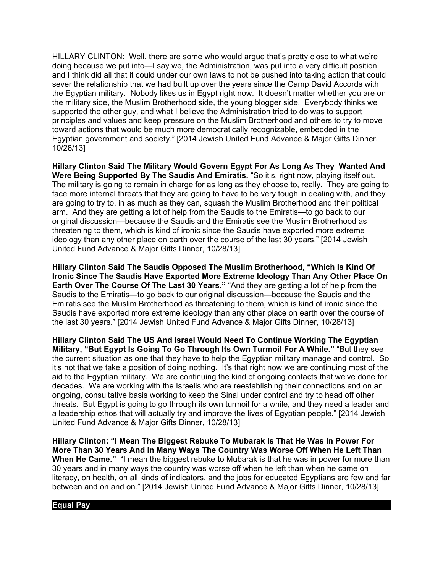HILLARY CLINTON: Well, there are some who would argue that's pretty close to what we're doing because we put into—I say we, the Administration, was put into a very difficult position and I think did all that it could under our own laws to not be pushed into taking action that could sever the relationship that we had built up over the years since the Camp David Accords with the Egyptian military. Nobody likes us in Egypt right now. It doesn't matter whether you are on the military side, the Muslim Brotherhood side, the young blogger side. Everybody thinks we supported the other guy, and what I believe the Administration tried to do was to support principles and values and keep pressure on the Muslim Brotherhood and others to try to move toward actions that would be much more democratically recognizable, embedded in the Egyptian government and society." [2014 Jewish United Fund Advance & Major Gifts Dinner, 10/28/13]

**Hillary Clinton Said The Military Would Govern Egypt For As Long As They Wanted And**  Were Being Supported By The Saudis And Emiratis. "So it's, right now, playing itself out. The military is going to remain in charge for as long as they choose to, really. They are going to face more internal threats that they are going to have to be very tough in dealing with, and they are going to try to, in as much as they can, squash the Muslim Brotherhood and their political arm. And they are getting a lot of help from the Saudis to the Emiratis—to go back to our original discussion—because the Saudis and the Emiratis see the Muslim Brotherhood as threatening to them, which is kind of ironic since the Saudis have exported more extreme ideology than any other place on earth over the course of the last 30 years." [2014 Jewish United Fund Advance & Major Gifts Dinner, 10/28/13]

**Hillary Clinton Said The Saudis Opposed The Muslim Brotherhood, "Which Is Kind Of Ironic Since The Saudis Have Exported More Extreme Ideology Than Any Other Place On Earth Over The Course Of The Last 30 Years."** "And they are getting a lot of help from the Saudis to the Emiratis—to go back to our original discussion—because the Saudis and the Emiratis see the Muslim Brotherhood as threatening to them, which is kind of ironic since the Saudis have exported more extreme ideology than any other place on earth over the course of the last 30 years." [2014 Jewish United Fund Advance & Major Gifts Dinner, 10/28/13]

**Hillary Clinton Said The US And Israel Would Need To Continue Working The Egyptian Military, "But Egypt Is Going To Go Through Its Own Turmoil For A While."** "But they see the current situation as one that they have to help the Egyptian military manage and control. So it's not that we take a position of doing nothing. It's that right now we are continuing most of the aid to the Egyptian military. We are continuing the kind of ongoing contacts that we've done for decades. We are working with the Israelis who are reestablishing their connections and on an ongoing, consultative basis working to keep the Sinai under control and try to head off other threats. But Egypt is going to go through its own turmoil for a while, and they need a leader and a leadership ethos that will actually try and improve the lives of Egyptian people." [2014 Jewish United Fund Advance & Major Gifts Dinner, 10/28/13]

**Hillary Clinton: "I Mean The Biggest Rebuke To Mubarak Is That He Was In Power For More Than 30 Years And In Many Ways The Country Was Worse Off When He Left Than When He Came."** "I mean the biggest rebuke to Mubarak is that he was in power for more than 30 years and in many ways the country was worse off when he left than when he came on literacy, on health, on all kinds of indicators, and the jobs for educated Egyptians are few and far between and on and on." [2014 Jewish United Fund Advance & Major Gifts Dinner, 10/28/13]

**Equal Pay**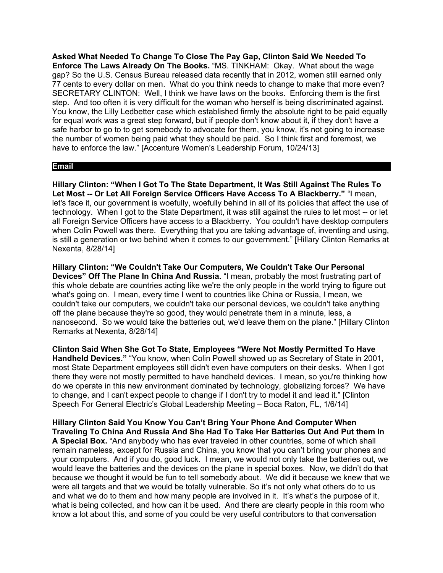**Asked What Needed To Change To Close The Pay Gap, Clinton Said We Needed To Enforce The Laws Already On The Books.** "MS. TINKHAM: Okay. What about the wage gap? So the U.S. Census Bureau released data recently that in 2012, women still earned only 77 cents to every dollar on men. What do you think needs to change to make that more even? SECRETARY CLINTON: Well, I think we have laws on the books. Enforcing them is the first step. And too often it is very difficult for the woman who herself is being discriminated against. You know, the Lilly Ledbetter case which established firmly the absolute right to be paid equally for equal work was a great step forward, but if people don't know about it, if they don't have a safe harbor to go to to get somebody to advocate for them, you know, it's not going to increase the number of women being paid what they should be paid. So I think first and foremost, we have to enforce the law." [Accenture Women's Leadership Forum, 10/24/13]

#### **Email**

**Hillary Clinton: "When I Got To The State Department, It Was Still Against The Rules To Let Most -- Or Let All Foreign Service Officers Have Access To A Blackberry."** "I mean, let's face it, our government is woefully, woefully behind in all of its policies that affect the use of technology. When I got to the State Department, it was still against the rules to let most -- or let all Foreign Service Officers have access to a Blackberry. You couldn't have desktop computers when Colin Powell was there. Everything that you are taking advantage of, inventing and using, is still a generation or two behind when it comes to our government." [Hillary Clinton Remarks at Nexenta, 8/28/14]

**Hillary Clinton: "We Couldn't Take Our Computers, We Couldn't Take Our Personal Devices" Off The Plane In China And Russia.** "I mean, probably the most frustrating part of this whole debate are countries acting like we're the only people in the world trying to figure out what's going on. I mean, every time I went to countries like China or Russia, I mean, we couldn't take our computers, we couldn't take our personal devices, we couldn't take anything off the plane because they're so good, they would penetrate them in a minute, less, a nanosecond. So we would take the batteries out, we'd leave them on the plane." [Hillary Clinton Remarks at Nexenta, 8/28/14]

**Clinton Said When She Got To State, Employees "Were Not Mostly Permitted To Have Handheld Devices."** "You know, when Colin Powell showed up as Secretary of State in 2001, most State Department employees still didn't even have computers on their desks. When I got there they were not mostly permitted to have handheld devices. I mean, so you're thinking how do we operate in this new environment dominated by technology, globalizing forces? We have to change, and I can't expect people to change if I don't try to model it and lead it." [Clinton Speech For General Electric's Global Leadership Meeting – Boca Raton, FL, 1/6/14]

**Hillary Clinton Said You Know You Can't Bring Your Phone And Computer When Traveling To China And Russia And She Had To Take Her Batteries Out And Put them In A Special Box.** "And anybody who has ever traveled in other countries, some of which shall remain nameless, except for Russia and China, you know that you can't bring your phones and your computers. And if you do, good luck. I mean, we would not only take the batteries out, we would leave the batteries and the devices on the plane in special boxes. Now, we didn't do that because we thought it would be fun to tell somebody about. We did it because we knew that we were all targets and that we would be totally vulnerable. So it's not only what others do to us and what we do to them and how many people are involved in it. It's what's the purpose of it, what is being collected, and how can it be used. And there are clearly people in this room who know a lot about this, and some of you could be very useful contributors to that conversation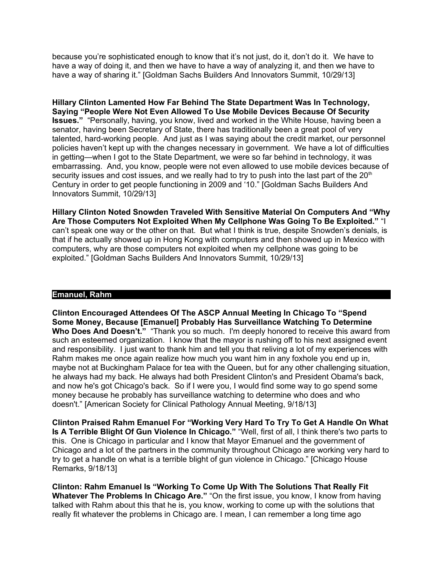because you're sophisticated enough to know that it's not just, do it, don't do it. We have to have a way of doing it, and then we have to have a way of analyzing it, and then we have to have a way of sharing it." [Goldman Sachs Builders And Innovators Summit, 10/29/13]

**Hillary Clinton Lamented How Far Behind The State Department Was In Technology, Saying "People Were Not Even Allowed To Use Mobile Devices Because Of Security Issues."** "Personally, having, you know, lived and worked in the White House, having been a senator, having been Secretary of State, there has traditionally been a great pool of very talented, hard-working people. And just as I was saying about the credit market, our personnel policies haven't kept up with the changes necessary in government. We have a lot of difficulties in getting—when I got to the State Department, we were so far behind in technology, it was embarrassing. And, you know, people were not even allowed to use mobile devices because of security issues and cost issues, and we really had to try to push into the last part of the  $20<sup>th</sup>$ Century in order to get people functioning in 2009 and '10." [Goldman Sachs Builders And Innovators Summit, 10/29/13]

**Hillary Clinton Noted Snowden Traveled With Sensitive Material On Computers And "Why Are Those Computers Not Exploited When My Cellphone Was Going To Be Exploited."** "I can't speak one way or the other on that. But what I think is true, despite Snowden's denials, is that if he actually showed up in Hong Kong with computers and then showed up in Mexico with computers, why are those computers not exploited when my cellphone was going to be exploited." [Goldman Sachs Builders And Innovators Summit, 10/29/13]

### **Emanuel, Rahm**

**Clinton Encouraged Attendees Of The ASCP Annual Meeting In Chicago To "Spend Some Money, Because [Emanuel] Probably Has Surveillance Watching To Determine Who Does And Doesn't."** "Thank you so much. I'm deeply honored to receive this award from such an esteemed organization. I know that the mayor is rushing off to his next assigned event and responsibility. I just want to thank him and tell you that reliving a lot of my experiences with Rahm makes me once again realize how much you want him in any foxhole you end up in, maybe not at Buckingham Palace for tea with the Queen, but for any other challenging situation, he always had my back. He always had both President Clinton's and President Obama's back, and now he's got Chicago's back. So if I were you, I would find some way to go spend some money because he probably has surveillance watching to determine who does and who doesn't." [American Society for Clinical Pathology Annual Meeting, 9/18/13]

**Clinton Praised Rahm Emanuel For "Working Very Hard To Try To Get A Handle On What Is A Terrible Blight Of Gun Violence In Chicago."** "Well, first of all, I think there's two parts to this. One is Chicago in particular and I know that Mayor Emanuel and the government of Chicago and a lot of the partners in the community throughout Chicago are working very hard to try to get a handle on what is a terrible blight of gun violence in Chicago." [Chicago House Remarks, 9/18/13]

**Clinton: Rahm Emanuel Is "Working To Come Up With The Solutions That Really Fit Whatever The Problems In Chicago Are."** "On the first issue, you know, I know from having talked with Rahm about this that he is, you know, working to come up with the solutions that really fit whatever the problems in Chicago are. I mean, I can remember a long time ago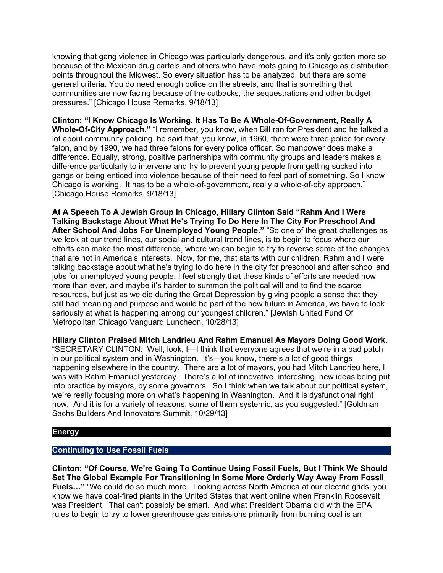knowing that gang violence in Chicago was particularly dangerous, and it's only gotten more so because of the Mexican drug cartels and others who have roots going to Chicago as distribution points throughout the Midwest. So every situation has to be analyzed, but there are some general criteria. You do need enough police on the streets, and that is something that communities are now facing because of the cutbacks, the sequestrations and other budget pressures." [Chicago House Remarks, 9/18/13]

**Clinton: "I Know Chicago Is Working. It Has To Be A Whole-Of-Government, Really A Whole-Of-City Approach."** "I remember, you know, when Bill ran for President and he talked a lot about community policing, he said that, you know, in 1960, there were three police for every felon, and by 1990, we had three felons for every police officer. So manpower does make a difference. Equally, strong, positive partnerships with community groups and leaders makes a difference particularly to intervene and try to prevent young people from getting sucked into gangs or being enticed into violence because of their need to feel part of something. So I know Chicago is working. It has to be a whole-of-government, really a whole-of-city approach." [Chicago House Remarks, 9/18/13]

**At A Speech To A Jewish Group In Chicago, Hillary Clinton Said "Rahm And I Were Talking Backstage About What He's Trying To Do Here In The City For Preschool And After School And Jobs For Unemployed Young People."** "So one of the great challenges as we look at our trend lines, our social and cultural trend lines, is to begin to focus where our efforts can make the most difference, where we can begin to try to reverse some of the changes that are not in America's interests. Now, for me, that starts with our children. Rahm and I were talking backstage about what he's trying to do here in the city for preschool and after school and jobs for unemployed young people. I feel strongly that these kinds of efforts are needed now more than ever, and maybe it's harder to summon the political will and to find the scarce resources, but just as we did during the Great Depression by giving people a sense that they still had meaning and purpose and would be part of the new future in America, we have to look seriously at what is happening among our youngest children." [Jewish United Fund Of Metropolitan Chicago Vanguard Luncheon, 10/28/13]

**Hillary Clinton Praised Mitch Landrieu And Rahm Emanuel As Mayors Doing Good Work.**  "SECRETARY CLINTON: Well, look, I—I think that everyone agrees that we're in a bad patch in our political system and in Washington. It's—you know, there's a lot of good things happening elsewhere in the country. There are a lot of mayors, you had Mitch Landrieu here, I was with Rahm Emanuel yesterday. There's a lot of innovative, interesting, new ideas being put into practice by mayors, by some governors. So I think when we talk about our political system, we're really focusing more on what's happening in Washington. And it is dysfunctional right now. And it is for a variety of reasons, some of them systemic, as you suggested." [Goldman Sachs Builders And Innovators Summit, 10/29/13]

# **Energy**

# **Continuing to Use Fossil Fuels**

**Clinton: "Of Course, We're Going To Continue Using Fossil Fuels, But I Think We Should Set The Global Example For Transitioning In Some More Orderly Way Away From Fossil Fuels…"** "We could do so much more. Looking across North America at our electric grids, you know we have coal-fired plants in the United States that went online when Franklin Roosevelt was President. That can't possibly be smart. And what President Obama did with the EPA rules to begin to try to lower greenhouse gas emissions primarily from burning coal is an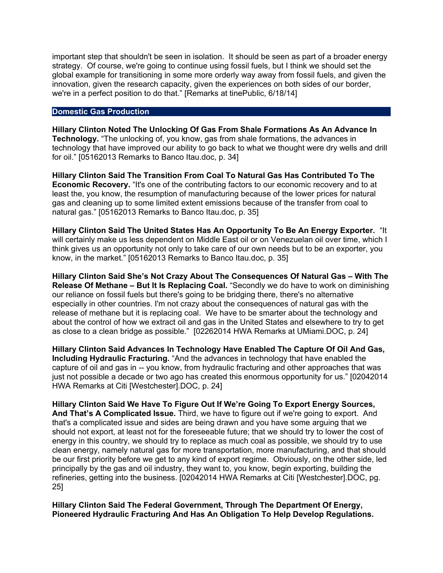important step that shouldn't be seen in isolation. It should be seen as part of a broader energy strategy. Of course, we're going to continue using fossil fuels, but I think we should set the global example for transitioning in some more orderly way away from fossil fuels, and given the innovation, given the research capacity, given the experiences on both sides of our border, we're in a perfect position to do that." [Remarks at tinePublic, 6/18/14]

### **Domestic Gas Production**

**Hillary Clinton Noted The Unlocking Of Gas From Shale Formations As An Advance In Technology.** "The unlocking of, you know, gas from shale formations, the advances in technology that have improved our ability to go back to what we thought were dry wells and drill for oil." [05162013 Remarks to Banco Itau.doc, p. 34]

**Hillary Clinton Said The Transition From Coal To Natural Gas Has Contributed To The Economic Recovery.** "It's one of the contributing factors to our economic recovery and to at least the, you know, the resumption of manufacturing because of the lower prices for natural gas and cleaning up to some limited extent emissions because of the transfer from coal to natural gas." [05162013 Remarks to Banco Itau.doc, p. 35]

**Hillary Clinton Said The United States Has An Opportunity To Be An Energy Exporter.** "It will certainly make us less dependent on Middle East oil or on Venezuelan oil over time, which I think gives us an opportunity not only to take care of our own needs but to be an exporter, you know, in the market." [05162013 Remarks to Banco Itau.doc, p. 35]

**Hillary Clinton Said She's Not Crazy About The Consequences Of Natural Gas – With The Release Of Methane – But It Is Replacing Coal.** "Secondly we do have to work on diminishing our reliance on fossil fuels but there's going to be bridging there, there's no alternative especially in other countries. I'm not crazy about the consequences of natural gas with the release of methane but it is replacing coal. We have to be smarter about the technology and about the control of how we extract oil and gas in the United States and elsewhere to try to get as close to a clean bridge as possible." [02262014 HWA Remarks at UMiami.DOC, p. 24]

**Hillary Clinton Said Advances In Technology Have Enabled The Capture Of Oil And Gas, Including Hydraulic Fracturing.** "And the advances in technology that have enabled the capture of oil and gas in -- you know, from hydraulic fracturing and other approaches that was just not possible a decade or two ago has created this enormous opportunity for us." [02042014 HWA Remarks at Citi [Westchester].DOC, p. 24]

**Hillary Clinton Said We Have To Figure Out If We're Going To Export Energy Sources, And That's A Complicated Issue.** Third, we have to figure out if we're going to export. And that's a complicated issue and sides are being drawn and you have some arguing that we should not export, at least not for the foreseeable future; that we should try to lower the cost of energy in this country, we should try to replace as much coal as possible, we should try to use clean energy, namely natural gas for more transportation, more manufacturing, and that should be our first priority before we get to any kind of export regime. Obviously, on the other side, led principally by the gas and oil industry, they want to, you know, begin exporting, building the refineries, getting into the business. [02042014 HWA Remarks at Citi [Westchester].DOC, pg. 25]

**Hillary Clinton Said The Federal Government, Through The Department Of Energy, Pioneered Hydraulic Fracturing And Has An Obligation To Help Develop Regulations.**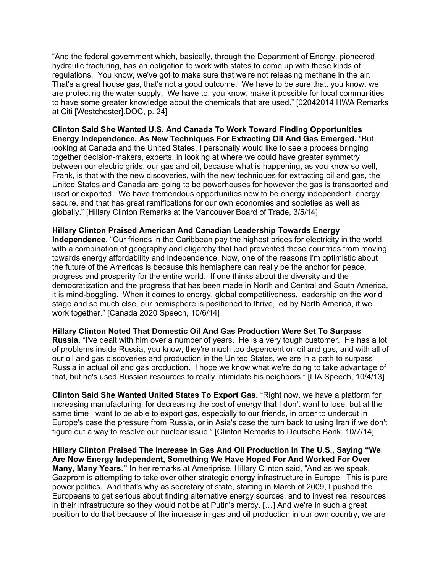"And the federal government which, basically, through the Department of Energy, pioneered hydraulic fracturing, has an obligation to work with states to come up with those kinds of regulations. You know, we've got to make sure that we're not releasing methane in the air. That's a great house gas, that's not a good outcome. We have to be sure that, you know, we are protecting the water supply. We have to, you know, make it possible for local communities to have some greater knowledge about the chemicals that are used." [02042014 HWA Remarks at Citi [Westchester].DOC, p. 24]

**Clinton Said She Wanted U.S. And Canada To Work Toward Finding Opportunities Energy Independence, As New Techniques For Extracting Oil And Gas Emerged.** "But looking at Canada and the United States, I personally would like to see a process bringing together decision-makers, experts, in looking at where we could have greater symmetry between our electric grids, our gas and oil, because what is happening, as you know so well, Frank, is that with the new discoveries, with the new techniques for extracting oil and gas, the United States and Canada are going to be powerhouses for however the gas is transported and used or exported. We have tremendous opportunities now to be energy independent, energy secure, and that has great ramifications for our own economies and societies as well as globally." [Hillary Clinton Remarks at the Vancouver Board of Trade, 3/5/14]

**Hillary Clinton Praised American And Canadian Leadership Towards Energy Independence.** "Our friends in the Caribbean pay the highest prices for electricity in the world, with a combination of geography and oligarchy that had prevented those countries from moving towards energy affordability and independence. Now, one of the reasons I'm optimistic about the future of the Americas is because this hemisphere can really be the anchor for peace, progress and prosperity for the entire world. If one thinks about the diversity and the democratization and the progress that has been made in North and Central and South America, it is mind-boggling. When it comes to energy, global competitiveness, leadership on the world stage and so much else, our hemisphere is positioned to thrive, led by North America, if we work together." [Canada 2020 Speech, 10/6/14]

**Hillary Clinton Noted That Domestic Oil And Gas Production Were Set To Surpass** 

**Russia.** "I've dealt with him over a number of years. He is a very tough customer. He has a lot of problems inside Russia, you know, they're much too dependent on oil and gas, and with all of our oil and gas discoveries and production in the United States, we are in a path to surpass Russia in actual oil and gas production. I hope we know what we're doing to take advantage of that, but he's used Russian resources to really intimidate his neighbors." [LIA Speech, 10/4/13]

**Clinton Said She Wanted United States To Export Gas.** "Right now, we have a platform for increasing manufacturing, for decreasing the cost of energy that I don't want to lose, but at the same time I want to be able to export gas, especially to our friends, in order to undercut in Europe's case the pressure from Russia, or in Asia's case the turn back to using Iran if we don't figure out a way to resolve our nuclear issue." [Clinton Remarks to Deutsche Bank, 10/7/14]

**Hillary Clinton Praised The Increase In Gas And Oil Production In The U.S., Saying "We Are Now Energy Independent, Something We Have Hoped For And Worked For Over Many, Many Years."** In her remarks at Ameriprise, Hillary Clinton said, "And as we speak, Gazprom is attempting to take over other strategic energy infrastructure in Europe. This is pure power politics. And that's why as secretary of state, starting in March of 2009, I pushed the Europeans to get serious about finding alternative energy sources, and to invest real resources in their infrastructure so they would not be at Putin's mercy. […] And we're in such a great position to do that because of the increase in gas and oil production in our own country, we are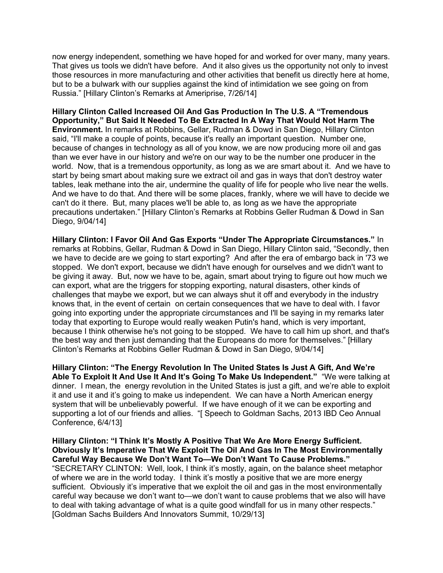now energy independent, something we have hoped for and worked for over many, many years. That gives us tools we didn't have before. And it also gives us the opportunity not only to invest those resources in more manufacturing and other activities that benefit us directly here at home, but to be a bulwark with our supplies against the kind of intimidation we see going on from Russia." [Hillary Clinton's Remarks at Ameriprise, 7/26/14]

**Hillary Clinton Called Increased Oil And Gas Production In The U.S. A "Tremendous Opportunity," But Said It Needed To Be Extracted In A Way That Would Not Harm The Environment.** In remarks at Robbins, Gellar, Rudman & Dowd in San Diego, Hillary Clinton said, "I'll make a couple of points, because it's really an important question. Number one, because of changes in technology as all of you know, we are now producing more oil and gas than we ever have in our history and we're on our way to be the number one producer in the world. Now, that is a tremendous opportunity, as long as we are smart about it. And we have to start by being smart about making sure we extract oil and gas in ways that don't destroy water tables, leak methane into the air, undermine the quality of life for people who live near the wells. And we have to do that. And there will be some places, frankly, where we will have to decide we can't do it there. But, many places we'll be able to, as long as we have the appropriate precautions undertaken." [Hillary Clinton's Remarks at Robbins Geller Rudman & Dowd in San Diego, 9/04/14]

**Hillary Clinton: I Favor Oil And Gas Exports "Under The Appropriate Circumstances."** In remarks at Robbins, Gellar, Rudman & Dowd in San Diego, Hillary Clinton said, "Secondly, then we have to decide are we going to start exporting? And after the era of embargo back in '73 we stopped. We don't export, because we didn't have enough for ourselves and we didn't want to be giving it away. But, now we have to be, again, smart about trying to figure out how much we can export, what are the triggers for stopping exporting, natural disasters, other kinds of challenges that maybe we export, but we can always shut it off and everybody in the industry knows that, in the event of certain **The certain consequences that we have to deal with.** I favor going into exporting under the appropriate circumstances and I'll be saying in my remarks later today that exporting to Europe would really weaken Putin's hand, which is very important, because I think otherwise he's not going to be stopped. We have to call him up short, and that's the best way and then just demanding that the Europeans do more for themselves." [Hillary Clinton's Remarks at Robbins Geller Rudman & Dowd in San Diego, 9/04/14]

**Hillary Clinton: "The Energy Revolution In The United States Is Just A Gift, And We're Able To Exploit It And Use It And It's Going To Make Us Independent."** "We were talking at dinner. I mean, the energy revolution in the United States is just a gift, and we're able to exploit it and use it and it's going to make us independent. We can have a North American energy system that will be unbelievably powerful. If we have enough of it we can be exporting and supporting a lot of our friends and allies. "[ Speech to Goldman Sachs, 2013 IBD Ceo Annual Conference, 6/4/13]

### **Hillary Clinton: "I Think It's Mostly A Positive That We Are More Energy Sufficient. Obviously It's Imperative That We Exploit The Oil And Gas In The Most Environmentally Careful Way Because We Don't Want To—We Don't Want To Cause Problems."**

"SECRETARY CLINTON: Well, look, I think it's mostly, again, on the balance sheet metaphor of where we are in the world today. I think it's mostly a positive that we are more energy sufficient. Obviously it's imperative that we exploit the oil and gas in the most environmentally careful way because we don't want to—we don't want to cause problems that we also will have to deal with taking advantage of what is a quite good windfall for us in many other respects." [Goldman Sachs Builders And Innovators Summit, 10/29/13]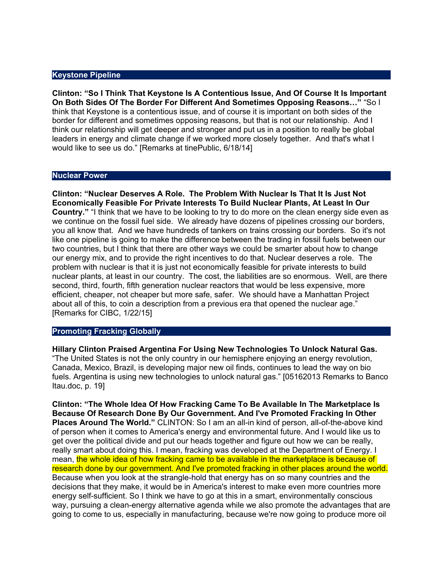#### **Keystone Pipeline**

**Clinton: "So I Think That Keystone Is A Contentious Issue, And Of Course It Is Important On Both Sides Of The Border For Different And Sometimes Opposing Reasons…"** "So I think that Keystone is a contentious issue, and of course it is important on both sides of the border for different and sometimes opposing reasons, but that is not our relationship. And I think our relationship will get deeper and stronger and put us in a position to really be global leaders in energy and climate change if we worked more closely together. And that's what I would like to see us do." [Remarks at tinePublic, 6/18/14]

#### **Nuclear Power**

**Clinton: "Nuclear Deserves A Role. The Problem With Nuclear Is That It Is Just Not Economically Feasible For Private Interests To Build Nuclear Plants, At Least In Our Country."** "I think that we have to be looking to try to do more on the clean energy side even as we continue on the fossil fuel side. We already have dozens of pipelines crossing our borders, you all know that. And we have hundreds of tankers on trains crossing our borders. So it's not like one pipeline is going to make the difference between the trading in fossil fuels between our two countries, but I think that there are other ways we could be smarter about how to change our energy mix, and to provide the right incentives to do that. Nuclear deserves a role. The problem with nuclear is that it is just not economically feasible for private interests to build nuclear plants, at least in our country. The cost, the liabilities are so enormous. Well, are there second, third, fourth, fifth generation nuclear reactors that would be less expensive, more efficient, cheaper, not cheaper but more safe, safer. We should have a Manhattan Project about all of this, to coin a description from a previous era that opened the nuclear age." [Remarks for CIBC, 1/22/15]

### **Promoting Fracking Globally**

**Hillary Clinton Praised Argentina For Using New Technologies To Unlock Natural Gas.**  "The United States is not the only country in our hemisphere enjoying an energy revolution, Canada, Mexico, Brazil, is developing major new oil finds, continues to lead the way on bio fuels. Argentina is using new technologies to unlock natural gas." [05162013 Remarks to Banco

Itau.doc, p. 19]

**Clinton: "The Whole Idea Of How Fracking Came To Be Available In The Marketplace Is Because Of Research Done By Our Government. And I've Promoted Fracking In Other Places Around The World."** CLINTON: So I am an all-in kind of person, all-of-the-above kind of person when it comes to America's energy and environmental future. And I would like us to get over the political divide and put our heads together and figure out how we can be really, really smart about doing this. I mean, fracking was developed at the Department of Energy. I mean, the whole idea of how fracking came to be available in the marketplace is because of research done by our government. And I've promoted fracking in other places around the world. Because when you look at the strangle-hold that energy has on so many countries and the decisions that they make, it would be in America's interest to make even more countries more energy self-sufficient. So I think we have to go at this in a smart, environmentally conscious way, pursuing a clean-energy alternative agenda while we also promote the advantages that are going to come to us, especially in manufacturing, because we're now going to produce more oil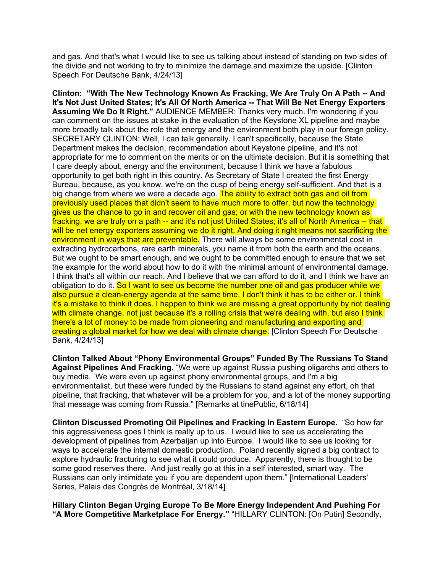and gas. And that's what I would like to see us talking about instead of standing on two sides of the divide and not working to try to minimize the damage and maximize the upside. [Clinton Speech For Deutsche Bank, 4/24/13]

**Clinton: "With The New Technology Known As Fracking, We Are Truly On A Path -- And It's Not Just United States; It's All Of North America -- That Will Be Net Energy Exporters Assuming We Do It Right."** AUDIENCE MEMBER: Thanks very much. I'm wondering if you can comment on the issues at stake in the evaluation of the Keystone XL pipeline and maybe more broadly talk about the role that energy and the environment both play in our foreign policy. SECRETARY CLINTON: Well, I can talk generally. I can't specifically, because the State Department makes the decision, recommendation about Keystone pipeline, and it's not appropriate for me to comment on the merits or on the ultimate decision. But it is something that I care deeply about, energy and the environment, because I think we have a fabulous opportunity to get both right in this country. As Secretary of State I created the first Energy Bureau, because, as you know, we're on the cusp of being energy self-sufficient. And that is a big change from where we were a decade ago. The ability to extract both gas and oil from previously used places that didn't seem to have much more to offer, but now the technology gives us the chance to go in and recover oil and gas; or with the new technology known as fracking, we are truly on a path -- and it's not just United States; it's all of North America -- that will be net energy exporters assuming we do it right. And doing it right means not sacrificing the environment in ways that are preventable. There will always be some environmental cost in extracting hydrocarbons, rare earth minerals, you name it from both the earth and the oceans. But we ought to be smart enough, and we ought to be committed enough to ensure that we set the example for the world about how to do it with the minimal amount of environmental damage. I think that's all within our reach. And I believe that we can afford to do it, and I think we have an obligation to do it. So I want to see us become the number one oil and gas producer while we also pursue a clean-energy agenda at the same time. I don't think it has to be either or. I think it's a mistake to think it does. I happen to think we are missing a great opportunity by not dealing with climate change, not just because it's a rolling crisis that we're dealing with, but also I think there's a lot of money to be made from pioneering and manufacturing and exporting and creating a global market for how we deal with climate change. [Clinton Speech For Deutsche Bank, 4/24/13]

**Clinton Talked About "Phony Environmental Groups" Funded By The Russians To Stand Against Pipelines And Fracking.** "We were up against Russia pushing oligarchs and others to buy media. We were even up against phony environmental groups, and I'm a big environmentalist, but these were funded by the Russians to stand against any effort, oh that pipeline, that fracking, that whatever will be a problem for you, and a lot of the money supporting that message was coming from Russia." [Remarks at tinePublic, 6/18/14]

**Clinton Discussed Promoting Oil Pipelines and Fracking In Eastern Europe.** "So how far this aggressiveness goes I think is really up to us. I would like to see us accelerating the development of pipelines from Azerbaijan up into Europe. I would like to see us looking for ways to accelerate the internal domestic production. Poland recently signed a big contract to explore hydraulic fracturing to see what it could produce. Apparently, there is thought to be some good reserves there. And just really go at this in a self interested, smart way. The Russians can only intimidate you if you are dependent upon them." [International Leaders' Series, Palais des Congrès de Montréal, 3/18/14]

**Hillary Clinton Began Urging Europe To Be More Energy Independent And Pushing For "A More Competitive Marketplace For Energy."** "HILLARY CLINTON: [On Putin] Secondly,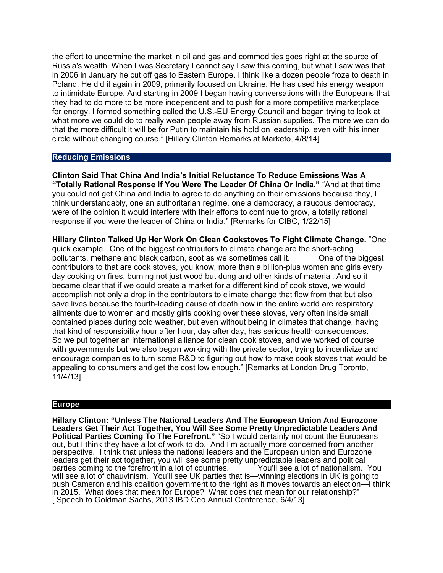the effort to undermine the market in oil and gas and commodities goes right at the source of Russia's wealth. When I was Secretary I cannot say I saw this coming, but what I saw was that in 2006 in January he cut off gas to Eastern Europe. I think like a dozen people froze to death in Poland. He did it again in 2009, primarily focused on Ukraine. He has used his energy weapon to intimidate Europe. And starting in 2009 I began having conversations with the Europeans that they had to do more to be more independent and to push for a more competitive marketplace for energy. I formed something called the U.S.-EU Energy Council and began trying to look at what more we could do to really wean people away from Russian supplies. The more we can do that the more difficult it will be for Putin to maintain his hold on leadership, even with his inner circle without changing course." [Hillary Clinton Remarks at Marketo, 4/8/14]

### **Reducing Emissions**

**Clinton Said That China And India's Initial Reluctance To Reduce Emissions Was A "Totally Rational Response If You Were The Leader Of China Or India."** "And at that time you could not get China and India to agree to do anything on their emissions because they, I think understandably, one an authoritarian regime, one a democracy, a raucous democracy, were of the opinion it would interfere with their efforts to continue to grow, a totally rational response if you were the leader of China or India." [Remarks for CIBC, 1/22/15]

**Hillary Clinton Talked Up Her Work On Clean Cookstoves To Fight Climate Change.** "One quick example. One of the biggest contributors to climate change are the short-acting pollutants, methane and black carbon, soot as we sometimes call it. One of the biggest contributors to that are cook stoves, you know, more than a billion-plus women and girls every day cooking on fires, burning not just wood but dung and other kinds of material. And so it became clear that if we could create a market for a different kind of cook stove, we would accomplish not only a drop in the contributors to climate change that flow from that but also save lives because the fourth-leading cause of death now in the entire world are respiratory ailments due to women and mostly girls cooking over these stoves, very often inside small contained places during cold weather, but even without being in climates that change, having that kind of responsibility hour after hour, day after day, has serious health consequences. So we put together an international alliance for clean cook stoves, and we worked of course with governments but we also began working with the private sector, trying to incentivize and encourage companies to turn some R&D to figuring out how to make cook stoves that would be appealing to consumers and get the cost low enough." [Remarks at London Drug Toronto, 11/4/13]

### **Europe**

**Hillary Clinton: "Unless The National Leaders And The European Union And Eurozone Leaders Get Their Act Together, You Will See Some Pretty Unpredictable Leaders And Political Parties Coming To The Forefront."** "So I would certainly not count the Europeans out, but I think they have a lot of work to do. And I'm actually more concerned from another perspective. I think that unless the national leaders and the European union and Eurozone leaders get their act together, you will see some pretty unpredictable leaders and political parties coming to the forefront in a lot of countries. You'll see a lot of nationalism. You will see a lot of chauvinism. You'll see UK parties that is—winning elections in UK is going to push Cameron and his coalition government to the right as it moves towards an election—I think in 2015. What does that mean for Europe? What does that mean for our relationship?" [ Speech to Goldman Sachs, 2013 IBD Ceo Annual Conference, 6/4/13]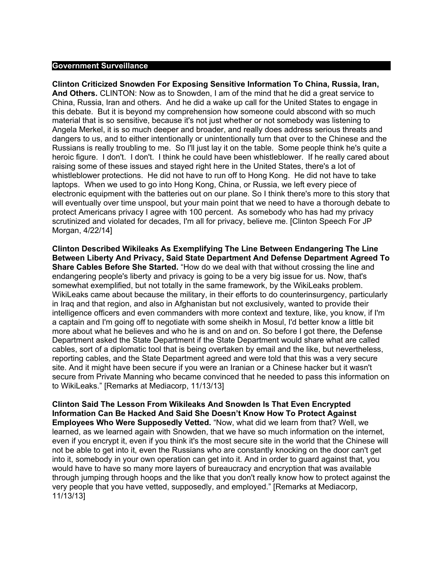#### **Government Surveillance**

**Clinton Criticized Snowden For Exposing Sensitive Information To China, Russia, Iran, And Others.** CLINTON: Now as to Snowden, I am of the mind that he did a great service to China, Russia, Iran and others. And he did a wake up call for the United States to engage in this debate. But it is beyond my comprehension how someone could abscond with so much material that is so sensitive, because it's not just whether or not somebody was listening to Angela Merkel, it is so much deeper and broader, and really does address serious threats and dangers to us, and to either intentionally or unintentionally turn that over to the Chinese and the Russians is really troubling to me. So I'll just lay it on the table. Some people think he's quite a heroic figure. I don't. I don't. I think he could have been whistleblower. If he really cared about raising some of these issues and stayed right here in the United States, there's a lot of whistleblower protections. He did not have to run off to Hong Kong. He did not have to take laptops. When we used to go into Hong Kong, China, or Russia, we left every piece of electronic equipment with the batteries out on our plane. So I think there's more to this story that will eventually over time unspool, but your main point that we need to have a thorough debate to protect Americans privacy I agree with 100 percent. As somebody who has had my privacy scrutinized and violated for decades, I'm all for privacy, believe me. [Clinton Speech For JP Morgan, 4/22/14]

**Clinton Described Wikileaks As Exemplifying The Line Between Endangering The Line Between Liberty And Privacy, Said State Department And Defense Department Agreed To Share Cables Before She Started.** "How do we deal with that without crossing the line and endangering people's liberty and privacy is going to be a very big issue for us. Now, that's somewhat exemplified, but not totally in the same framework, by the WikiLeaks problem. WikiLeaks came about because the military, in their efforts to do counterinsurgency, particularly in Iraq and that region, and also in Afghanistan but not exclusively, wanted to provide their intelligence officers and even commanders with more context and texture, like, you know, if I'm a captain and I'm going off to negotiate with some sheikh in Mosul, I'd better know a little bit more about what he believes and who he is and on and on. So before I got there, the Defense Department asked the State Department if the State Department would share what are called cables, sort of a diplomatic tool that is being overtaken by email and the like, but nevertheless, reporting cables, and the State Department agreed and were told that this was a very secure site. And it might have been secure if you were an Iranian or a Chinese hacker but it wasn't secure from Private Manning who became convinced that he needed to pass this information on to WikiLeaks." [Remarks at Mediacorp, 11/13/13]

**Clinton Said The Lesson From Wikileaks And Snowden Is That Even Encrypted Information Can Be Hacked And Said She Doesn't Know How To Protect Against Employees Who Were Supposedly Vetted.** "Now, what did we learn from that? Well, we learned, as we learned again with Snowden, that we have so much information on the internet, even if you encrypt it, even if you think it's the most secure site in the world that the Chinese will not be able to get into it, even the Russians who are constantly knocking on the door can't get into it, somebody in your own operation can get into it. And in order to guard against that, you would have to have so many more layers of bureaucracy and encryption that was available through jumping through hoops and the like that you don't really know how to protect against the very people that you have vetted, supposedly, and employed." [Remarks at Mediacorp, 11/13/13]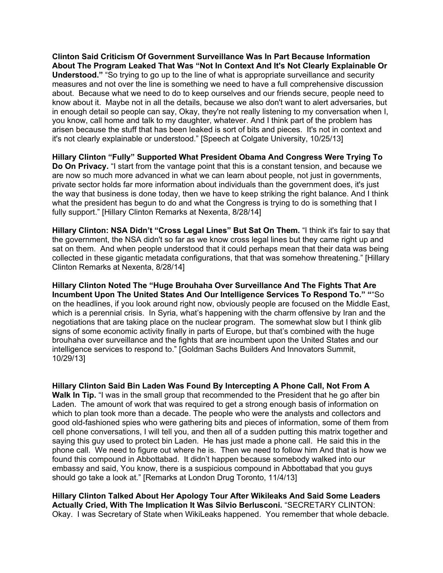**Clinton Said Criticism Of Government Surveillance Was In Part Because Information About The Program Leaked That Was "Not In Context And It's Not Clearly Explainable Or Understood."** "So trying to go up to the line of what is appropriate surveillance and security measures and not over the line is something we need to have a full comprehensive discussion about. Because what we need to do to keep ourselves and our friends secure, people need to know about it. Maybe not in all the details, because we also don't want to alert adversaries, but in enough detail so people can say, Okay, they're not really listening to my conversation when I, you know, call home and talk to my daughter, whatever. And I think part of the problem has arisen because the stuff that has been leaked is sort of bits and pieces. It's not in context and it's not clearly explainable or understood." [Speech at Colgate University, 10/25/13]

**Hillary Clinton "Fully" Supported What President Obama And Congress Were Trying To Do On Privacy.** "I start from the vantage point that this is a constant tension, and because we are now so much more advanced in what we can learn about people, not just in governments, private sector holds far more information about individuals than the government does, it's just the way that business is done today, then we have to keep striking the right balance. And I think what the president has begun to do and what the Congress is trying to do is something that I fully support." [Hillary Clinton Remarks at Nexenta, 8/28/14]

**Hillary Clinton: NSA Didn't "Cross Legal Lines" But Sat On Them.** "I think it's fair to say that the government, the NSA didn't so far as we know cross legal lines but they came right up and sat on them. And when people understood that it could perhaps mean that their data was being collected in these gigantic metadata configurations, that that was somehow threatening." [Hillary Clinton Remarks at Nexenta, 8/28/14]

**Hillary Clinton Noted The "Huge Brouhaha Over Surveillance And The Fights That Are Incumbent Upon The United States And Our Intelligence Services To Respond To." "**"So on the headlines, if you look around right now, obviously people are focused on the Middle East, which is a perennial crisis. In Syria, what's happening with the charm offensive by Iran and the negotiations that are taking place on the nuclear program. The somewhat slow but I think glib signs of some economic activity finally in parts of Europe, but that's combined with the huge brouhaha over surveillance and the fights that are incumbent upon the United States and our intelligence services to respond to." [Goldman Sachs Builders And Innovators Summit, 10/29/13]

**Hillary Clinton Said Bin Laden Was Found By Intercepting A Phone Call, Not From A**  Walk In Tip. "I was in the small group that recommended to the President that he go after bin Laden. The amount of work that was required to get a strong enough basis of information on which to plan took more than a decade. The people who were the analysts and collectors and good old-fashioned spies who were gathering bits and pieces of information, some of them from cell phone conversations, I will tell you, and then all of a sudden putting this matrix together and saying this guy used to protect bin Laden. He has just made a phone call. He said this in the phone call. We need to figure out where he is. Then we need to follow him And that is how we found this compound in Abbottabad. It didn't happen because somebody walked into our embassy and said, You know, there is a suspicious compound in Abbottabad that you guys should go take a look at." [Remarks at London Drug Toronto, 11/4/13]

**Hillary Clinton Talked About Her Apology Tour After Wikileaks And Said Some Leaders Actually Cried, With The Implication It Was Silvio Berlusconi.** "SECRETARY CLINTON: Okay. I was Secretary of State when WikiLeaks happened. You remember that whole debacle.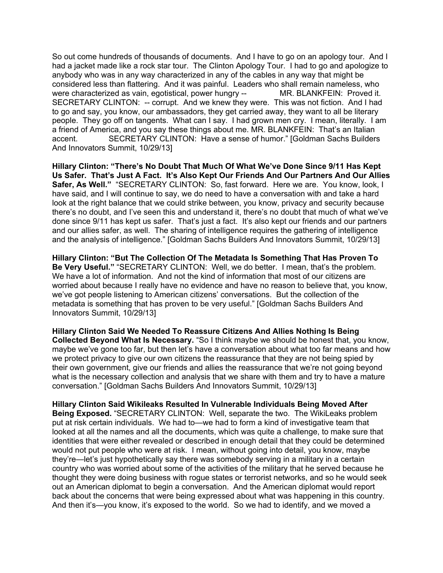So out come hundreds of thousands of documents. And I have to go on an apology tour. And I had a jacket made like a rock star tour. The Clinton Apology Tour. I had to go and apologize to anybody who was in any way characterized in any of the cables in any way that might be considered less than flattering. And it was painful. Leaders who shall remain nameless, who were characterized as vain, egotistical, power hungry -- MR. BLANKFEIN: Proved it. SECRETARY CLINTON: -- corrupt. And we knew they were. This was not fiction. And I had to go and say, you know, our ambassadors, they get carried away, they want to all be literary people. They go off on tangents. What can I say. I had grown men cry. I mean, literally. I am a friend of America, and you say these things about me. MR. BLANKFEIN: That's an Italian accent. SECRETARY CLINTON: Have a sense of humor." [Goldman Sachs Builders And Innovators Summit, 10/29/13]

**Hillary Clinton: "There's No Doubt That Much Of What We've Done Since 9/11 Has Kept Us Safer. That's Just A Fact. It's Also Kept Our Friends And Our Partners And Our Allies Safer, As Well."** "SECRETARY CLINTON: So, fast forward. Here we are. You know, look, I have said, and I will continue to say, we do need to have a conversation with and take a hard look at the right balance that we could strike between, you know, privacy and security because there's no doubt, and I've seen this and understand it, there's no doubt that much of what we've done since 9/11 has kept us safer. That's just a fact. It's also kept our friends and our partners and our allies safer, as well. The sharing of intelligence requires the gathering of intelligence and the analysis of intelligence." [Goldman Sachs Builders And Innovators Summit, 10/29/13]

**Hillary Clinton: "But The Collection Of The Metadata Is Something That Has Proven To Be Very Useful."** "SECRETARY CLINTON: Well, we do better. I mean, that's the problem. We have a lot of information. And not the kind of information that most of our citizens are worried about because I really have no evidence and have no reason to believe that, you know, we've got people listening to American citizens' conversations. But the collection of the metadata is something that has proven to be very useful." [Goldman Sachs Builders And Innovators Summit, 10/29/13]

**Hillary Clinton Said We Needed To Reassure Citizens And Allies Nothing Is Being Collected Beyond What Is Necessary.** "So I think maybe we should be honest that, you know, maybe we've gone too far, but then let's have a conversation about what too far means and how we protect privacy to give our own citizens the reassurance that they are not being spied by their own government, give our friends and allies the reassurance that we're not going beyond what is the necessary collection and analysis that we share with them and try to have a mature conversation." [Goldman Sachs Builders And Innovators Summit, 10/29/13]

**Hillary Clinton Said Wikileaks Resulted In Vulnerable Individuals Being Moved After Being Exposed.** "SECRETARY CLINTON: Well, separate the two. The WikiLeaks problem put at risk certain individuals. We had to—we had to form a kind of investigative team that looked at all the names and all the documents, which was quite a challenge, to make sure that identities that were either revealed or described in enough detail that they could be determined would not put people who were at risk. I mean, without going into detail, you know, maybe they're—let's just hypothetically say there was somebody serving in a military in a certain country who was worried about some of the activities of the military that he served because he thought they were doing business with rogue states or terrorist networks, and so he would seek out an American diplomat to begin a conversation. And the American diplomat would report back about the concerns that were being expressed about what was happening in this country. And then it's—you know, it's exposed to the world. So we had to identify, and we moved a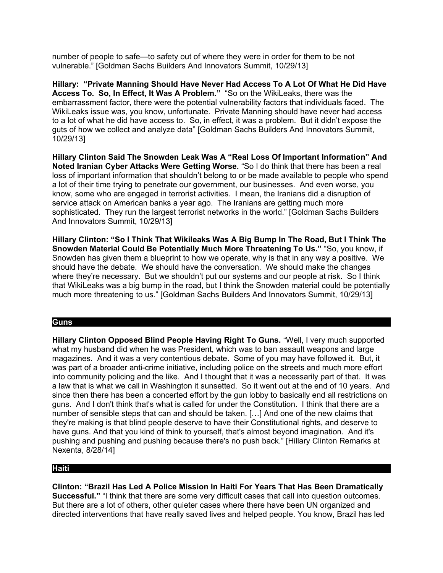number of people to safe—to safety out of where they were in order for them to be not vulnerable." [Goldman Sachs Builders And Innovators Summit, 10/29/13]

**Hillary: "Private Manning Should Have Never Had Access To A Lot Of What He Did Have Access To. So, In Effect, It Was A Problem."** "So on the WikiLeaks, there was the embarrassment factor, there were the potential vulnerability factors that individuals faced. The WikiLeaks issue was, you know, unfortunate. Private Manning should have never had access to a lot of what he did have access to. So, in effect, it was a problem. But it didn't expose the guts of how we collect and analyze data" [Goldman Sachs Builders And Innovators Summit, 10/29/13]

**Hillary Clinton Said The Snowden Leak Was A "Real Loss Of Important Information" And Noted Iranian Cyber Attacks Were Getting Worse.** "So I do think that there has been a real loss of important information that shouldn't belong to or be made available to people who spend a lot of their time trying to penetrate our government, our businesses. And even worse, you know, some who are engaged in terrorist activities. I mean, the Iranians did a disruption of service attack on American banks a year ago. The Iranians are getting much more sophisticated. They run the largest terrorist networks in the world." [Goldman Sachs Builders And Innovators Summit, 10/29/13]

**Hillary Clinton: "So I Think That Wikileaks Was A Big Bump In The Road, But I Think The Snowden Material Could Be Potentially Much More Threatening To Us."** "So, you know, if Snowden has given them a blueprint to how we operate, why is that in any way a positive. We should have the debate. We should have the conversation. We should make the changes where they're necessary. But we shouldn't put our systems and our people at risk. So I think that WikiLeaks was a big bump in the road, but I think the Snowden material could be potentially much more threatening to us." [Goldman Sachs Builders And Innovators Summit, 10/29/13]

### **Guns**

**Hillary Clinton Opposed Blind People Having Right To Guns.** "Well, I very much supported what my husband did when he was President, which was to ban assault weapons and large magazines. And it was a very contentious debate. Some of you may have followed it. But, it was part of a broader anti-crime initiative, including police on the streets and much more effort into community policing and the like. And I thought that it was a necessarily part of that. It was a law that is what we call in Washington it sunsetted. So it went out at the end of 10 years. And since then there has been a concerted effort by the gun lobby to basically end all restrictions on guns. And I don't think that's what is called for under the Constitution. I think that there are a number of sensible steps that can and should be taken. […] And one of the new claims that they're making is that blind people deserve to have their Constitutional rights, and deserve to have guns. And that you kind of think to yourself, that's almost beyond imagination. And it's pushing and pushing and pushing because there's no push back." [Hillary Clinton Remarks at Nexenta, 8/28/14]

### **Haiti**

**Clinton: "Brazil Has Led A Police Mission In Haiti For Years That Has Been Dramatically Successful."** "I think that there are some very difficult cases that call into question outcomes. But there are a lot of others, other quieter cases where there have been UN organized and directed interventions that have really saved lives and helped people. You know, Brazil has led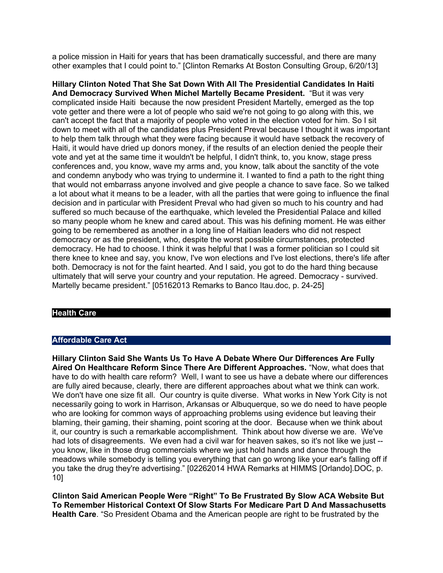a police mission in Haiti for years that has been dramatically successful, and there are many other examples that I could point to." [Clinton Remarks At Boston Consulting Group, 6/20/13]

**Hillary Clinton Noted That She Sat Down With All The Presidential Candidates In Haiti And Democracy Survived When Michel Martelly Became President.** "But it was very complicated inside Haiti because the now president President Martelly, emerged as the top vote getter and there were a lot of people who said we're not going to go along with this, we can't accept the fact that a majority of people who voted in the election voted for him. So I sit down to meet with all of the candidates plus President Preval because I thought it was important to help them talk through what they were facing because it would have setback the recovery of Haiti, it would have dried up donors money, if the results of an election denied the people their vote and yet at the same time it wouldn't be helpful, I didn't think, to, you know, stage press conferences and, you know, wave my arms and, you know, talk about the sanctity of the vote and condemn anybody who was trying to undermine it. I wanted to find a path to the right thing that would not embarrass anyone involved and give people a chance to save face. So we talked a lot about what it means to be a leader, with all the parties that were going to influence the final decision and in particular with President Preval who had given so much to his country and had suffered so much because of the earthquake, which leveled the Presidential Palace and killed so many people whom he knew and cared about. This was his defining moment. He was either going to be remembered as another in a long line of Haitian leaders who did not respect democracy or as the president, who, despite the worst possible circumstances, protected democracy. He had to choose. I think it was helpful that I was a former politician so I could sit there knee to knee and say, you know, I've won elections and I've lost elections, there's life after both. Democracy is not for the faint hearted. And I said, you got to do the hard thing because ultimately that will serve your country and your reputation. He agreed. Democracy - survived. Martelly became president." [05162013 Remarks to Banco Itau.doc, p. 24-25]

### **Health Care**

## **Affordable Care Act**

**Hillary Clinton Said She Wants Us To Have A Debate Where Our Differences Are Fully Aired On Healthcare Reform Since There Are Different Approaches.** "Now, what does that have to do with health care reform? Well, I want to see us have a debate where our differences are fully aired because, clearly, there are different approaches about what we think can work. We don't have one size fit all. Our country is quite diverse. What works in New York City is not necessarily going to work in Harrison, Arkansas or Albuquerque, so we do need to have people who are looking for common ways of approaching problems using evidence but leaving their blaming, their gaming, their shaming, point scoring at the door. Because when we think about it, our country is such a remarkable accomplishment. Think about how diverse we are. We've had lots of disagreements. We even had a civil war for heaven sakes, so it's not like we just -you know, like in those drug commercials where we just hold hands and dance through the meadows while somebody is telling you everything that can go wrong like your ear's falling off if you take the drug they're advertising." [02262014 HWA Remarks at HIMMS [Orlando].DOC, p. 10]

**Clinton Said American People Were "Right" To Be Frustrated By Slow ACA Website But To Remember Historical Context Of Slow Starts For Medicare Part D And Massachusetts Health Care**. "So President Obama and the American people are right to be frustrated by the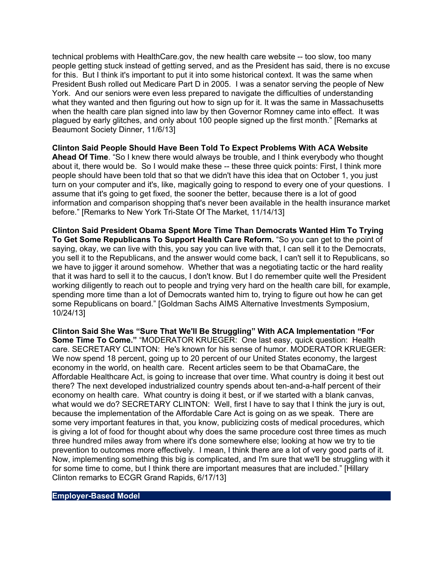technical problems with HealthCare.gov, the new health care website -- too slow, too many people getting stuck instead of getting served, and as the President has said, there is no excuse for this. But I think it's important to put it into some historical context. It was the same when President Bush rolled out Medicare Part D in 2005. I was a senator serving the people of New York. And our seniors were even less prepared to navigate the difficulties of understanding what they wanted and then figuring out how to sign up for it. It was the same in Massachusetts when the health care plan signed into law by then Governor Romney came into effect. It was plagued by early glitches, and only about 100 people signed up the first month." [Remarks at Beaumont Society Dinner, 11/6/13]

**Clinton Said People Should Have Been Told To Expect Problems With ACA Website Ahead Of Time**. "So I knew there would always be trouble, and I think everybody who thought about it, there would be. So I would make these -- these three quick points: First, I think more people should have been told that so that we didn't have this idea that on October 1, you just turn on your computer and it's, like, magically going to respond to every one of your questions. I assume that it's going to get fixed, the sooner the better, because there is a lot of good information and comparison shopping that's never been available in the health insurance market before." [Remarks to New York Tri-State Of The Market, 11/14/13]

**Clinton Said President Obama Spent More Time Than Democrats Wanted Him To Trying To Get Some Republicans To Support Health Care Reform.** "So you can get to the point of saying, okay, we can live with this, you say you can live with that, I can sell it to the Democrats, you sell it to the Republicans, and the answer would come back, I can't sell it to Republicans, so we have to jigger it around somehow. Whether that was a negotiating tactic or the hard reality that it was hard to sell it to the caucus, I don't know. But I do remember quite well the President working diligently to reach out to people and trying very hard on the health care bill, for example, spending more time than a lot of Democrats wanted him to, trying to figure out how he can get some Republicans on board." [Goldman Sachs AIMS Alternative Investments Symposium, 10/24/13]

**Clinton Said She Was "Sure That We'll Be Struggling" With ACA Implementation "For Some Time To Come."** "MODERATOR KRUEGER: One last easy, quick question: Health care. SECRETARY CLINTON: He's known for his sense of humor. MODERATOR KRUEGER: We now spend 18 percent, going up to 20 percent of our United States economy, the largest economy in the world, on health care. Recent articles seem to be that ObamaCare, the Affordable Healthcare Act, is going to increase that over time. What country is doing it best out there? The next developed industrialized country spends about ten-and-a-half percent of their economy on health care. What country is doing it best, or if we started with a blank canvas, what would we do? SECRETARY CLINTON: Well, first I have to say that I think the jury is out, because the implementation of the Affordable Care Act is going on as we speak. There are some very important features in that, you know, publicizing costs of medical procedures, which is giving a lot of food for thought about why does the same procedure cost three times as much three hundred miles away from where it's done somewhere else; looking at how we try to tie prevention to outcomes more effectively. I mean, I think there are a lot of very good parts of it. Now, implementing something this big is complicated, and I'm sure that we'll be struggling with it for some time to come, but I think there are important measures that are included." [Hillary Clinton remarks to ECGR Grand Rapids, 6/17/13]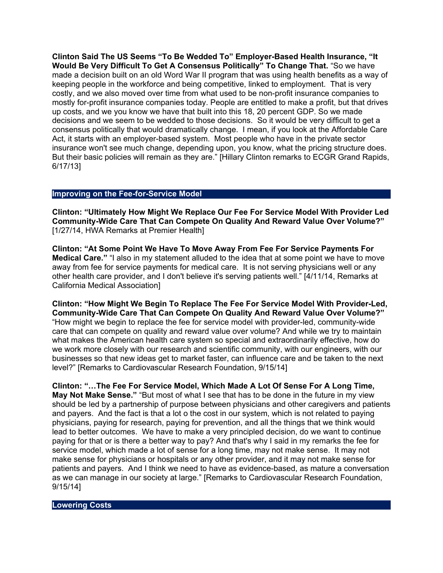**Clinton Said The US Seems "To Be Wedded To" Employer-Based Health Insurance, "It Would Be Very Difficult To Get A Consensus Politically" To Change That.** "So we have made a decision built on an old Word War II program that was using health benefits as a way of keeping people in the workforce and being competitive, linked to employment. That is very costly, and we also moved over time from what used to be non-profit insurance companies to mostly for-profit insurance companies today. People are entitled to make a profit, but that drives up costs, and we you know we have that built into this 18, 20 percent GDP. So we made decisions and we seem to be wedded to those decisions. So it would be very difficult to get a consensus politically that would dramatically change. I mean, if you look at the Affordable Care Act, it starts with an employer-based system. Most people who have in the private sector insurance won't see much change, depending upon, you know, what the pricing structure does. But their basic policies will remain as they are." [Hillary Clinton remarks to ECGR Grand Rapids, 6/17/13]

### **Improving on the Fee-for-Service Model**

**Clinton: "Ultimately How Might We Replace Our Fee For Service Model With Provider Led Community-Wide Care That Can Compete On Quality And Reward Value Over Volume?"** [1/27/14, HWA Remarks at Premier Health]

**Clinton: "At Some Point We Have To Move Away From Fee For Service Payments For Medical Care."** "I also in my statement alluded to the idea that at some point we have to move away from fee for service payments for medical care. It is not serving physicians well or any other health care provider, and I don't believe it's serving patients well." [4/11/14, Remarks at California Medical Association]

**Clinton: "How Might We Begin To Replace The Fee For Service Model With Provider-Led, Community-Wide Care That Can Compete On Quality And Reward Value Over Volume?"** "How might we begin to replace the fee for service model with provider-led, community-wide care that can compete on quality and reward value over volume? And while we try to maintain what makes the American health care system so special and extraordinarily effective, how do we work more closely with our research and scientific community, with our engineers, with our businesses so that new ideas get to market faster, can influence care and be taken to the next level?" [Remarks to Cardiovascular Research Foundation, 9/15/14]

**Clinton: "…The Fee For Service Model, Which Made A Lot Of Sense For A Long Time, May Not Make Sense."** "But most of what I see that has to be done in the future in my view should be led by a partnership of purpose between physicians and other caregivers and patients and payers. And the fact is that a lot o the cost in our system, which is not related to paying physicians, paying for research, paying for prevention, and all the things that we think would lead to better outcomes. We have to make a very principled decision, do we want to continue paying for that or is there a better way to pay? And that's why I said in my remarks the fee for service model, which made a lot of sense for a long time, may not make sense. It may not make sense for physicians or hospitals or any other provider, and it may not make sense for patients and payers. And I think we need to have as evidence-based, as mature a conversation as we can manage in our society at large." [Remarks to Cardiovascular Research Foundation, 9/15/14]

**Lowering Costs**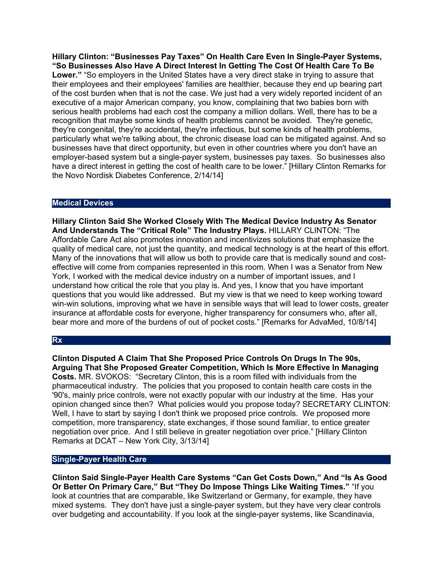**Hillary Clinton: "Businesses Pay Taxes" On Health Care Even In Single-Payer Systems, "So Businesses Also Have A Direct Interest In Getting The Cost Of Health Care To Be Lower."** "So employers in the United States have a very direct stake in trying to assure that their employees and their employees' families are healthier, because they end up bearing part of the cost burden when that is not the case. We just had a very widely reported incident of an executive of a major American company, you know, complaining that two babies born with serious health problems had each cost the company a million dollars. Well, there has to be a recognition that maybe some kinds of health problems cannot be avoided. They're genetic, they're congenital, they're accidental, they're infectious, but some kinds of health problems, particularly what we're talking about, the chronic disease load can be mitigated against. And so businesses have that direct opportunity, but even in other countries where you don't have an employer-based system but a single-payer system, businesses pay taxes. So businesses also have a direct interest in getting the cost of health care to be lower." [Hillary Clinton Remarks for the Novo Nordisk Diabetes Conference, 2/14/14]

#### **Medical Devices**

**Hillary Clinton Said She Worked Closely With The Medical Device Industry As Senator And Understands The "Critical Role" The Industry Plays.** HILLARY CLINTON: "The Affordable Care Act also promotes innovation and incentivizes solutions that emphasize the quality of medical care, not just the quantity, and medical technology is at the heart of this effort. Many of the innovations that will allow us both to provide care that is medically sound and costeffective will come from companies represented in this room. When I was a Senator from New York, I worked with the medical device industry on a number of important issues, and I understand how critical the role that you play is. And yes, I know that you have important questions that you would like addressed. But my view is that we need to keep working toward win-win solutions, improving what we have in sensible ways that will lead to lower costs, greater insurance at affordable costs for everyone, higher transparency for consumers who, after all, bear more and more of the burdens of out of pocket costs." [Remarks for AdvaMed, 10/8/14]

### **Rx**

**Clinton Disputed A Claim That She Proposed Price Controls On Drugs In The 90s, Arguing That She Proposed Greater Competition, Which Is More Effective In Managing Costs.** MR. SVOKOS: "Secretary Clinton, this is a room filled with individuals from the pharmaceutical industry. The policies that you proposed to contain health care costs in the '90's, mainly price controls, were not exactly popular with our industry at the time. Has your opinion changed since then? What policies would you propose today? SECRETARY CLINTON: Well, I have to start by saying I don't think we proposed price controls. We proposed more competition, more transparency, state exchanges, if those sound familiar, to entice greater negotiation over price. And I still believe in greater negotiation over price." [Hillary Clinton Remarks at DCAT – New York City, 3/13/14]

# **Single-Payer Health Care**

**Clinton Said Single-Payer Health Care Systems "Can Get Costs Down," And "Is As Good Or Better On Primary Care," But "They Do Impose Things Like Waiting Times."** "If you look at countries that are comparable, like Switzerland or Germany, for example, they have mixed systems. They don't have just a single-payer system, but they have very clear controls over budgeting and accountability. If you look at the single-payer systems, like Scandinavia,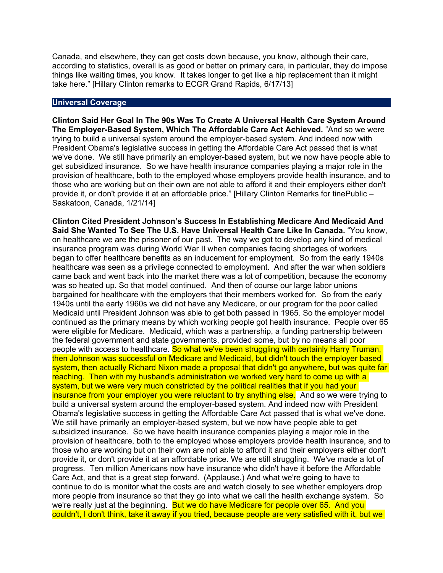Canada, and elsewhere, they can get costs down because, you know, although their care, according to statistics, overall is as good or better on primary care, in particular, they do impose things like waiting times, you know. It takes longer to get like a hip replacement than it might take here." [Hillary Clinton remarks to ECGR Grand Rapids, 6/17/13]

#### **Universal Coverage**

**Clinton Said Her Goal In The 90s Was To Create A Universal Health Care System Around The Employer-Based System, Which The Affordable Care Act Achieved.** "And so we were trying to build a universal system around the employer-based system. And indeed now with President Obama's legislative success in getting the Affordable Care Act passed that is what we've done. We still have primarily an employer-based system, but we now have people able to get subsidized insurance. So we have health insurance companies playing a major role in the provision of healthcare, both to the employed whose employers provide health insurance, and to those who are working but on their own are not able to afford it and their employers either don't provide it, or don't provide it at an affordable price." [Hillary Clinton Remarks for tinePublic – Saskatoon, Canada, 1/21/14]

**Clinton Cited President Johnson's Success In Establishing Medicare And Medicaid And Said She Wanted To See The U.S. Have Universal Health Care Like In Canada.** "You know, on healthcare we are the prisoner of our past. The way we got to develop any kind of medical insurance program was during World War II when companies facing shortages of workers began to offer healthcare benefits as an inducement for employment. So from the early 1940s healthcare was seen as a privilege connected to employment. And after the war when soldiers came back and went back into the market there was a lot of competition, because the economy was so heated up. So that model continued. And then of course our large labor unions bargained for healthcare with the employers that their members worked for. So from the early 1940s until the early 1960s we did not have any Medicare, or our program for the poor called Medicaid until President Johnson was able to get both passed in 1965. So the employer model continued as the primary means by which working people got health insurance. People over 65 were eligible for Medicare. Medicaid, which was a partnership, a funding partnership between the federal government and state governments, provided some, but by no means all poor people with access to healthcare. So what we've been struggling with certainly Harry Truman, then Johnson was successful on Medicare and Medicaid, but didn't touch the employer based system, then actually Richard Nixon made a proposal that didn't go anywhere, but was quite far reaching. Then with my husband's administration we worked very hard to come up with a system, but we were very much constricted by the political realities that if you had your insurance from your employer you were reluctant to try anything else. And so we were trying to build a universal system around the employer-based system. And indeed now with President Obama's legislative success in getting the Affordable Care Act passed that is what we've done. We still have primarily an employer-based system, but we now have people able to get subsidized insurance. So we have health insurance companies playing a major role in the provision of healthcare, both to the employed whose employers provide health insurance, and to those who are working but on their own are not able to afford it and their employers either don't provide it, or don't provide it at an affordable price. We are still struggling. We've made a lot of progress. Ten million Americans now have insurance who didn't have it before the Affordable Care Act, and that is a great step forward. (Applause.) And what we're going to have to continue to do is monitor what the costs are and watch closely to see whether employers drop more people from insurance so that they go into what we call the health exchange system. So we're really just at the beginning. But we do have Medicare for people over 65. And you couldn't, I don't think, take it away if you tried, because people are very satisfied with it, but we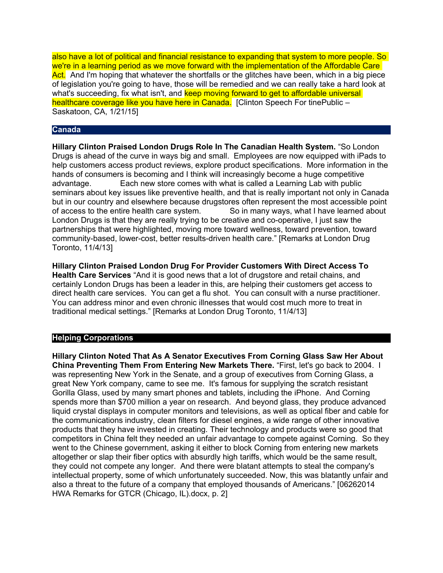also have a lot of political and financial resistance to expanding that system to more people. So we're in a learning period as we move forward with the implementation of the Affordable Care Act. And I'm hoping that whatever the shortfalls or the glitches have been, which in a big piece of legislation you're going to have, those will be remedied and we can really take a hard look at what's succeeding, fix what isn't, and keep moving forward to get to affordable universal healthcare coverage like you have here in Canada. [Clinton Speech For tinePublic – Saskatoon, CA, 1/21/15]

#### **Canada**

**Hillary Clinton Praised London Drugs Role In The Canadian Health System.** "So London Drugs is ahead of the curve in ways big and small. Employees are now equipped with iPads to help customers access product reviews, explore product specifications. More information in the hands of consumers is becoming and I think will increasingly become a huge competitive advantage. Each new store comes with what is called a Learning Lab with public seminars about key issues like preventive health, and that is really important not only in Canada but in our country and elsewhere because drugstores often represent the most accessible point of access to the entire health care system. So in many ways, what I have learned about London Drugs is that they are really trying to be creative and co-operative, I just saw the partnerships that were highlighted, moving more toward wellness, toward prevention, toward community-based, lower-cost, better results-driven health care." [Remarks at London Drug Toronto, 11/4/13]

**Hillary Clinton Praised London Drug For Provider Customers With Direct Access To Health Care Services** "And it is good news that a lot of drugstore and retail chains, and certainly London Drugs has been a leader in this, are helping their customers get access to direct health care services. You can get a flu shot. You can consult with a nurse practitioner. You can address minor and even chronic illnesses that would cost much more to treat in traditional medical settings." [Remarks at London Drug Toronto, 11/4/13]

### **Helping Corporations**

**Hillary Clinton Noted That As A Senator Executives From Corning Glass Saw Her About China Preventing Them From Entering New Markets There.** "First, let's go back to 2004. I was representing New York in the Senate, and a group of executives from Corning Glass, a great New York company, came to see me. It's famous for supplying the scratch resistant Gorilla Glass, used by many smart phones and tablets, including the iPhone. And Corning spends more than \$700 million a year on research. And beyond glass, they produce advanced liquid crystal displays in computer monitors and televisions, as well as optical fiber and cable for the communications industry, clean filters for diesel engines, a wide range of other innovative products that they have invested in creating. Their technology and products were so good that competitors in China felt they needed an unfair advantage to compete against Corning. So they went to the Chinese government, asking it either to block Corning from entering new markets altogether or slap their fiber optics with absurdly high tariffs, which would be the same result, they could not compete any longer. And there were blatant attempts to steal the company's intellectual property, some of which unfortunately succeeded. Now, this was blatantly unfair and also a threat to the future of a company that employed thousands of Americans." [06262014 HWA Remarks for GTCR (Chicago, IL).docx, p. 2]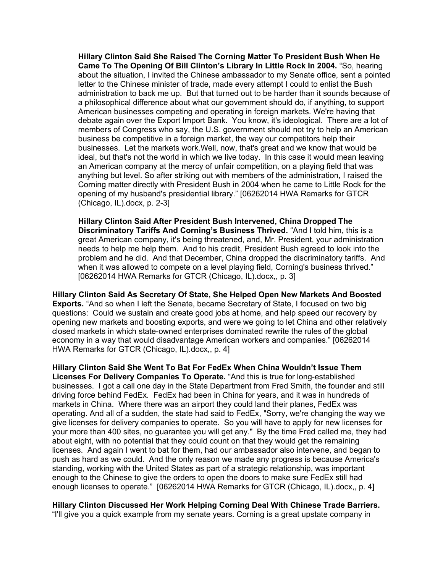**Hillary Clinton Said She Raised The Corning Matter To President Bush When He Came To The Opening Of Bill Clinton's Library In Little Rock In 2004.** "So, hearing about the situation, I invited the Chinese ambassador to my Senate office, sent a pointed letter to the Chinese minister of trade, made every attempt I could to enlist the Bush administration to back me up. But that turned out to be harder than it sounds because of a philosophical difference about what our government should do, if anything, to support American businesses competing and operating in foreign markets. We're having that debate again over the Export Import Bank. You know, it's ideological. There are a lot of members of Congress who say, the U.S. government should not try to help an American business be competitive in a foreign market, the way our competitors help their businesses. Let the markets work.Well, now, that's great and we know that would be ideal, but that's not the world in which we live today. In this case it would mean leaving an American company at the mercy of unfair competition, on a playing field that was anything but level. So after striking out with members of the administration, I raised the Corning matter directly with President Bush in 2004 when he came to Little Rock for the opening of my husband's presidential library." [06262014 HWA Remarks for GTCR (Chicago, IL).docx, p. 2-3]

**Hillary Clinton Said After President Bush Intervened, China Dropped The Discriminatory Tariffs And Corning's Business Thrived.** "And I told him, this is a great American company, it's being threatened, and, Mr. President, your administration needs to help me help them. And to his credit, President Bush agreed to look into the problem and he did. And that December, China dropped the discriminatory tariffs. And when it was allowed to compete on a level playing field, Corning's business thrived." [06262014 HWA Remarks for GTCR (Chicago, IL).docx,, p. 3]

**Hillary Clinton Said As Secretary Of State, She Helped Open New Markets And Boosted Exports.** "And so when I left the Senate, became Secretary of State, I focused on two big questions: Could we sustain and create good jobs at home, and help speed our recovery by opening new markets and boosting exports, and were we going to let China and other relatively closed markets in which state-owned enterprises dominated rewrite the rules of the global economy in a way that would disadvantage American workers and companies." [06262014 HWA Remarks for GTCR (Chicago, IL).docx,, p. 4]

**Hillary Clinton Said She Went To Bat For FedEx When China Wouldn't Issue Them Licenses For Delivery Companies To Operate.** "And this is true for long-established businesses. I got a call one day in the State Department from Fred Smith, the founder and still driving force behind FedEx. FedEx had been in China for years, and it was in hundreds of markets in China. Where there was an airport they could land their planes, FedEx was operating. And all of a sudden, the state had said to FedEx, "Sorry, we're changing the way we give licenses for delivery companies to operate. So you will have to apply for new licenses for your more than 400 sites, no guarantee you will get any." By the time Fred called me, they had about eight, with no potential that they could count on that they would get the remaining licenses. And again I went to bat for them, had our ambassador also intervene, and began to push as hard as we could. And the only reason we made any progress is because America's standing, working with the United States as part of a strategic relationship, was important enough to the Chinese to give the orders to open the doors to make sure FedEx still had enough licenses to operate." [06262014 HWA Remarks for GTCR (Chicago, IL).docx,, p. 4]

#### **Hillary Clinton Discussed Her Work Helping Corning Deal With Chinese Trade Barriers.**

"I'll give you a quick example from my senate years. Corning is a great upstate company in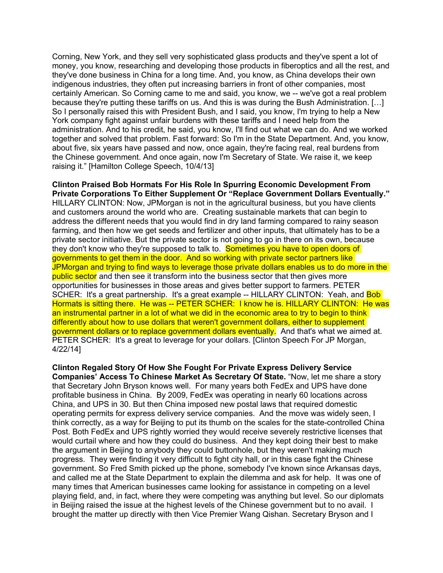Corning, New York, and they sell very sophisticated glass products and they've spent a lot of money, you know, researching and developing those products in fiberoptics and all the rest, and they've done business in China for a long time. And, you know, as China develops their own indigenous industries, they often put increasing barriers in front of other companies, most certainly American. So Corning came to me and said, you know, we -- we've got a real problem because they're putting these tariffs on us. And this is was during the Bush Administration. […] So I personally raised this with President Bush, and I said, you know, I'm trying to help a New York company fight against unfair burdens with these tariffs and I need help from the administration. And to his credit, he said, you know, I'll find out what we can do. And we worked together and solved that problem. Fast forward: So I'm in the State Department. And, you know, about five, six years have passed and now, once again, they're facing real, real burdens from the Chinese government. And once again, now I'm Secretary of State. We raise it, we keep raising it." [Hamilton College Speech, 10/4/13]

**Clinton Praised Bob Hormats For His Role In Spurring Economic Development From Private Corporations To Either Supplement Or "Replace Government Dollars Eventually."** HILLARY CLINTON: Now, JPMorgan is not in the agricultural business, but you have clients and customers around the world who are. Creating sustainable markets that can begin to address the different needs that you would find in dry land farming compared to rainy season farming, and then how we get seeds and fertilizer and other inputs, that ultimately has to be a private sector initiative. But the private sector is not going to go in there on its own, because they don't know who they're supposed to talk to. Sometimes you have to open doors of governments to get them in the door. And so working with private sector partners like JPMorgan and trying to find ways to leverage those private dollars enables us to do more in the public sector and then see it transform into the business sector that then gives more opportunities for businesses in those areas and gives better support to farmers. PETER SCHER: It's a great partnership. It's a great example -- HILLARY CLINTON: Yeah, and **Bob** Hormats is sitting there. He was -- PETER SCHER: I know he is. HILLARY CLINTON: He was an instrumental partner in a lot of what we did in the economic area to try to begin to think differently about how to use dollars that weren't government dollars, either to supplement government dollars or to replace government dollars eventually. And that's what we aimed at. PETER SCHER: It's a great to leverage for your dollars. [Clinton Speech For JP Morgan, 4/22/14]

**Clinton Regaled Story Of How She Fought For Private Express Delivery Service Companies' Access To Chinese Market As Secretary Of State.** "Now, let me share a story that Secretary John Bryson knows well. For many years both FedEx and UPS have done profitable business in China. By 2009, FedEx was operating in nearly 60 locations across China, and UPS in 30. But then China imposed new postal laws that required domestic operating permits for express delivery service companies. And the move was widely seen, I think correctly, as a way for Beijing to put its thumb on the scales for the state-controlled China Post. Both FedEx and UPS rightly worried they would receive severely restrictive licenses that would curtail where and how they could do business. And they kept doing their best to make the argument in Beijing to anybody they could buttonhole, but they weren't making much progress. They were finding it very difficult to fight city hall, or in this case fight the Chinese government. So Fred Smith picked up the phone, somebody I've known since Arkansas days, and called me at the State Department to explain the dilemma and ask for help. It was one of many times that American businesses came looking for assistance in competing on a level playing field, and, in fact, where they were competing was anything but level. So our diplomats in Beijing raised the issue at the highest levels of the Chinese government but to no avail. I brought the matter up directly with then Vice Premier Wang Qishan. Secretary Bryson and I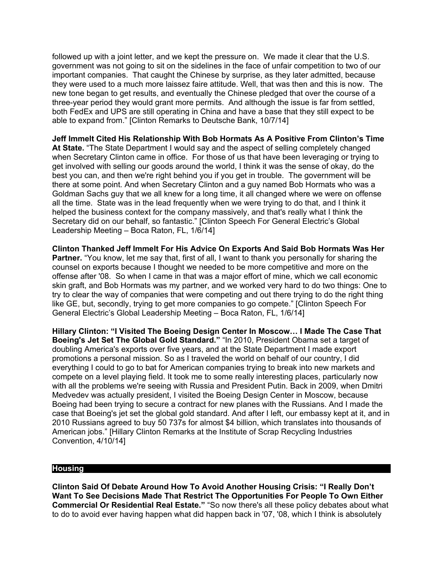followed up with a joint letter, and we kept the pressure on. We made it clear that the U.S. government was not going to sit on the sidelines in the face of unfair competition to two of our important companies. That caught the Chinese by surprise, as they later admitted, because they were used to a much more laissez faire attitude. Well, that was then and this is now. The new tone began to get results, and eventually the Chinese pledged that over the course of a three-year period they would grant more permits. And although the issue is far from settled, both FedEx and UPS are still operating in China and have a base that they still expect to be able to expand from." [Clinton Remarks to Deutsche Bank, 10/7/14]

**Jeff Immelt Cited His Relationship With Bob Hormats As A Positive From Clinton's Time At State.** "The State Department I would say and the aspect of selling completely changed when Secretary Clinton came in office. For those of us that have been leveraging or trying to get involved with selling our goods around the world, I think it was the sense of okay, do the best you can, and then we're right behind you if you get in trouble. The government will be there at some point. And when Secretary Clinton and a guy named Bob Hormats who was a Goldman Sachs guy that we all knew for a long time, it all changed where we were on offense all the time. State was in the lead frequently when we were trying to do that, and I think it helped the business context for the company massively, and that's really what I think the Secretary did on our behalf, so fantastic." [Clinton Speech For General Electric's Global Leadership Meeting – Boca Raton, FL, 1/6/14]

**Clinton Thanked Jeff Immelt For His Advice On Exports And Said Bob Hormats Was Her Partner.** "You know, let me say that, first of all, I want to thank you personally for sharing the counsel on exports because I thought we needed to be more competitive and more on the offense after '08. So when I came in that was a major effort of mine, which we call economic skin graft, and Bob Hormats was my partner, and we worked very hard to do two things: One to try to clear the way of companies that were competing and out there trying to do the right thing like GE, but, secondly, trying to get more companies to go compete." [Clinton Speech For General Electric's Global Leadership Meeting – Boca Raton, FL, 1/6/14]

**Hillary Clinton: "I Visited The Boeing Design Center In Moscow… I Made The Case That Boeing's Jet Set The Global Gold Standard."** "In 2010, President Obama set a target of doubling America's exports over five years, and at the State Department I made export promotions a personal mission. So as I traveled the world on behalf of our country, I did everything I could to go to bat for American companies trying to break into new markets and compete on a level playing field. It took me to some really interesting places, particularly now with all the problems we're seeing with Russia and President Putin. Back in 2009, when Dmitri Medvedev was actually president, I visited the Boeing Design Center in Moscow, because Boeing had been trying to secure a contract for new planes with the Russians. And I made the case that Boeing's jet set the global gold standard. And after I left, our embassy kept at it, and in 2010 Russians agreed to buy 50 737s for almost \$4 billion, which translates into thousands of American jobs." [Hillary Clinton Remarks at the Institute of Scrap Recycling Industries Convention, 4/10/14]

## **Housing**

**Clinton Said Of Debate Around How To Avoid Another Housing Crisis: "I Really Don't Want To See Decisions Made That Restrict The Opportunities For People To Own Either Commercial Or Residential Real Estate."** "So now there's all these policy debates about what to do to avoid ever having happen what did happen back in '07, '08, which I think is absolutely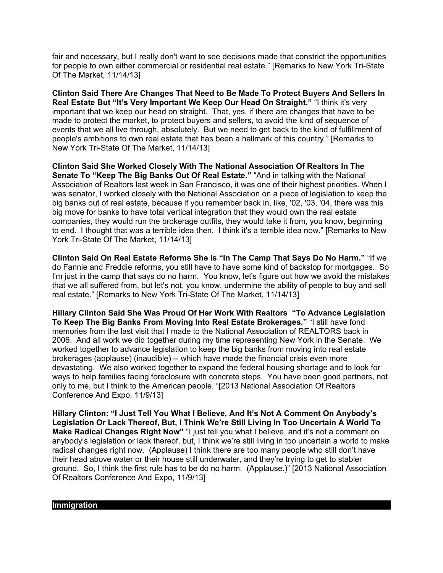fair and necessary, but I really don't want to see decisions made that constrict the opportunities for people to own either commercial or residential real estate." [Remarks to New York Tri-State Of The Market, 11/14/13]

**Clinton Said There Are Changes That Need to Be Made To Protect Buyers And Sellers In Real Estate But "It's Very Important We Keep Our Head On Straight."** "I think it's very important that we keep our head on straight. That, yes, if there are changes that have to be made to protect the market, to protect buyers and sellers, to avoid the kind of sequence of events that we all live through, absolutely. But we need to get back to the kind of fulfillment of people's ambitions to own real estate that has been a hallmark of this country." [Remarks to New York Tri-State Of The Market, 11/14/13]

**Clinton Said She Worked Closely With The National Association Of Realtors In The Senate To "Keep The Big Banks Out Of Real Estate."** "And in talking with the National Association of Realtors last week in San Francisco, it was one of their highest priorities. When I was senator, I worked closely with the National Association on a piece of legislation to keep the big banks out of real estate, because if you remember back in, like, '02, '03, '04, there was this big move for banks to have total vertical integration that they would own the real estate companies, they would run the brokerage outfits, they would take it from, you know, beginning to end. I thought that was a terrible idea then. I think it's a terrible idea now." [Remarks to New York Tri-State Of The Market, 11/14/13]

**Clinton Said On Real Estate Reforms She Is "In The Camp That Says Do No Harm."** "If we do Fannie and Freddie reforms, you still have to have some kind of backstop for mortgages. So I'm just in the camp that says do no harm. You know, let's figure out how we avoid the mistakes that we all suffered from, but let's not, you know, undermine the ability of people to buy and sell real estate." [Remarks to New York Tri-State Of The Market, 11/14/13]

**Hillary Clinton Said She Was Proud Of Her Work With Realtors "To Advance Legislation To Keep The Big Banks From Moving Into Real Estate Brokerages."** "I still have fond memories from the last visit that I made to the National Association of REALTORS back in 2006. And all work we did together during my time representing New York in the Senate. We worked together to advance legislation to keep the big banks from moving into real estate brokerages (applause) (inaudible) -- which have made the financial crisis even more devastating. We also worked together to expand the federal housing shortage and to look for ways to help families facing foreclosure with concrete steps. You have been good partners, not only to me, but I think to the American people. "[2013 National Association Of Realtors Conference And Expo, 11/9/13]

**Hillary Clinton: "I Just Tell You What I Believe, And It's Not A Comment On Anybody's Legislation Or Lack Thereof, But, I Think We're Still Living In Too Uncertain A World To Make Radical Changes Right Now"** "I just tell you what I believe, and it's not a comment on anybody's legislation or lack thereof, but, I think we're still living in too uncertain a world to make radical changes right now. (Applause) I think there are too many people who still don't have their head above water or their house still underwater, and they're trying to get to stabler ground. So, I think the first rule has to be do no harm. (Applause.)" [2013 National Association Of Realtors Conference And Expo, 11/9/13]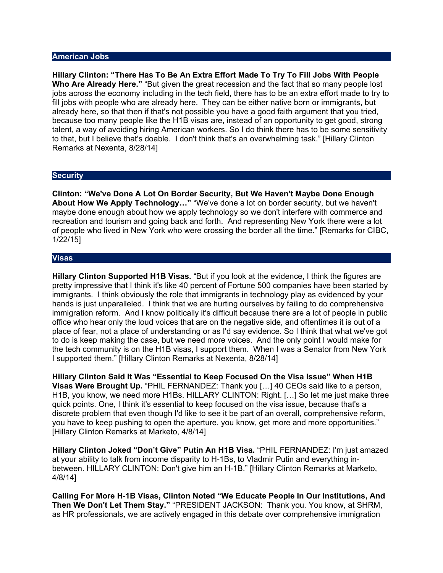#### **American Jobs**

**Hillary Clinton: "There Has To Be An Extra Effort Made To Try To Fill Jobs With People Who Are Already Here."** "But given the great recession and the fact that so many people lost jobs across the economy including in the tech field, there has to be an extra effort made to try to fill jobs with people who are already here. They can be either native born or immigrants, but already here, so that then if that's not possible you have a good faith argument that you tried, because too many people like the H1B visas are, instead of an opportunity to get good, strong talent, a way of avoiding hiring American workers. So I do think there has to be some sensitivity to that, but I believe that's doable. I don't think that's an overwhelming task." [Hillary Clinton Remarks at Nexenta, 8/28/14]

#### **Security**

**Clinton: "We've Done A Lot On Border Security, But We Haven't Maybe Done Enough About How We Apply Technology…"** "We've done a lot on border security, but we haven't maybe done enough about how we apply technology so we don't interfere with commerce and recreation and tourism and going back and forth. And representing New York there were a lot of people who lived in New York who were crossing the border all the time." [Remarks for CIBC, 1/22/15]

#### **Visas**

**Hillary Clinton Supported H1B Visas.** "But if you look at the evidence, I think the figures are pretty impressive that I think it's like 40 percent of Fortune 500 companies have been started by immigrants. I think obviously the role that immigrants in technology play as evidenced by your hands is just unparalleled. I think that we are hurting ourselves by failing to do comprehensive immigration reform. And I know politically it's difficult because there are a lot of people in public office who hear only the loud voices that are on the negative side, and oftentimes it is out of a place of fear, not a place of understanding or as I'd say evidence. So I think that what we've got to do is keep making the case, but we need more voices. And the only point I would make for the tech community is on the H1B visas, I support them. When I was a Senator from New York I supported them." [Hillary Clinton Remarks at Nexenta, 8/28/14]

**Hillary Clinton Said It Was "Essential to Keep Focused On the Visa Issue" When H1B Visas Were Brought Up.** "PHIL FERNANDEZ: Thank you […] 40 CEOs said like to a person, H1B, you know, we need more H1Bs. HILLARY CLINTON: Right. […] So let me just make three quick points. One, I think it's essential to keep focused on the visa issue, because that's a discrete problem that even though I'd like to see it be part of an overall, comprehensive reform, you have to keep pushing to open the aperture, you know, get more and more opportunities." [Hillary Clinton Remarks at Marketo, 4/8/14]

**Hillary Clinton Joked "Don't Give" Putin An H1B Visa.** "PHIL FERNANDEZ: I'm just amazed at your ability to talk from income disparity to H-1Bs, to Vladmir Putin and everything inbetween. HILLARY CLINTON: Don't give him an H-1B." [Hillary Clinton Remarks at Marketo, 4/8/14]

**Calling For More H-1B Visas, Clinton Noted "We Educate People In Our Institutions, And Then We Don't Let Them Stay."** "PRESIDENT JACKSON: Thank you. You know, at SHRM, as HR professionals, we are actively engaged in this debate over comprehensive immigration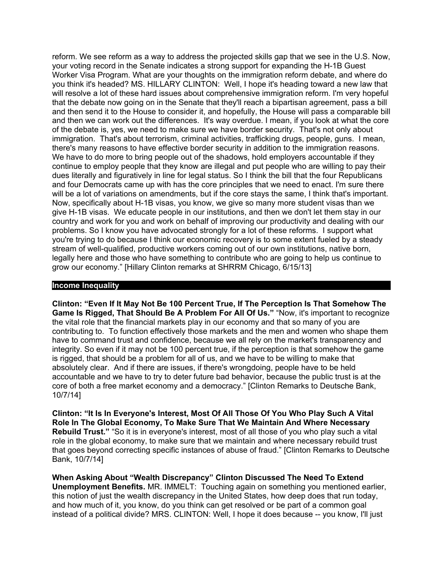reform. We see reform as a way to address the projected skills gap that we see in the U.S. Now, your voting record in the Senate indicates a strong support for expanding the H-1B Guest Worker Visa Program. What are your thoughts on the immigration reform debate, and where do you think it's headed? MS. HILLARY CLINTON: Well, I hope it's heading toward a new law that will resolve a lot of these hard issues about comprehensive immigration reform. I'm very hopeful that the debate now going on in the Senate that they'll reach a bipartisan agreement, pass a bill and then send it to the House to consider it, and hopefully, the House will pass a comparable bill and then we can work out the differences. It's way overdue. I mean, if you look at what the core of the debate is, yes, we need to make sure we have border security. That's not only about immigration. That's about terrorism, criminal activities, trafficking drugs, people, guns. I mean, there's many reasons to have effective border security in addition to the immigration reasons. We have to do more to bring people out of the shadows, hold employers accountable if they continue to employ people that they know are illegal and put people who are willing to pay their dues literally and figuratively in line for legal status. So I think the bill that the four Republicans and four Democrats came up with has the core principles that we need to enact. I'm sure there will be a lot of variations on amendments, but if the core stays the same, I think that's important. Now, specifically about H-1B visas, you know, we give so many more student visas than we give H-1B visas. We educate people in our institutions, and then we don't let them stay in our country and work for you and work on behalf of improving our productivity and dealing with our problems. So I know you have advocated strongly for a lot of these reforms. I support what you're trying to do because I think our economic recovery is to some extent fueled by a steady stream of well-qualified, productive workers coming out of our own institutions, native born, legally here and those who have something to contribute who are going to help us continue to grow our economy." [Hillary Clinton remarks at SHRRM Chicago, 6/15/13]

### **Income Inequality**

**Clinton: "Even If It May Not Be 100 Percent True, If The Perception Is That Somehow The Game Is Rigged, That Should Be A Problem For All Of Us."** "Now, it's important to recognize the vital role that the financial markets play in our economy and that so many of you are contributing to. To function effectively those markets and the men and women who shape them have to command trust and confidence, because we all rely on the market's transparency and integrity. So even if it may not be 100 percent true, if the perception is that somehow the game is rigged, that should be a problem for all of us, and we have to be willing to make that absolutely clear. And if there are issues, if there's wrongdoing, people have to be held accountable and we have to try to deter future bad behavior, because the public trust is at the core of both a free market economy and a democracy." [Clinton Remarks to Deutsche Bank, 10/7/14]

**Clinton: "It Is In Everyone's Interest, Most Of All Those Of You Who Play Such A Vital Role In The Global Economy, To Make Sure That We Maintain And Where Necessary Rebuild Trust."** "So it is in everyone's interest, most of all those of you who play such a vital role in the global economy, to make sure that we maintain and where necessary rebuild trust that goes beyond correcting specific instances of abuse of fraud." [Clinton Remarks to Deutsche Bank, 10/7/14]

**When Asking About "Wealth Discrepancy" Clinton Discussed The Need To Extend Unemployment Benefits.** MR. IMMELT: Touching again on something you mentioned earlier, this notion of just the wealth discrepancy in the United States, how deep does that run today, and how much of it, you know, do you think can get resolved or be part of a common goal instead of a political divide? MRS. CLINTON: Well, I hope it does because -- you know, I'll just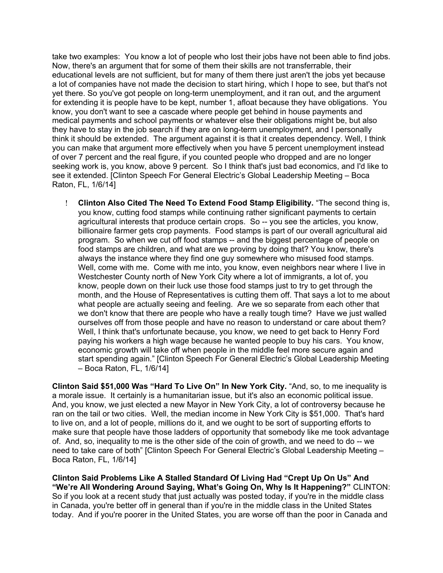take two examples: You know a lot of people who lost their jobs have not been able to find jobs. Now, there's an argument that for some of them their skills are not transferrable, their educational levels are not sufficient, but for many of them there just aren't the jobs yet because a lot of companies have not made the decision to start hiring, which I hope to see, but that's not yet there. So you've got people on long-term unemployment, and it ran out, and the argument for extending it is people have to be kept, number 1, afloat because they have obligations. You know, you don't want to see a cascade where people get behind in house payments and medical payments and school payments or whatever else their obligations might be, but also they have to stay in the job search if they are on long-term unemployment, and I personally think it should be extended. The argument against it is that it creates dependency. Well, I think you can make that argument more effectively when you have 5 percent unemployment instead of over 7 percent and the real figure, if you counted people who dropped and are no longer seeking work is, you know, above 9 percent. So I think that's just bad economics, and I'd like to see it extended. [Clinton Speech For General Electric's Global Leadership Meeting – Boca Raton, FL, 1/6/14]

 **Clinton Also Cited The Need To Extend Food Stamp Eligibility.** "The second thing is, you know, cutting food stamps while continuing rather significant payments to certain agricultural interests that produce certain crops. So -- you see the articles, you know, billionaire farmer gets crop payments. Food stamps is part of our overall agricultural aid program. So when we cut off food stamps -- and the biggest percentage of people on food stamps are children, and what are we proving by doing that? You know, there's always the instance where they find one guy somewhere who misused food stamps. Well, come with me. Come with me into, you know, even neighbors near where I live in Westchester County north of New York City where a lot of immigrants, a lot of, you know, people down on their luck use those food stamps just to try to get through the month, and the House of Representatives is cutting them off. That says a lot to me about what people are actually seeing and feeling. Are we so separate from each other that we don't know that there are people who have a really tough time? Have we just walled ourselves off from those people and have no reason to understand or care about them? Well, I think that's unfortunate because, you know, we need to get back to Henry Ford paying his workers a high wage because he wanted people to buy his cars. You know, economic growth will take off when people in the middle feel more secure again and start spending again." [Clinton Speech For General Electric's Global Leadership Meeting – Boca Raton, FL, 1/6/14]

**Clinton Said \$51,000 Was "Hard To Live On" In New York City.** "And, so, to me inequality is a morale issue. It certainly is a humanitarian issue, but it's also an economic political issue. And, you know, we just elected a new Mayor in New York City, a lot of controversy because he ran on the tail or two cities. Well, the median income in New York City is \$51,000. That's hard to live on, and a lot of people, millions do it, and we ought to be sort of supporting efforts to make sure that people have those ladders of opportunity that somebody like me took advantage of. And, so, inequality to me is the other side of the coin of growth, and we need to do -- we need to take care of both" [Clinton Speech For General Electric's Global Leadership Meeting – Boca Raton, FL, 1/6/14]

**Clinton Said Problems Like A Stalled Standard Of Living Had "Crept Up On Us" And "We're All Wondering Around Saying, What's Going On, Why Is It Happening?"** CLINTON: So if you look at a recent study that just actually was posted today, if you're in the middle class in Canada, you're better off in general than if you're in the middle class in the United States today. And if you're poorer in the United States, you are worse off than the poor in Canada and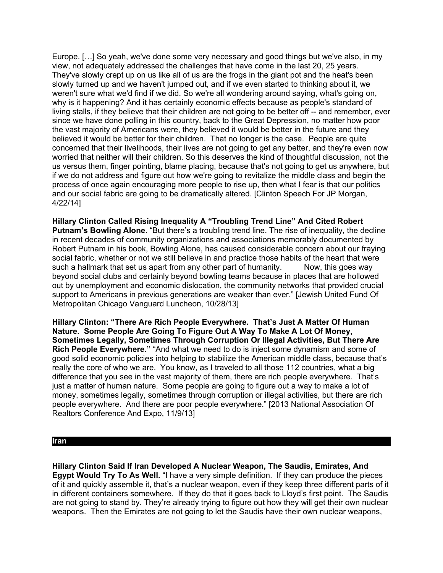Europe. […] So yeah, we've done some very necessary and good things but we've also, in my view, not adequately addressed the challenges that have come in the last 20, 25 years. They've slowly crept up on us like all of us are the frogs in the giant pot and the heat's been slowly turned up and we haven't jumped out, and if we even started to thinking about it, we weren't sure what we'd find if we did. So we're all wondering around saying, what's going on, why is it happening? And it has certainly economic effects because as people's standard of living stalls, if they believe that their children are not going to be better off -- and remember, ever since we have done polling in this country, back to the Great Depression, no matter how poor the vast majority of Americans were, they believed it would be better in the future and they believed it would be better for their children. That no longer is the case. People are quite concerned that their livelihoods, their lives are not going to get any better, and they're even now worried that neither will their children. So this deserves the kind of thoughtful discussion, not the us versus them, finger pointing, blame placing, because that's not going to get us anywhere, but if we do not address and figure out how we're going to revitalize the middle class and begin the process of once again encouraging more people to rise up, then what I fear is that our politics and our social fabric are going to be dramatically altered. [Clinton Speech For JP Morgan, 4/22/14]

**Hillary Clinton Called Rising Inequality A "Troubling Trend Line" And Cited Robert Putnam's Bowling Alone.** "But there's a troubling trend line. The rise of inequality, the decline in recent decades of community organizations and associations memorably documented by Robert Putnam in his book, Bowling Alone, has caused considerable concern about our fraying social fabric, whether or not we still believe in and practice those habits of the heart that were such a hallmark that set us apart from any other part of humanity. Now, this goes way beyond social clubs and certainly beyond bowling teams because in places that are hollowed out by unemployment and economic dislocation, the community networks that provided crucial support to Americans in previous generations are weaker than ever." [Jewish United Fund Of Metropolitan Chicago Vanguard Luncheon, 10/28/13]

**Hillary Clinton: "There Are Rich People Everywhere. That's Just A Matter Of Human Nature. Some People Are Going To Figure Out A Way To Make A Lot Of Money, Sometimes Legally, Sometimes Through Corruption Or Illegal Activities, But There Are Rich People Everywhere."** "And what we need to do is inject some dynamism and some of good solid economic policies into helping to stabilize the American middle class, because that's really the core of who we are. You know, as I traveled to all those 112 countries, what a big difference that you see in the vast majority of them, there are rich people everywhere. That's just a matter of human nature. Some people are going to figure out a way to make a lot of money, sometimes legally, sometimes through corruption or illegal activities, but there are rich people everywhere. And there are poor people everywhere." [2013 National Association Of Realtors Conference And Expo, 11/9/13]

### **Iran**

**Hillary Clinton Said If Iran Developed A Nuclear Weapon, The Saudis, Emirates, And Egypt Would Try To As Well.** "I have a very simple definition. If they can produce the pieces of it and quickly assemble it, that's a nuclear weapon, even if they keep three different parts of it in different containers somewhere. If they do that it goes back to Lloyd's first point. The Saudis are not going to stand by. They're already trying to figure out how they will get their own nuclear weapons. Then the Emirates are not going to let the Saudis have their own nuclear weapons,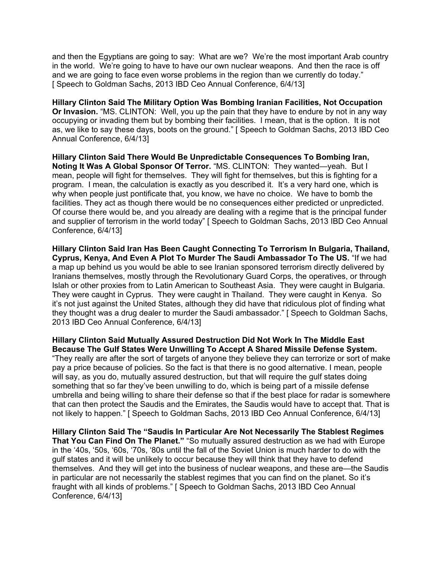and then the Egyptians are going to say: What are we? We're the most important Arab country in the world. We're going to have to have our own nuclear weapons. And then the race is off and we are going to face even worse problems in the region than we currently do today." [ Speech to Goldman Sachs, 2013 IBD Ceo Annual Conference, 6/4/13]

**Hillary Clinton Said The Military Option Was Bombing Iranian Facilities, Not Occupation Or Invasion.** "MS. CLINTON: Well, you up the pain that they have to endure by not in any way occupying or invading them but by bombing their facilities. I mean, that is the option. It is not as, we like to say these days, boots on the ground." [ Speech to Goldman Sachs, 2013 IBD Ceo Annual Conference, 6/4/13]

**Hillary Clinton Said There Would Be Unpredictable Consequences To Bombing Iran, Noting It Was A Global Sponsor Of Terror.** "MS. CLINTON: They wanted—yeah. But I mean, people will fight for themselves. They will fight for themselves, but this is fighting for a program. I mean, the calculation is exactly as you described it. It's a very hard one, which is why when people just pontificate that, you know, we have no choice. We have to bomb the facilities. They act as though there would be no consequences either predicted or unpredicted. Of course there would be, and you already are dealing with a regime that is the principal funder and supplier of terrorism in the world today" [ Speech to Goldman Sachs, 2013 IBD Ceo Annual Conference, 6/4/13]

**Hillary Clinton Said Iran Has Been Caught Connecting To Terrorism In Bulgaria, Thailand, Cyprus, Kenya, And Even A Plot To Murder The Saudi Ambassador To The US.** "If we had a map up behind us you would be able to see Iranian sponsored terrorism directly delivered by Iranians themselves, mostly through the Revolutionary Guard Corps, the operatives, or through Islah or other proxies from to Latin American to Southeast Asia. They were caught in Bulgaria. They were caught in Cyprus. They were caught in Thailand. They were caught in Kenya. So it's not just against the United States, although they did have that ridiculous plot of finding what they thought was a drug dealer to murder the Saudi ambassador." [ Speech to Goldman Sachs, 2013 IBD Ceo Annual Conference, 6/4/13]

**Hillary Clinton Said Mutually Assured Destruction Did Not Work In The Middle East Because The Gulf States Were Unwilling To Accept A Shared Missile Defense System.** 

"They really are after the sort of targets of anyone they believe they can terrorize or sort of make pay a price because of policies. So the fact is that there is no good alternative. I mean, people will say, as you do, mutually assured destruction, but that will require the gulf states doing something that so far they've been unwilling to do, which is being part of a missile defense umbrella and being willing to share their defense so that if the best place for radar is somewhere that can then protect the Saudis and the Emirates, the Saudis would have to accept that. That is not likely to happen." [ Speech to Goldman Sachs, 2013 IBD Ceo Annual Conference, 6/4/13]

**Hillary Clinton Said The "Saudis In Particular Are Not Necessarily The Stablest Regimes That You Can Find On The Planet."** "So mutually assured destruction as we had with Europe in the '40s, '50s, '60s, '70s, '80s until the fall of the Soviet Union is much harder to do with the gulf states and it will be unlikely to occur because they will think that they have to defend themselves. And they will get into the business of nuclear weapons, and these are—the Saudis in particular are not necessarily the stablest regimes that you can find on the planet. So it's fraught with all kinds of problems." [ Speech to Goldman Sachs, 2013 IBD Ceo Annual Conference, 6/4/13]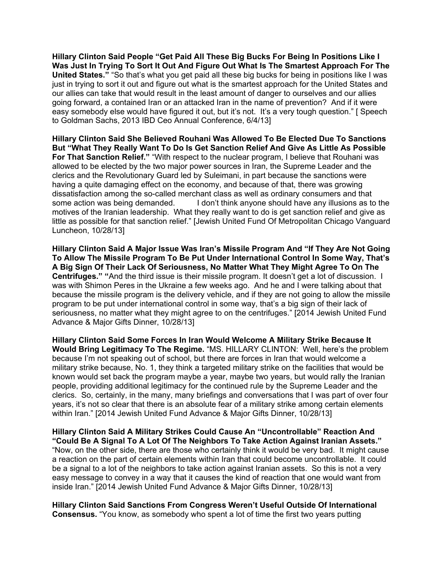**Hillary Clinton Said People "Get Paid All These Big Bucks For Being In Positions Like I Was Just In Trying To Sort It Out And Figure Out What Is The Smartest Approach For The United States."** "So that's what you get paid all these big bucks for being in positions like I was just in trying to sort it out and figure out what is the smartest approach for the United States and our allies can take that would result in the least amount of danger to ourselves and our allies going forward, a contained Iran or an attacked Iran in the name of prevention? And if it were easy somebody else would have figured it out, but it's not. It's a very tough question." [ Speech to Goldman Sachs, 2013 IBD Ceo Annual Conference, 6/4/13]

**Hillary Clinton Said She Believed Rouhani Was Allowed To Be Elected Due To Sanctions But "What They Really Want To Do Is Get Sanction Relief And Give As Little As Possible For That Sanction Relief."** "With respect to the nuclear program, I believe that Rouhani was allowed to be elected by the two major power sources in Iran, the Supreme Leader and the clerics and the Revolutionary Guard led by Suleimani, in part because the sanctions were having a quite damaging effect on the economy, and because of that, there was growing dissatisfaction among the so-called merchant class as well as ordinary consumers and that some action was being demanded. I don't think anyone should have any illusions as to the motives of the Iranian leadership. What they really want to do is get sanction relief and give as little as possible for that sanction relief." [Jewish United Fund Of Metropolitan Chicago Vanguard Luncheon, 10/28/13]

**Hillary Clinton Said A Major Issue Was Iran's Missile Program And "If They Are Not Going To Allow The Missile Program To Be Put Under International Control In Some Way, That's A Big Sign Of Their Lack Of Seriousness, No Matter What They Might Agree To On The Centrifuges." "**And the third issue is their missile program. It doesn't get a lot of discussion. I was with Shimon Peres in the Ukraine a few weeks ago. And he and I were talking about that because the missile program is the delivery vehicle, and if they are not going to allow the missile program to be put under international control in some way, that's a big sign of their lack of seriousness, no matter what they might agree to on the centrifuges." [2014 Jewish United Fund Advance & Major Gifts Dinner, 10/28/13]

**Hillary Clinton Said Some Forces In Iran Would Welcome A Military Strike Because It Would Bring Legitimacy To The Regime.** "MS. HILLARY CLINTON: Well, here's the problem because I'm not speaking out of school, but there are forces in Iran that would welcome a military strike because, No. 1, they think a targeted military strike on the facilities that would be known would set back the program maybe a year, maybe two years, but would rally the Iranian people, providing additional legitimacy for the continued rule by the Supreme Leader and the clerics. So, certainly, in the many, many briefings and conversations that I was part of over four years, it's not so clear that there is an absolute fear of a military strike among certain elements within Iran." [2014 Jewish United Fund Advance & Major Gifts Dinner, 10/28/13]

**Hillary Clinton Said A Military Strikes Could Cause An "Uncontrollable" Reaction And "Could Be A Signal To A Lot Of The Neighbors To Take Action Against Iranian Assets."** "Now, on the other side, there are those who certainly think it would be very bad. It might cause a reaction on the part of certain elements within Iran that could become uncontrollable. It could be a signal to a lot of the neighbors to take action against Iranian assets. So this is not a very easy message to convey in a way that it causes the kind of reaction that one would want from inside Iran." [2014 Jewish United Fund Advance & Major Gifts Dinner, 10/28/13]

**Hillary Clinton Said Sanctions From Congress Weren't Useful Outside Of International Consensus.** "You know, as somebody who spent a lot of time the first two years putting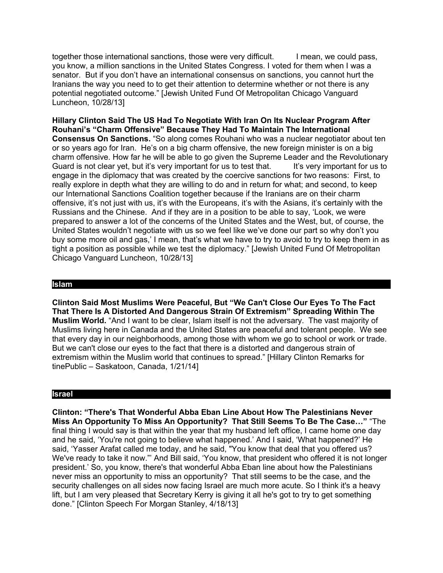together those international sanctions, those were very difficult. I mean, we could pass, you know, a million sanctions in the United States Congress. I voted for them when I was a senator. But if you don't have an international consensus on sanctions, you cannot hurt the Iranians the way you need to to get their attention to determine whether or not there is any potential negotiated outcome." [Jewish United Fund Of Metropolitan Chicago Vanguard Luncheon, 10/28/13]

**Hillary Clinton Said The US Had To Negotiate With Iran On Its Nuclear Program After Rouhani's "Charm Offensive" Because They Had To Maintain The International Consensus On Sanctions.** "So along comes Rouhani who was a nuclear negotiator about ten or so years ago for Iran. He's on a big charm offensive, the new foreign minister is on a big charm offensive. How far he will be able to go given the Supreme Leader and the Revolutionary Guard is not clear yet, but it's very important for us to test that. It's very important for us to engage in the diplomacy that was created by the coercive sanctions for two reasons: First, to really explore in depth what they are willing to do and in return for what; and second, to keep our International Sanctions Coalition together because if the Iranians are on their charm offensive, it's not just with us, it's with the Europeans, it's with the Asians, it's certainly with the Russians and the Chinese. And if they are in a position to be able to say, 'Look, we were prepared to answer a lot of the concerns of the United States and the West, but, of course, the United States wouldn't negotiate with us so we feel like we've done our part so why don't you buy some more oil and gas,' I mean, that's what we have to try to avoid to try to keep them in as tight a position as possible while we test the diplomacy." [Jewish United Fund Of Metropolitan Chicago Vanguard Luncheon, 10/28/13]

## **Islam**

**Clinton Said Most Muslims Were Peaceful, But "We Can't Close Our Eyes To The Fact That There Is A Distorted And Dangerous Strain Of Extremism" Spreading Within The Muslim World.** "And I want to be clear, Islam itself is not the adversary. The vast majority of Muslims living here in Canada and the United States are peaceful and tolerant people. We see that every day in our neighborhoods, among those with whom we go to school or work or trade. But we can't close our eyes to the fact that there is a distorted and dangerous strain of extremism within the Muslim world that continues to spread." [Hillary Clinton Remarks for tinePublic – Saskatoon, Canada, 1/21/14]

# **Israel**

**Clinton: "There's That Wonderful Abba Eban Line About How The Palestinians Never Miss An Opportunity To Miss An Opportunity? That Still Seems To Be The Case…"** "The final thing I would say is that within the year that my husband left office, I came home one day and he said, 'You're not going to believe what happened.' And I said, 'What happened?' He said, 'Yasser Arafat called me today, and he said, "You know that deal that you offered us? We've ready to take it now."' And Bill said, 'You know, that president who offered it is not longer president.' So, you know, there's that wonderful Abba Eban line about how the Palestinians never miss an opportunity to miss an opportunity? That still seems to be the case, and the security challenges on all sides now facing Israel are much more acute. So I think it's a heavy lift, but I am very pleased that Secretary Kerry is giving it all he's got to try to get something done." [Clinton Speech For Morgan Stanley, 4/18/13]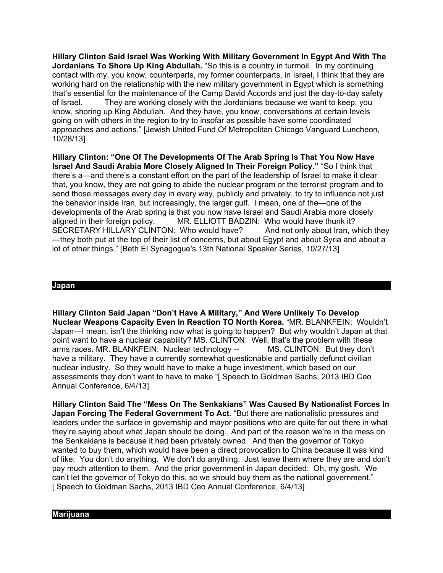**Hillary Clinton Said Israel Was Working With Military Government In Egypt And With The Jordanians To Shore Up King Abdullah.** "So this is a country in turmoil. In my continuing contact with my, you know, counterparts, my former counterparts, in Israel, I think that they are working hard on the relationship with the new military government in Egypt which is something that's essential for the maintenance of the Camp David Accords and just the day-to-day safety of Israel. They are working closely with the Jordanians because we want to keep, you know, shoring up King Abdullah. And they have, you know, conversations at certain levels going on with others in the region to try to insofar as possible have some coordinated approaches and actions." [Jewish United Fund Of Metropolitan Chicago Vanguard Luncheon, 10/28/13]

**Hillary Clinton: "One Of The Developments Of The Arab Spring Is That You Now Have Israel And Saudi Arabia More Closely Aligned In Their Foreign Policy."** "So I think that there's a—and there's a constant effort on the part of the leadership of Israel to make it clear that, you know, they are not going to abide the nuclear program or the terrorist program and to send those messages every day in every way, publicly and privately, to try to influence not just the behavior inside Iran, but increasingly, the larger gulf. I mean, one of the—one of the developments of the Arab spring is that you now have Israel and Saudi Arabia more closely aligned in their foreign policy. MR. ELLIOTT BADZIN: Who would have thunk it? SECRETARY HILLARY CLINTON: Who would have? And not only about Iran, which they —they both put at the top of their list of concerns, but about Egypt and about Syria and about a lot of other things." [Beth El Synagogue's 13th National Speaker Series, 10/27/13]

### **Japan**

**Hillary Clinton Said Japan "Don't Have A Military," And Were Unlikely To Develop Nuclear Weapons Capacity Even In Reaction TO North Korea.** "MR. BLANKFEIN: Wouldn't Japan—I mean, isn't the thinking now what is going to happen? But why wouldn't Japan at that point want to have a nuclear capability? MS. CLINTON: Well, that's the problem with these arms races. MR. BLANKFEIN: Nuclear technology -- MS. CLINTON: But they don't have a military. They have a currently somewhat questionable and partially defunct civilian nuclear industry. So they would have to make a huge investment, which based on our assessments they don't want to have to make "[ Speech to Goldman Sachs, 2013 IBD Ceo Annual Conference, 6/4/13]

**Hillary Clinton Said The "Mess On The Senkakians" Was Caused By Nationalist Forces In Japan Forcing The Federal Government To Act.** "But there are nationalistic pressures and leaders under the surface in governship and mayor positions who are quite far out there in what they're saying about what Japan should be doing. And part of the reason we're in the mess on the Senkakians is because it had been privately owned. And then the governor of Tokyo wanted to buy them, which would have been a direct provocation to China because it was kind of like: You don't do anything. We don't do anything. Just leave them where they are and don't pay much attention to them. And the prior government in Japan decided: Oh, my gosh. We can't let the governor of Tokyo do this, so we should buy them as the national government." [ Speech to Goldman Sachs, 2013 IBD Ceo Annual Conference, 6/4/13]

#### **Marijuana**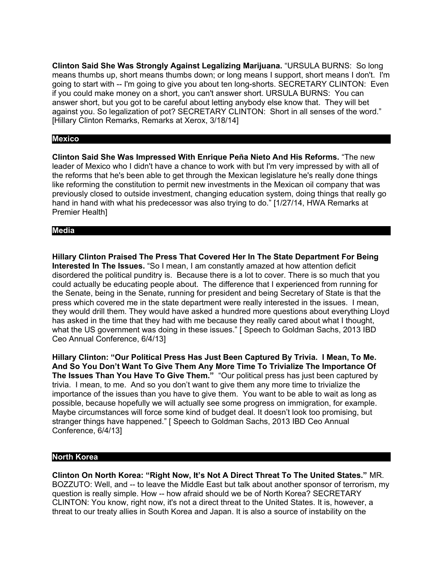**Clinton Said She Was Strongly Against Legalizing Marijuana.** "URSULA BURNS: So long means thumbs up, short means thumbs down; or long means I support, short means I don't. I'm going to start with -- I'm going to give you about ten long-shorts. SECRETARY CLINTON: Even if you could make money on a short, you can't answer short. URSULA BURNS: You can answer short, but you got to be careful about letting anybody else know that. They will bet against you. So legalization of pot? SECRETARY CLINTON: Short in all senses of the word." [Hillary Clinton Remarks, Remarks at Xerox, 3/18/14]

## **Mexico**

**Clinton Said She Was Impressed With Enrique Peña Nieto And His Reforms.** "The new leader of Mexico who I didn't have a chance to work with but I'm very impressed by with all of the reforms that he's been able to get through the Mexican legislature he's really done things like reforming the constitution to permit new investments in the Mexican oil company that was previously closed to outside investment, changing education system, doing things that really go hand in hand with what his predecessor was also trying to do." [1/27/14, HWA Remarks at Premier Health]

# **Media**

**Hillary Clinton Praised The Press That Covered Her In The State Department For Being Interested In The Issues.** "So I mean, I am constantly amazed at how attention deficit disordered the political punditry is. Because there is a lot to cover. There is so much that you could actually be educating people about. The difference that I experienced from running for the Senate, being in the Senate, running for president and being Secretary of State is that the press which covered me in the state department were really interested in the issues. I mean, they would drill them. They would have asked a hundred more questions about everything Lloyd has asked in the time that they had with me because they really cared about what I thought, what the US government was doing in these issues." [ Speech to Goldman Sachs, 2013 IBD Ceo Annual Conference, 6/4/13]

**Hillary Clinton: "Our Political Press Has Just Been Captured By Trivia. I Mean, To Me. And So You Don't Want To Give Them Any More Time To Trivialize The Importance Of The Issues Than You Have To Give Them."** "Our political press has just been captured by trivia. I mean, to me. And so you don't want to give them any more time to trivialize the importance of the issues than you have to give them. You want to be able to wait as long as possible, because hopefully we will actually see some progress on immigration, for example. Maybe circumstances will force some kind of budget deal. It doesn't look too promising, but stranger things have happened." [ Speech to Goldman Sachs, 2013 IBD Ceo Annual Conference, 6/4/13]

## **North Korea**

**Clinton On North Korea: "Right Now, It's Not A Direct Threat To The United States."** MR. BOZZUTO: Well, and -- to leave the Middle East but talk about another sponsor of terrorism, my question is really simple. How -- how afraid should we be of North Korea? SECRETARY CLINTON: You know, right now, it's not a direct threat to the United States. It is, however, a threat to our treaty allies in South Korea and Japan. It is also a source of instability on the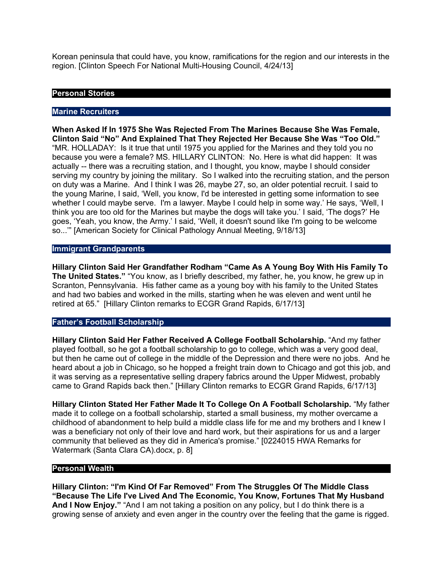Korean peninsula that could have, you know, ramifications for the region and our interests in the region. [Clinton Speech For National Multi-Housing Council, 4/24/13]

# **Personal Stories**

## **Marine Recruiters**

**When Asked If In 1975 She Was Rejected From The Marines Because She Was Female, Clinton Said "No" And Explained That They Rejected Her Because She Was "Too Old."** "MR. HOLLADAY: Is it true that until 1975 you applied for the Marines and they told you no because you were a female? MS. HILLARY CLINTON: No. Here is what did happen: It was actually -- there was a recruiting station, and I thought, you know, maybe I should consider serving my country by joining the military. So I walked into the recruiting station, and the person on duty was a Marine. And I think I was 26, maybe 27, so, an older potential recruit. I said to the young Marine, I said, 'Well, you know, I'd be interested in getting some information to see whether I could maybe serve. I'm a lawyer. Maybe I could help in some way.' He says, 'Well, I think you are too old for the Marines but maybe the dogs will take you.' I said, 'The dogs?' He goes, 'Yeah, you know, the Army.' I said, 'Well, it doesn't sound like I'm going to be welcome so...'" [American Society for Clinical Pathology Annual Meeting, 9/18/13]

## **Immigrant Grandparents**

**Hillary Clinton Said Her Grandfather Rodham "Came As A Young Boy With His Family To The United States."** "You know, as I briefly described, my father, he, you know, he grew up in Scranton, Pennsylvania. His father came as a young boy with his family to the United States and had two babies and worked in the mills, starting when he was eleven and went until he retired at 65." [Hillary Clinton remarks to ECGR Grand Rapids, 6/17/13]

## **Father's Football Scholarship**

**Hillary Clinton Said Her Father Received A College Football Scholarship.** "And my father played football, so he got a football scholarship to go to college, which was a very good deal, but then he came out of college in the middle of the Depression and there were no jobs. And he heard about a job in Chicago, so he hopped a freight train down to Chicago and got this job, and it was serving as a representative selling drapery fabrics around the Upper Midwest, probably came to Grand Rapids back then." [Hillary Clinton remarks to ECGR Grand Rapids, 6/17/13]

**Hillary Clinton Stated Her Father Made It To College On A Football Scholarship.** "My father made it to college on a football scholarship, started a small business, my mother overcame a childhood of abandonment to help build a middle class life for me and my brothers and I knew I was a beneficiary not only of their love and hard work, but their aspirations for us and a larger community that believed as they did in America's promise." [0224015 HWA Remarks for Watermark (Santa Clara CA).docx, p. 8]

## **Personal Wealth**

**Hillary Clinton: "I'm Kind Of Far Removed" From The Struggles Of The Middle Class "Because The Life I've Lived And The Economic, You Know, Fortunes That My Husband And I Now Enjoy."** "And I am not taking a position on any policy, but I do think there is a growing sense of anxiety and even anger in the country over the feeling that the game is rigged.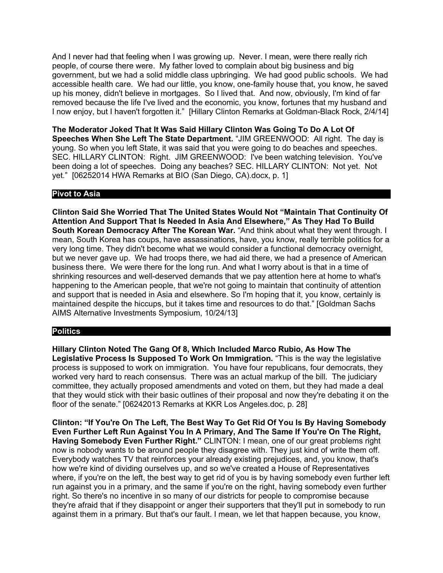And I never had that feeling when I was growing up. Never. I mean, were there really rich people, of course there were. My father loved to complain about big business and big government, but we had a solid middle class upbringing. We had good public schools. We had accessible health care. We had our little, you know, one-family house that, you know, he saved up his money, didn't believe in mortgages. So I lived that. And now, obviously, I'm kind of far removed because the life I've lived and the economic, you know, fortunes that my husband and I now enjoy, but I haven't forgotten it." [Hillary Clinton Remarks at Goldman-Black Rock, 2/4/14]

**The Moderator Joked That It Was Said Hillary Clinton Was Going To Do A Lot Of Speeches When She Left The State Department.** "JIM GREENWOOD: All right. The day is young. So when you left State, it was said that you were going to do beaches and speeches. SEC. HILLARY CLINTON: Right. JIM GREENWOOD: I've been watching television. You've been doing a lot of speeches. Doing any beaches? SEC. HILLARY CLINTON: Not yet. Not yet." [06252014 HWA Remarks at BIO (San Diego, CA).docx, p. 1]

# **Pivot to Asia**

**Clinton Said She Worried That The United States Would Not "Maintain That Continuity Of Attention And Support That Is Needed In Asia And Elsewhere," As They Had To Build South Korean Democracy After The Korean War.** "And think about what they went through. I mean, South Korea has coups, have assassinations, have, you know, really terrible politics for a very long time. They didn't become what we would consider a functional democracy overnight, but we never gave up. We had troops there, we had aid there, we had a presence of American business there. We were there for the long run. And what I worry about is that in a time of shrinking resources and well-deserved demands that we pay attention here at home to what's happening to the American people, that we're not going to maintain that continuity of attention and support that is needed in Asia and elsewhere. So I'm hoping that it, you know, certainly is maintained despite the hiccups, but it takes time and resources to do that." [Goldman Sachs AIMS Alternative Investments Symposium, 10/24/13]

## **Politics**

**Hillary Clinton Noted The Gang Of 8, Which Included Marco Rubio, As How The Legislative Process Is Supposed To Work On Immigration.** "This is the way the legislative process is supposed to work on immigration. You have four republicans, four democrats, they worked very hard to reach consensus. There was an actual markup of the bill. The judiciary committee, they actually proposed amendments and voted on them, but they had made a deal that they would stick with their basic outlines of their proposal and now they're debating it on the floor of the senate." [06242013 Remarks at KKR Los Angeles.doc, p. 28]

**Clinton: "If You're On The Left, The Best Way To Get Rid Of You Is By Having Somebody Even Further Left Run Against You In A Primary, And The Same If You're On The Right, Having Somebody Even Further Right."** CLINTON: I mean, one of our great problems right now is nobody wants to be around people they disagree with. They just kind of write them off. Everybody watches TV that reinforces your already existing prejudices, and, you know, that's how we're kind of dividing ourselves up, and so we've created a House of Representatives where, if you're on the left, the best way to get rid of you is by having somebody even further left run against you in a primary, and the same if you're on the right, having somebody even further right. So there's no incentive in so many of our districts for people to compromise because they're afraid that if they disappoint or anger their supporters that they'll put in somebody to run against them in a primary. But that's our fault. I mean, we let that happen because, you know,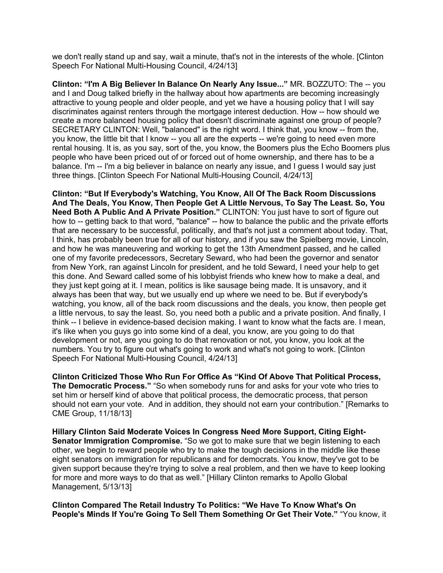we don't really stand up and say, wait a minute, that's not in the interests of the whole. [Clinton Speech For National Multi-Housing Council, 4/24/13]

**Clinton: "I'm A Big Believer In Balance On Nearly Any Issue..."** MR. BOZZUTO: The -- you and I and Doug talked briefly in the hallway about how apartments are becoming increasingly attractive to young people and older people, and yet we have a housing policy that I will say discriminates against renters through the mortgage interest deduction. How -- how should we create a more balanced housing policy that doesn't discriminate against one group of people? SECRETARY CLINTON: Well, "balanced" is the right word. I think that, you know -- from the, you know, the little bit that I know -- you all are the experts -- we're going to need even more rental housing. It is, as you say, sort of the, you know, the Boomers plus the Echo Boomers plus people who have been priced out of or forced out of home ownership, and there has to be a balance. I'm -- I'm a big believer in balance on nearly any issue, and I guess I would say just three things. [Clinton Speech For National Multi-Housing Council, 4/24/13]

**Clinton: "But If Everybody's Watching, You Know, All Of The Back Room Discussions And The Deals, You Know, Then People Get A Little Nervous, To Say The Least. So, You Need Both A Public And A Private Position."** CLINTON: You just have to sort of figure out how to -- getting back to that word, "balance" -- how to balance the public and the private efforts that are necessary to be successful, politically, and that's not just a comment about today. That, I think, has probably been true for all of our history, and if you saw the Spielberg movie, Lincoln, and how he was maneuvering and working to get the 13th Amendment passed, and he called one of my favorite predecessors, Secretary Seward, who had been the governor and senator from New York, ran against Lincoln for president, and he told Seward, I need your help to get this done. And Seward called some of his lobbyist friends who knew how to make a deal, and they just kept going at it. I mean, politics is like sausage being made. It is unsavory, and it always has been that way, but we usually end up where we need to be. But if everybody's watching, you know, all of the back room discussions and the deals, you know, then people get a little nervous, to say the least. So, you need both a public and a private position. And finally, I think -- I believe in evidence-based decision making. I want to know what the facts are. I mean, it's like when you guys go into some kind of a deal, you know, are you going to do that development or not, are you going to do that renovation or not, you know, you look at the numbers. You try to figure out what's going to work and what's not going to work. [Clinton Speech For National Multi-Housing Council, 4/24/13]

**Clinton Criticized Those Who Run For Office As "Kind Of Above That Political Process, The Democratic Process."** "So when somebody runs for and asks for your vote who tries to set him or herself kind of above that political process, the democratic process, that person should not earn your vote. And in addition, they should not earn your contribution." [Remarks to CME Group, 11/18/13]

**Hillary Clinton Said Moderate Voices In Congress Need More Support, Citing Eight-Senator Immigration Compromise.** "So we got to make sure that we begin listening to each other, we begin to reward people who try to make the tough decisions in the middle like these eight senators on immigration for republicans and for democrats. You know, they've got to be given support because they're trying to solve a real problem, and then we have to keep looking for more and more ways to do that as well." [Hillary Clinton remarks to Apollo Global Management, 5/13/13]

**Clinton Compared The Retail Industry To Politics: "We Have To Know What's On People's Minds If You're Going To Sell Them Something Or Get Their Vote."** "You know, it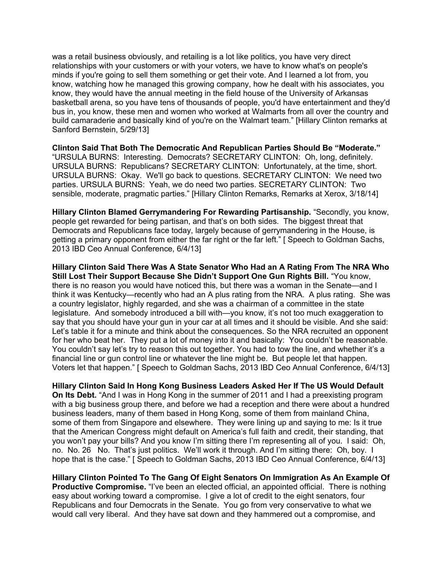was a retail business obviously, and retailing is a lot like politics, you have very direct relationships with your customers or with your voters, we have to know what's on people's minds if you're going to sell them something or get their vote. And I learned a lot from, you know, watching how he managed this growing company, how he dealt with his associates, you know, they would have the annual meeting in the field house of the University of Arkansas basketball arena, so you have tens of thousands of people, you'd have entertainment and they'd bus in, you know, these men and women who worked at Walmarts from all over the country and build camaraderie and basically kind of you're on the Walmart team." [Hillary Clinton remarks at Sanford Bernstein, 5/29/13]

**Clinton Said That Both The Democratic And Republican Parties Should Be "Moderate."**  "URSULA BURNS: Interesting. Democrats? SECRETARY CLINTON: Oh, long, definitely. URSULA BURNS: Republicans? SECRETARY CLINTON: Unfortunately, at the time, short. URSULA BURNS: Okay. We'll go back to questions. SECRETARY CLINTON: We need two parties. URSULA BURNS: Yeah, we do need two parties. SECRETARY CLINTON: Two sensible, moderate, pragmatic parties." [Hillary Clinton Remarks, Remarks at Xerox, 3/18/14]

**Hillary Clinton Blamed Gerrymandering For Rewarding Partisanship.** "Secondly, you know, people get rewarded for being partisan, and that's on both sides. The biggest threat that Democrats and Republicans face today, largely because of gerrymandering in the House, is getting a primary opponent from either the far right or the far left." [ Speech to Goldman Sachs, 2013 IBD Ceo Annual Conference, 6/4/13]

**Hillary Clinton Said There Was A State Senator Who Had an A Rating From The NRA Who Still Lost Their Support Because She Didn't Support One Gun Rights Bill.** "You know, there is no reason you would have noticed this, but there was a woman in the Senate—and I think it was Kentucky—recently who had an A plus rating from the NRA. A plus rating. She was a country legislator, highly regarded, and she was a chairman of a committee in the state legislature. And somebody introduced a bill with—you know, it's not too much exaggeration to say that you should have your gun in your car at all times and it should be visible. And she said: Let's table it for a minute and think about the consequences. So the NRA recruited an opponent for her who beat her. They put a lot of money into it and basically: You couldn't be reasonable. You couldn't say let's try to reason this out together. You had to tow the line, and whether it's a financial line or gun control line or whatever the line might be. But people let that happen. Voters let that happen." [ Speech to Goldman Sachs, 2013 IBD Ceo Annual Conference, 6/4/13]

**Hillary Clinton Said In Hong Kong Business Leaders Asked Her If The US Would Default On Its Debt.** "And I was in Hong Kong in the summer of 2011 and I had a preexisting program with a big business group there, and before we had a reception and there were about a hundred business leaders, many of them based in Hong Kong, some of them from mainland China, some of them from Singapore and elsewhere. They were lining up and saying to me: Is it true that the American Congress might default on America's full faith and credit, their standing, that you won't pay your bills? And you know I'm sitting there I'm representing all of you. I said: Oh, no. No. 26 No. That's just politics. We'll work it through. And I'm sitting there: Oh, boy. I hope that is the case." [ Speech to Goldman Sachs, 2013 IBD Ceo Annual Conference, 6/4/13]

**Hillary Clinton Pointed To The Gang Of Eight Senators On Immigration As An Example Of Productive Compromise.** "I've been an elected official, an appointed official. There is nothing easy about working toward a compromise. I give a lot of credit to the eight senators, four Republicans and four Democrats in the Senate. You go from very conservative to what we would call very liberal. And they have sat down and they hammered out a compromise, and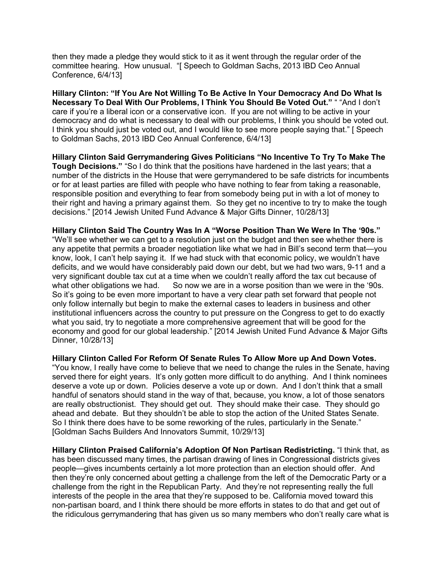then they made a pledge they would stick to it as it went through the regular order of the committee hearing. How unusual. "[ Speech to Goldman Sachs, 2013 IBD Ceo Annual Conference, 6/4/13]

**Hillary Clinton: "If You Are Not Willing To Be Active In Your Democracy And Do What Is Necessary To Deal With Our Problems, I Think You Should Be Voted Out."** " "And I don't care if you're a liberal icon or a conservative icon. If you are not willing to be active in your democracy and do what is necessary to deal with our problems, I think you should be voted out. I think you should just be voted out, and I would like to see more people saying that." [ Speech to Goldman Sachs, 2013 IBD Ceo Annual Conference, 6/4/13]

**Hillary Clinton Said Gerrymandering Gives Politicians "No Incentive To Try To Make The Tough Decisions."** "So I do think that the positions have hardened in the last years; that a number of the districts in the House that were gerrymandered to be safe districts for incumbents or for at least parties are filled with people who have nothing to fear from taking a reasonable, responsible position and everything to fear from somebody being put in with a lot of money to their right and having a primary against them. So they get no incentive to try to make the tough decisions." [2014 Jewish United Fund Advance & Major Gifts Dinner, 10/28/13]

**Hillary Clinton Said The Country Was In A "Worse Position Than We Were In The '90s."**  "We'll see whether we can get to a resolution just on the budget and then see whether there is any appetite that permits a broader negotiation like what we had in Bill's second term that—you know, look, I can't help saying it. If we had stuck with that economic policy, we wouldn't have deficits, and we would have considerably paid down our debt, but we had two wars, 9-11 and a very significant double tax cut at a time when we couldn't really afford the tax cut because of what other obligations we had. So now we are in a worse position than we were in the '90s. So it's going to be even more important to have a very clear path set forward that people not only follow internally but begin to make the external cases to leaders in business and other institutional influencers across the country to put pressure on the Congress to get to do exactly what you said, try to negotiate a more comprehensive agreement that will be good for the economy and good for our global leadership." [2014 Jewish United Fund Advance & Major Gifts Dinner, 10/28/13]

**Hillary Clinton Called For Reform Of Senate Rules To Allow More up And Down Votes.**  "You know, I really have come to believe that we need to change the rules in the Senate, having served there for eight years. It's only gotten more difficult to do anything. And I think nominees deserve a vote up or down. Policies deserve a vote up or down. And I don't think that a small handful of senators should stand in the way of that, because, you know, a lot of those senators are really obstructionist. They should get out. They should make their case. They should go ahead and debate. But they shouldn't be able to stop the action of the United States Senate. So I think there does have to be some reworking of the rules, particularly in the Senate." [Goldman Sachs Builders And Innovators Summit, 10/29/13]

**Hillary Clinton Praised California's Adoption Of Non Partisan Redistricting.** "I think that, as has been discussed many times, the partisan drawing of lines in Congressional districts gives people—gives incumbents certainly a lot more protection than an election should offer. And then they're only concerned about getting a challenge from the left of the Democratic Party or a challenge from the right in the Republican Party. And they're not representing really the full interests of the people in the area that they're supposed to be. California moved toward this non-partisan board, and I think there should be more efforts in states to do that and get out of the ridiculous gerrymandering that has given us so many members who don't really care what is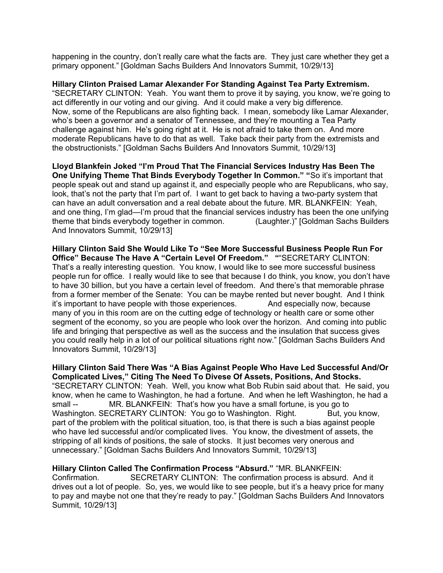happening in the country, don't really care what the facts are. They just care whether they get a primary opponent." [Goldman Sachs Builders And Innovators Summit, 10/29/13]

**Hillary Clinton Praised Lamar Alexander For Standing Against Tea Party Extremism.**  "SECRETARY CLINTON: Yeah. You want them to prove it by saying, you know, we're going to act differently in our voting and our giving. And it could make a very big difference. Now, some of the Republicans are also fighting back. I mean, somebody like Lamar Alexander, who's been a governor and a senator of Tennessee, and they're mounting a Tea Party challenge against him. He's going right at it. He is not afraid to take them on. And more moderate Republicans have to do that as well. Take back their party from the extremists and the obstructionists." [Goldman Sachs Builders And Innovators Summit, 10/29/13]

**Lloyd Blankfein Joked "I'm Proud That The Financial Services Industry Has Been The One Unifying Theme That Binds Everybody Together In Common." "**So it's important that people speak out and stand up against it, and especially people who are Republicans, who say, look, that's not the party that I'm part of. I want to get back to having a two-party system that can have an adult conversation and a real debate about the future. MR. BLANKFEIN: Yeah, and one thing, I'm glad—I'm proud that the financial services industry has been the one unifying theme that binds everybody together in common. (Laughter.)" [Goldman Sachs Builders And Innovators Summit, 10/29/13]

**Hillary Clinton Said She Would Like To "See More Successful Business People Run For Office" Because The Have A "Certain Level Of Freedom." "**"SECRETARY CLINTON: That's a really interesting question. You know, I would like to see more successful business people run for office. I really would like to see that because I do think, you know, you don't have to have 30 billion, but you have a certain level of freedom. And there's that memorable phrase from a former member of the Senate: You can be maybe rented but never bought. And I think it's important to have people with those experiences. And especially now, because many of you in this room are on the cutting edge of technology or health care or some other segment of the economy, so you are people who look over the horizon. And coming into public life and bringing that perspective as well as the success and the insulation that success gives you could really help in a lot of our political situations right now." [Goldman Sachs Builders And Innovators Summit, 10/29/13]

**Hillary Clinton Said There Was "A Bias Against People Who Have Led Successful And/Or Complicated Lives," Citing The Need To Divese Of Assets, Positions, And Stocks.**  "SECRETARY CLINTON: Yeah. Well, you know what Bob Rubin said about that. He said, you know, when he came to Washington, he had a fortune. And when he left Washington, he had a small -- MR. BLANKFEIN: That's how you have a small fortune, is you go to Washington. SECRETARY CLINTON: You go to Washington. Right. But, you know, part of the problem with the political situation, too, is that there is such a bias against people who have led successful and/or complicated lives. You know, the divestment of assets, the stripping of all kinds of positions, the sale of stocks. It just becomes very onerous and unnecessary." [Goldman Sachs Builders And Innovators Summit, 10/29/13]

**Hillary Clinton Called The Confirmation Process "Absurd."** "MR. BLANKFEIN:

Confirmation. SECRETARY CLINTON: The confirmation process is absurd. And it drives out a lot of people. So, yes, we would like to see people, but it's a heavy price for many to pay and maybe not one that they're ready to pay." [Goldman Sachs Builders And Innovators Summit, 10/29/13]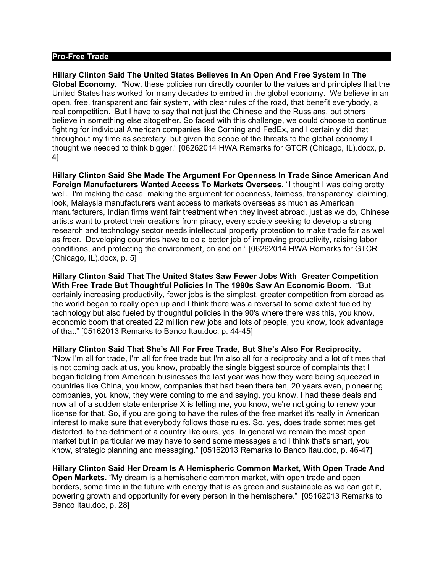#### **Pro-Free Trade**

**Hillary Clinton Said The United States Believes In An Open And Free System In The Global Economy.** "Now, these policies run directly counter to the values and principles that the United States has worked for many decades to embed in the global economy. We believe in an open, free, transparent and fair system, with clear rules of the road, that benefit everybody, a real competition. But I have to say that not just the Chinese and the Russians, but others believe in something else altogether. So faced with this challenge, we could choose to continue fighting for individual American companies like Corning and FedEx, and I certainly did that throughout my time as secretary, but given the scope of the threats to the global economy I thought we needed to think bigger." [06262014 HWA Remarks for GTCR (Chicago, IL).docx, p. 4]

**Hillary Clinton Said She Made The Argument For Openness In Trade Since American And Foreign Manufacturers Wanted Access To Markets Oversees.** "I thought I was doing pretty well. I'm making the case, making the argument for openness, fairness, transparency, claiming, look, Malaysia manufacturers want access to markets overseas as much as American manufacturers, Indian firms want fair treatment when they invest abroad, just as we do, Chinese artists want to protect their creations from piracy, every society seeking to develop a strong research and technology sector needs intellectual property protection to make trade fair as well as freer. Developing countries have to do a better job of improving productivity, raising labor conditions, and protecting the environment, on and on." [06262014 HWA Remarks for GTCR (Chicago, IL).docx, p. 5]

**Hillary Clinton Said That The United States Saw Fewer Jobs With Greater Competition With Free Trade But Thoughtful Policies In The 1990s Saw An Economic Boom.** "But certainly increasing productivity, fewer jobs is the simplest, greater competition from abroad as the world began to really open up and I think there was a reversal to some extent fueled by technology but also fueled by thoughtful policies in the 90's where there was this, you know, economic boom that created 22 million new jobs and lots of people, you know, took advantage of that." [05162013 Remarks to Banco Itau.doc, p. 44-45]

**Hillary Clinton Said That She's All For Free Trade, But She's Also For Reciprocity.**  "Now I'm all for trade, I'm all for free trade but I'm also all for a reciprocity and a lot of times that is not coming back at us, you know, probably the single biggest source of complaints that I began fielding from American businesses the last year was how they were being squeezed in countries like China, you know, companies that had been there ten, 20 years even, pioneering companies, you know, they were coming to me and saying, you know, I had these deals and now all of a sudden state enterprise X is telling me, you know, we're not going to renew your license for that. So, if you are going to have the rules of the free market it's really in American interest to make sure that everybody follows those rules. So, yes, does trade sometimes get distorted, to the detriment of a country like ours, yes. In general we remain the most open market but in particular we may have to send some messages and I think that's smart, you know, strategic planning and messaging." [05162013 Remarks to Banco Itau.doc, p. 46-47]

**Hillary Clinton Said Her Dream Is A Hemispheric Common Market, With Open Trade And Open Markets.** "My dream is a hemispheric common market, with open trade and open borders, some time in the future with energy that is as green and sustainable as we can get it, powering growth and opportunity for every person in the hemisphere." [05162013 Remarks to Banco Itau.doc, p. 28]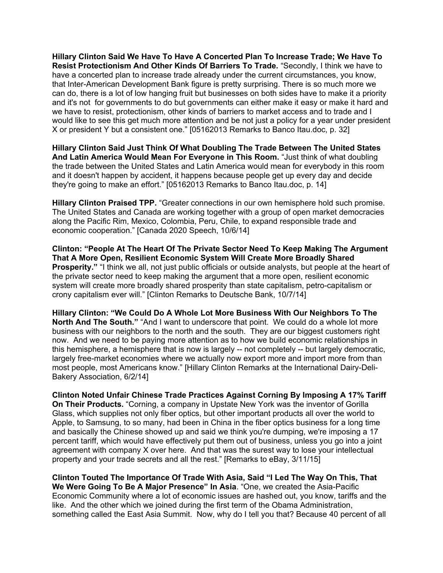**Hillary Clinton Said We Have To Have A Concerted Plan To Increase Trade; We Have To Resist Protectionism And Other Kinds Of Barriers To Trade.** "Secondly, I think we have to have a concerted plan to increase trade already under the current circumstances, you know, that Inter-American Development Bank figure is pretty surprising. There is so much more we can do, there is a lot of low hanging fruit but businesses on both sides have to make it a priority and it's not for governments to do but governments can either make it easy or make it hard and we have to resist, protectionism, other kinds of barriers to market access and to trade and I would like to see this get much more attention and be not just a policy for a year under president X or president Y but a consistent one." [05162013 Remarks to Banco Itau.doc, p. 32]

**Hillary Clinton Said Just Think Of What Doubling The Trade Between The United States And Latin America Would Mean For Everyone in This Room.** "Just think of what doubling the trade between the United States and Latin America would mean for everybody in this room and it doesn't happen by accident, it happens because people get up every day and decide they're going to make an effort." [05162013 Remarks to Banco Itau.doc, p. 14]

**Hillary Clinton Praised TPP.** "Greater connections in our own hemisphere hold such promise. The United States and Canada are working together with a group of open market democracies along the Pacific Rim, Mexico, Colombia, Peru, Chile, to expand responsible trade and economic cooperation." [Canada 2020 Speech, 10/6/14]

**Clinton: "People At The Heart Of The Private Sector Need To Keep Making The Argument That A More Open, Resilient Economic System Will Create More Broadly Shared Prosperity."** "I think we all, not just public officials or outside analysts, but people at the heart of the private sector need to keep making the argument that a more open, resilient economic system will create more broadly shared prosperity than state capitalism, petro-capitalism or crony capitalism ever will." [Clinton Remarks to Deutsche Bank, 10/7/14]

**Hillary Clinton: "We Could Do A Whole Lot More Business With Our Neighbors To The North And The South."** "And I want to underscore that point. We could do a whole lot more business with our neighbors to the north and the south. They are our biggest customers right now. And we need to be paying more attention as to how we build economic relationships in this hemisphere, a hemisphere that is now is largely -- not completely -- but largely democratic, largely free-market economies where we actually now export more and import more from than most people, most Americans know." [Hillary Clinton Remarks at the International Dairy-Deli-Bakery Association, 6/2/14]

**Clinton Noted Unfair Chinese Trade Practices Against Corning By Imposing A 17% Tariff On Their Products.** "Corning, a company in Upstate New York was the inventor of Gorilla Glass, which supplies not only fiber optics, but other important products all over the world to Apple, to Samsung, to so many, had been in China in the fiber optics business for a long time and basically the Chinese showed up and said we think you're dumping, we're imposing a 17 percent tariff, which would have effectively put them out of business, unless you go into a joint agreement with company X over here. And that was the surest way to lose your intellectual property and your trade secrets and all the rest." [Remarks to eBay, 3/11/15]

**Clinton Touted The Importance Of Trade With Asia, Said "I Led The Way On This, That We Were Going To Be A Major Presence" In Asia**. "One, we created the Asia-Pacific Economic Community where a lot of economic issues are hashed out, you know, tariffs and the like. And the other which we joined during the first term of the Obama Administration, something called the East Asia Summit. Now, why do I tell you that? Because 40 percent of all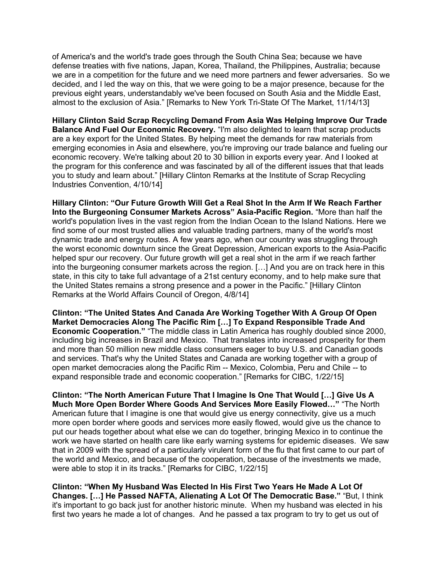of America's and the world's trade goes through the South China Sea; because we have defense treaties with five nations, Japan, Korea, Thailand, the Philippines, Australia; because we are in a competition for the future and we need more partners and fewer adversaries. So we decided, and I led the way on this, that we were going to be a major presence, because for the previous eight years, understandably we've been focused on South Asia and the Middle East, almost to the exclusion of Asia." [Remarks to New York Tri-State Of The Market, 11/14/13]

**Hillary Clinton Said Scrap Recycling Demand From Asia Was Helping Improve Our Trade Balance And Fuel Our Economic Recovery.** "I'm also delighted to learn that scrap products are a key export for the United States. By helping meet the demands for raw materials from emerging economies in Asia and elsewhere, you're improving our trade balance and fueling our economic recovery. We're talking about 20 to 30 billion in exports every year. And I looked at the program for this conference and was fascinated by all of the different issues that that leads you to study and learn about." [Hillary Clinton Remarks at the Institute of Scrap Recycling Industries Convention, 4/10/14]

**Hillary Clinton: "Our Future Growth Will Get a Real Shot In the Arm If We Reach Farther Into the Burgeoning Consumer Markets Across" Asia-Pacific Region.** "More than half the world's population lives in the vast region from the Indian Ocean to the Island Nations. Here we find some of our most trusted allies and valuable trading partners, many of the world's most dynamic trade and energy routes. A few years ago, when our country was struggling through the worst economic downturn since the Great Depression, American exports to the Asia-Pacific helped spur our recovery. Our future growth will get a real shot in the arm if we reach farther into the burgeoning consumer markets across the region. […] And you are on track here in this state, in this city to take full advantage of a 21st century economy, and to help make sure that the United States remains a strong presence and a power in the Pacific." [Hillary Clinton Remarks at the World Affairs Council of Oregon, 4/8/14]

**Clinton: "The United States And Canada Are Working Together With A Group Of Open Market Democracies Along The Pacific Rim […] To Expand Responsible Trade And Economic Cooperation."** "The middle class in Latin America has roughly doubled since 2000, including big increases in Brazil and Mexico. That translates into increased prosperity for them and more than 50 million new middle class consumers eager to buy U.S. and Canadian goods and services. That's why the United States and Canada are working together with a group of open market democracies along the Pacific Rim -- Mexico, Colombia, Peru and Chile -- to expand responsible trade and economic cooperation." [Remarks for CIBC, 1/22/15]

**Clinton: "The North American Future That I Imagine Is One That Would […] Give Us A Much More Open Border Where Goods And Services More Easily Flowed…"** "The North American future that I imagine is one that would give us energy connectivity, give us a much more open border where goods and services more easily flowed, would give us the chance to put our heads together about what else we can do together, bringing Mexico in to continue the work we have started on health care like early warning systems for epidemic diseases. We saw that in 2009 with the spread of a particularly virulent form of the flu that first came to our part of the world and Mexico, and because of the cooperation, because of the investments we made, were able to stop it in its tracks." [Remarks for CIBC, 1/22/15]

**Clinton: "When My Husband Was Elected In His First Two Years He Made A Lot Of Changes. […] He Passed NAFTA, Alienating A Lot Of The Democratic Base."** "But, I think it's important to go back just for another historic minute. When my husband was elected in his first two years he made a lot of changes. And he passed a tax program to try to get us out of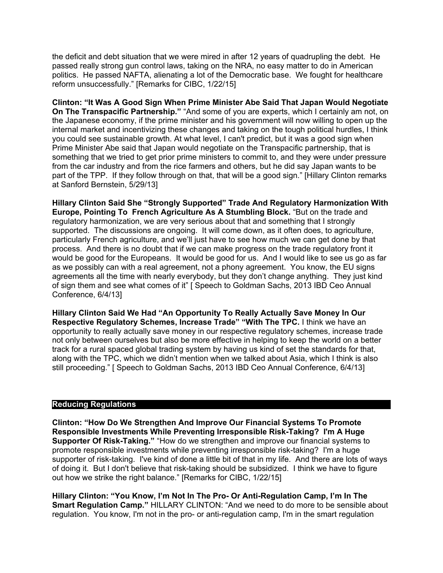the deficit and debt situation that we were mired in after 12 years of quadrupling the debt. He passed really strong gun control laws, taking on the NRA, no easy matter to do in American politics. He passed NAFTA, alienating a lot of the Democratic base. We fought for healthcare reform unsuccessfully." [Remarks for CIBC, 1/22/15]

**Clinton: "It Was A Good Sign When Prime Minister Abe Said That Japan Would Negotiate On The Transpacific Partnership."** "And some of you are experts, which I certainly am not, on the Japanese economy, if the prime minister and his government will now willing to open up the internal market and incentivizing these changes and taking on the tough political hurdles, I think you could see sustainable growth. At what level, I can't predict, but it was a good sign when Prime Minister Abe said that Japan would negotiate on the Transpacific partnership, that is something that we tried to get prior prime ministers to commit to, and they were under pressure from the car industry and from the rice farmers and others, but he did say Japan wants to be part of the TPP. If they follow through on that, that will be a good sign." [Hillary Clinton remarks at Sanford Bernstein, 5/29/13]

**Hillary Clinton Said She "Strongly Supported" Trade And Regulatory Harmonization With Europe, Pointing To French Agriculture As A Stumbling Block.** "But on the trade and regulatory harmonization, we are very serious about that and something that I strongly supported. The discussions are ongoing. It will come down, as it often does, to agriculture, particularly French agriculture, and we'll just have to see how much we can get done by that process. And there is no doubt that if we can make progress on the trade regulatory front it would be good for the Europeans. It would be good for us. And I would like to see us go as far as we possibly can with a real agreement, not a phony agreement. You know, the EU signs agreements all the time with nearly everybody, but they don't change anything. They just kind of sign them and see what comes of it" [ Speech to Goldman Sachs, 2013 IBD Ceo Annual Conference, 6/4/13]

**Hillary Clinton Said We Had "An Opportunity To Really Actually Save Money In Our Respective Regulatory Schemes, Increase Trade" "With The TPC.** I think we have an opportunity to really actually save money in our respective regulatory schemes, increase trade not only between ourselves but also be more effective in helping to keep the world on a better track for a rural spaced global trading system by having us kind of set the standards for that, along with the TPC, which we didn't mention when we talked about Asia, which I think is also still proceeding." [ Speech to Goldman Sachs, 2013 IBD Ceo Annual Conference, 6/4/13]

## **Reducing Regulations**

**Clinton: "How Do We Strengthen And Improve Our Financial Systems To Promote Responsible Investments While Preventing Irresponsible Risk-Taking? I'm A Huge Supporter Of Risk-Taking."** "How do we strengthen and improve our financial systems to promote responsible investments while preventing irresponsible risk-taking? I'm a huge supporter of risk-taking. I've kind of done a little bit of that in my life. And there are lots of ways of doing it. But I don't believe that risk-taking should be subsidized. I think we have to figure out how we strike the right balance." [Remarks for CIBC, 1/22/15]

**Hillary Clinton: "You Know, I'm Not In The Pro- Or Anti-Regulation Camp, I'm In The Smart Regulation Camp."** HILLARY CLINTON: "And we need to do more to be sensible about regulation. You know, I'm not in the pro- or anti-regulation camp, I'm in the smart regulation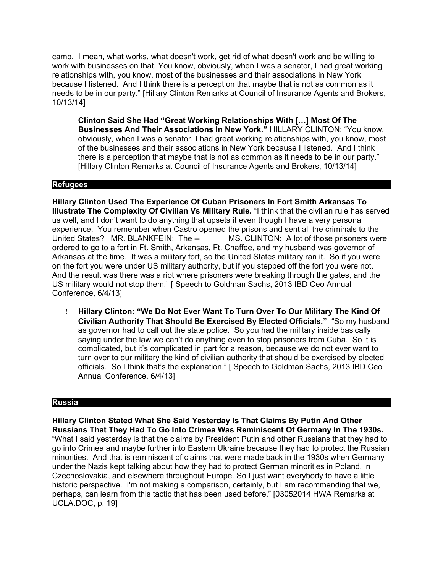camp. I mean, what works, what doesn't work, get rid of what doesn't work and be willing to work with businesses on that. You know, obviously, when I was a senator, I had great working relationships with, you know, most of the businesses and their associations in New York because I listened. And I think there is a perception that maybe that is not as common as it needs to be in our party." [Hillary Clinton Remarks at Council of Insurance Agents and Brokers, 10/13/14]

**Clinton Said She Had "Great Working Relationships With […] Most Of The Businesses And Their Associations In New York."** HILLARY CLINTON: "You know, obviously, when I was a senator, I had great working relationships with, you know, most of the businesses and their associations in New York because I listened. And I think there is a perception that maybe that is not as common as it needs to be in our party." [Hillary Clinton Remarks at Council of Insurance Agents and Brokers, 10/13/14]

## **Refugees**

**Hillary Clinton Used The Experience Of Cuban Prisoners In Fort Smith Arkansas To Illustrate The Complexity Of Civilian Vs Military Rule.** "I think that the civilian rule has served us well, and I don't want to do anything that upsets it even though I have a very personal experience. You remember when Castro opened the prisons and sent all the criminals to the United States? MR. BLANKFEIN: The -- MS. CLINTON: A lot of those prisoners were ordered to go to a fort in Ft. Smith, Arkansas, Ft. Chaffee, and my husband was governor of Arkansas at the time. It was a military fort, so the United States military ran it. So if you were on the fort you were under US military authority, but if you stepped off the fort you were not. And the result was there was a riot where prisoners were breaking through the gates, and the US military would not stop them." [ Speech to Goldman Sachs, 2013 IBD Ceo Annual Conference, 6/4/13]

 **Hillary Clinton: "We Do Not Ever Want To Turn Over To Our Military The Kind Of Civilian Authority That Should Be Exercised By Elected Officials."** "So my husband as governor had to call out the state police. So you had the military inside basically saying under the law we can't do anything even to stop prisoners from Cuba. So it is complicated, but it's complicated in part for a reason, because we do not ever want to turn over to our military the kind of civilian authority that should be exercised by elected officials. So I think that's the explanation." [ Speech to Goldman Sachs, 2013 IBD Ceo Annual Conference, 6/4/13]

## **Russia**

**Hillary Clinton Stated What She Said Yesterday Is That Claims By Putin And Other Russians That They Had To Go Into Crimea Was Reminiscent Of Germany In The 1930s.**  "What I said yesterday is that the claims by President Putin and other Russians that they had to go into Crimea and maybe further into Eastern Ukraine because they had to protect the Russian minorities. And that is reminiscent of claims that were made back in the 1930s when Germany under the Nazis kept talking about how they had to protect German minorities in Poland, in Czechoslovakia, and elsewhere throughout Europe. So I just want everybody to have a little historic perspective. I'm not making a comparison, certainly, but I am recommending that we, perhaps, can learn from this tactic that has been used before." [03052014 HWA Remarks at UCLA.DOC, p. 19]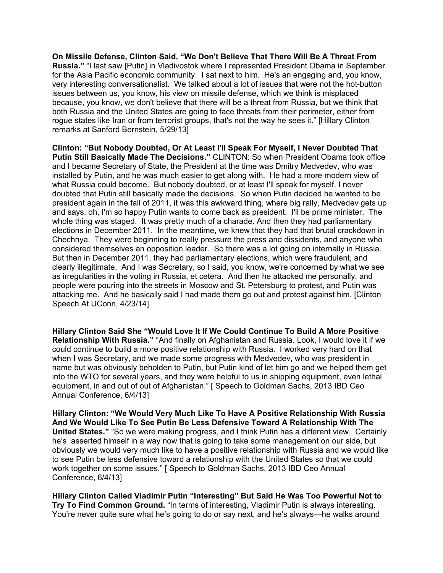**On Missile Defense, Clinton Said, "We Don't Believe That There Will Be A Threat From Russia."** "I last saw [Putin] in Vladivostok where I represented President Obama in September for the Asia Pacific economic community. I sat next to him. He's an engaging and, you know, very interesting conversationalist. We talked about a lot of issues that were not the hot-button issues between us, you know, his view on missile defense, which we think is misplaced because, you know, we don't believe that there will be a threat from Russia, but we think that both Russia and the United States are going to face threats from their perimeter, either from rogue states like Iran or from terrorist groups, that's not the way he sees it." [Hillary Clinton remarks at Sanford Bernstein, 5/29/13]

**Clinton: "But Nobody Doubted, Or At Least I'll Speak For Myself, I Never Doubted That Putin Still Basically Made The Decisions."** CLINTON: So when President Obama took office and I became Secretary of State, the President at the time was Dmitry Medvedev, who was installed by Putin, and he was much easier to get along with. He had a more modern view of what Russia could become. But nobody doubted, or at least I'll speak for myself, I never doubted that Putin still basically made the decisions. So when Putin decided he wanted to be president again in the fall of 2011, it was this awkward thing, where big rally, Medvedev gets up and says, oh, I'm so happy Putin wants to come back as president. I'll be prime minister. The whole thing was staged. It was pretty much of a charade. And then they had parliamentary elections in December 2011. In the meantime, we knew that they had that brutal crackdown in Chechnya. They were beginning to really pressure the press and dissidents, and anyone who considered themselves an opposition leader. So there was a lot going on internally in Russia. But then in December 2011, they had parliamentary elections, which were fraudulent, and clearly illegitimate. And I was Secretary, so I said, you know, we're concerned by what we see as irregularities in the voting in Russia, et cetera. And then he attacked me personally, and people were pouring into the streets in Moscow and St. Petersburg to protest, and Putin was attacking me. And he basically said I had made them go out and protest against him. [Clinton Speech At UConn, 4/23/14]

**Hillary Clinton Said She "Would Love It If We Could Continue To Build A More Positive Relationship With Russia."** "And finally on Afghanistan and Russia. Look, I would love it if we could continue to build a more positive relationship with Russia. I worked very hard on that when I was Secretary, and we made some progress with Medvedev, who was president in name but was obviously beholden to Putin, but Putin kind of let him go and we helped them get into the WTO for several years, and they were helpful to us in shipping equipment, even lethal equipment, in and out of out of Afghanistan." [ Speech to Goldman Sachs, 2013 IBD Ceo Annual Conference, 6/4/13]

**Hillary Clinton: "We Would Very Much Like To Have A Positive Relationship With Russia And We Would Like To See Putin Be Less Defensive Toward A Relationship With The United States."** "So we were making progress, and I think Putin has a different view. Certainly he's asserted himself in a way now that is going to take some management on our side, but obviously we would very much like to have a positive relationship with Russia and we would like to see Putin be less defensive toward a relationship with the United States so that we could work together on some issues." [ Speech to Goldman Sachs, 2013 IBD Ceo Annual Conference, 6/4/13]

**Hillary Clinton Called Vladimir Putin "Interesting" But Said He Was Too Powerful Not to Try To Find Common Ground.** "In terms of interesting, Vladimir Putin is always interesting. You're never quite sure what he's going to do or say next, and he's always—he walks around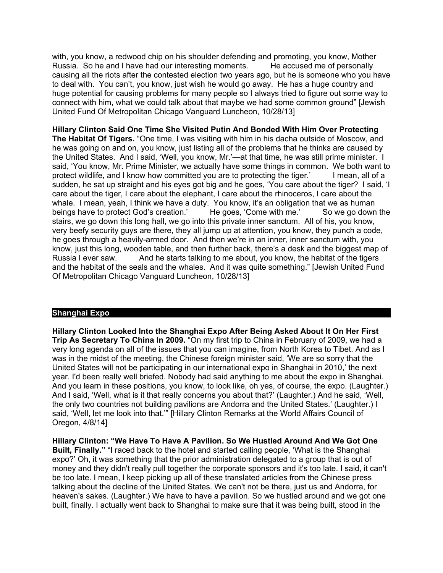with, you know, a redwood chip on his shoulder defending and promoting, you know, Mother Russia. So he and I have had our interesting moments. He accused me of personally causing all the riots after the contested election two years ago, but he is someone who you have to deal with. You can't, you know, just wish he would go away. He has a huge country and huge potential for causing problems for many people so I always tried to figure out some way to connect with him, what we could talk about that maybe we had some common ground" [Jewish United Fund Of Metropolitan Chicago Vanguard Luncheon, 10/28/13]

**Hillary Clinton Said One Time She Visited Putin And Bonded With Him Over Protecting The Habitat Of Tigers.** "One time, I was visiting with him in his dacha outside of Moscow, and he was going on and on, you know, just listing all of the problems that he thinks are caused by the United States. And I said, 'Well, you know, Mr.'—at that time, he was still prime minister. I said, 'You know, Mr. Prime Minister, we actually have some things in common. We both want to protect wildlife, and I know how committed you are to protecting the tiger.' I mean, all of a sudden, he sat up straight and his eyes got big and he goes, 'You care about the tiger? I said, 'I care about the tiger, I care about the elephant, I care about the rhinoceros, I care about the whale. I mean, yeah, I think we have a duty. You know, it's an obligation that we as human beings have to protect God's creation.' He goes, 'Come with me.' So we go down the stairs, we go down this long hall, we go into this private inner sanctum. All of his, you know, very beefy security guys are there, they all jump up at attention, you know, they punch a code, he goes through a heavily-armed door. And then we're in an inner, inner sanctum with, you know, just this long, wooden table, and then further back, there's a desk and the biggest map of Russia I ever saw. And he starts talking to me about, you know, the habitat of the tigers and the habitat of the seals and the whales. And it was quite something." [Jewish United Fund Of Metropolitan Chicago Vanguard Luncheon, 10/28/13]

## **Shanghai Expo**

**Hillary Clinton Looked Into the Shanghai Expo After Being Asked About It On Her First Trip As Secretary To China In 2009.** "On my first trip to China in February of 2009, we had a very long agenda on all of the issues that you can imagine, from North Korea to Tibet. And as I was in the midst of the meeting, the Chinese foreign minister said, 'We are so sorry that the United States will not be participating in our international expo in Shanghai in 2010,' the next year. I'd been really well briefed. Nobody had said anything to me about the expo in Shanghai. And you learn in these positions, you know, to look like, oh yes, of course, the expo. (Laughter.) And I said, 'Well, what is it that really concerns you about that?' (Laughter.) And he said, 'Well, the only two countries not building pavilions are Andorra and the United States.' (Laughter.) I said, 'Well, let me look into that.'" [Hillary Clinton Remarks at the World Affairs Council of Oregon, 4/8/14]

**Hillary Clinton: "We Have To Have A Pavilion. So We Hustled Around And We Got One Built, Finally."** "I raced back to the hotel and started calling people, 'What is the Shanghai expo?' Oh, it was something that the prior administration delegated to a group that is out of money and they didn't really pull together the corporate sponsors and it's too late. I said, it can't be too late. I mean, I keep picking up all of these translated articles from the Chinese press talking about the decline of the United States. We can't not be there, just us and Andorra, for heaven's sakes. (Laughter.) We have to have a pavilion. So we hustled around and we got one built, finally. I actually went back to Shanghai to make sure that it was being built, stood in the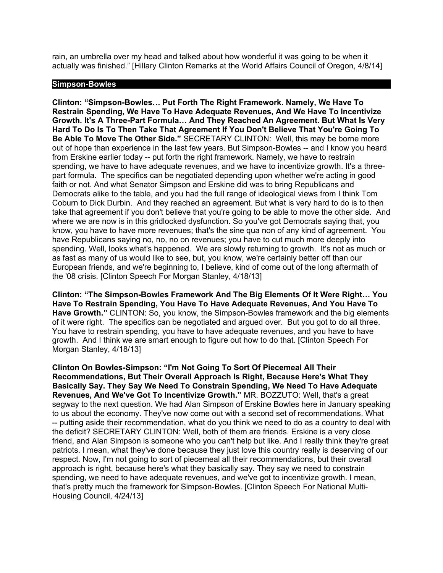rain, an umbrella over my head and talked about how wonderful it was going to be when it actually was finished." [Hillary Clinton Remarks at the World Affairs Council of Oregon, 4/8/14]

#### **Simpson-Bowles**

**Clinton: "Simpson-Bowles… Put Forth The Right Framework. Namely, We Have To Restrain Spending, We Have To Have Adequate Revenues, And We Have To Incentivize Growth. It's A Three-Part Formula… And They Reached An Agreement. But What Is Very Hard To Do Is To Then Take That Agreement If You Don't Believe That You're Going To Be Able To Move The Other Side."** SECRETARY CLINTON: Well, this may be borne more out of hope than experience in the last few years. But Simpson-Bowles -- and I know you heard from Erskine earlier today -- put forth the right framework. Namely, we have to restrain spending, we have to have adequate revenues, and we have to incentivize growth. It's a threepart formula. The specifics can be negotiated depending upon whether we're acting in good faith or not. And what Senator Simpson and Erskine did was to bring Republicans and Democrats alike to the table, and you had the full range of ideological views from I think Tom Coburn to Dick Durbin. And they reached an agreement. But what is very hard to do is to then take that agreement if you don't believe that you're going to be able to move the other side. And where we are now is in this gridlocked dysfunction. So you've got Democrats saying that, you know, you have to have more revenues; that's the sine qua non of any kind of agreement. You have Republicans saying no, no, no on revenues; you have to cut much more deeply into spending. Well, looks what's happened. We are slowly returning to growth. It's not as much or as fast as many of us would like to see, but, you know, we're certainly better off than our European friends, and we're beginning to, I believe, kind of come out of the long aftermath of the '08 crisis. [Clinton Speech For Morgan Stanley, 4/18/13]

**Clinton: "The Simpson-Bowles Framework And The Big Elements Of It Were Right… You Have To Restrain Spending, You Have To Have Adequate Revenues, And You Have To Have Growth."** CLINTON: So, you know, the Simpson-Bowles framework and the big elements of it were right. The specifics can be negotiated and argued over. But you got to do all three. You have to restrain spending, you have to have adequate revenues, and you have to have growth. And I think we are smart enough to figure out how to do that. [Clinton Speech For Morgan Stanley, 4/18/13]

**Clinton On Bowles-Simpson: "I'm Not Going To Sort Of Piecemeal All Their Recommendations, But Their Overall Approach Is Right, Because Here's What They Basically Say. They Say We Need To Constrain Spending, We Need To Have Adequate Revenues, And We've Got To Incentivize Growth."** MR. BOZZUTO: Well, that's a great segway to the next question. We had Alan Simpson of Erskine Bowles here in January speaking to us about the economy. They've now come out with a second set of recommendations. What -- putting aside their recommendation, what do you think we need to do as a country to deal with the deficit? SECRETARY CLINTON: Well, both of them are friends. Erskine is a very close friend, and Alan Simpson is someone who you can't help but like. And I really think they're great patriots. I mean, what they've done because they just love this country really is deserving of our respect. Now, I'm not going to sort of piecemeal all their recommendations, but their overall approach is right, because here's what they basically say. They say we need to constrain spending, we need to have adequate revenues, and we've got to incentivize growth. I mean, that's pretty much the framework for Simpson-Bowles. [Clinton Speech For National Multi-Housing Council, 4/24/13]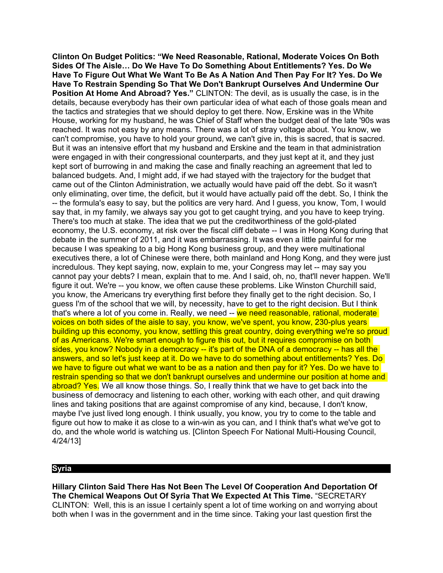**Clinton On Budget Politics: "We Need Reasonable, Rational, Moderate Voices On Both Sides Of The Aisle… Do We Have To Do Something About Entitlements? Yes. Do We Have To Figure Out What We Want To Be As A Nation And Then Pay For It? Yes. Do We Have To Restrain Spending So That We Don't Bankrupt Ourselves And Undermine Our Position At Home And Abroad? Yes."** CLINTON: The devil, as is usually the case, is in the details, because everybody has their own particular idea of what each of those goals mean and the tactics and strategies that we should deploy to get there. Now, Erskine was in the White House, working for my husband, he was Chief of Staff when the budget deal of the late '90s was reached. It was not easy by any means. There was a lot of stray voltage about. You know, we can't compromise, you have to hold your ground, we can't give in, this is sacred, that is sacred. But it was an intensive effort that my husband and Erskine and the team in that administration were engaged in with their congressional counterparts, and they just kept at it, and they just kept sort of burrowing in and making the case and finally reaching an agreement that led to balanced budgets. And, I might add, if we had stayed with the trajectory for the budget that came out of the Clinton Administration, we actually would have paid off the debt. So it wasn't only eliminating, over time, the deficit, but it would have actually paid off the debt. So, I think the -- the formula's easy to say, but the politics are very hard. And I guess, you know, Tom, I would say that, in my family, we always say you got to get caught trying, and you have to keep trying. There's too much at stake. The idea that we put the creditworthiness of the gold-plated economy, the U.S. economy, at risk over the fiscal cliff debate -- I was in Hong Kong during that debate in the summer of 2011, and it was embarrassing. It was even a little painful for me because I was speaking to a big Hong Kong business group, and they were multinational executives there, a lot of Chinese were there, both mainland and Hong Kong, and they were just incredulous. They kept saying, now, explain to me, your Congress may let -- may say you cannot pay your debts? I mean, explain that to me. And I said, oh, no, that'll never happen. We'll figure it out. We're -- you know, we often cause these problems. Like Winston Churchill said, you know, the Americans try everything first before they finally get to the right decision. So, I guess I'm of the school that we will, by necessity, have to get to the right decision. But I think that's where a lot of you come in. Really, we need -- we need reasonable, rational, moderate voices on both sides of the aisle to say, you know, we've spent, you know, 230-plus years building up this economy, you know, settling this great country, doing everything we're so proud of as Americans. We're smart enough to figure this out, but it requires compromise on both sides, you know? Nobody in a democracy -- it's part of the DNA of a democracy -- has all the answers, and so let's just keep at it. Do we have to do something about entitlements? Yes. Do we have to figure out what we want to be as a nation and then pay for it? Yes. Do we have to restrain spending so that we don't bankrupt ourselves and undermine our position at home and abroad? Yes. We all know those things. So, I really think that we have to get back into the business of democracy and listening to each other, working with each other, and quit drawing lines and taking positions that are against compromise of any kind, because, I don't know, maybe I've just lived long enough. I think usually, you know, you try to come to the table and figure out how to make it as close to a win-win as you can, and I think that's what we've got to do, and the whole world is watching us. [Clinton Speech For National Multi-Housing Council, 4/24/13]

## **Syria**

**Hillary Clinton Said There Has Not Been The Level Of Cooperation And Deportation Of The Chemical Weapons Out Of Syria That We Expected At This Time.** "SECRETARY CLINTON: Well, this is an issue I certainly spent a lot of time working on and worrying about both when I was in the government and in the time since. Taking your last question first the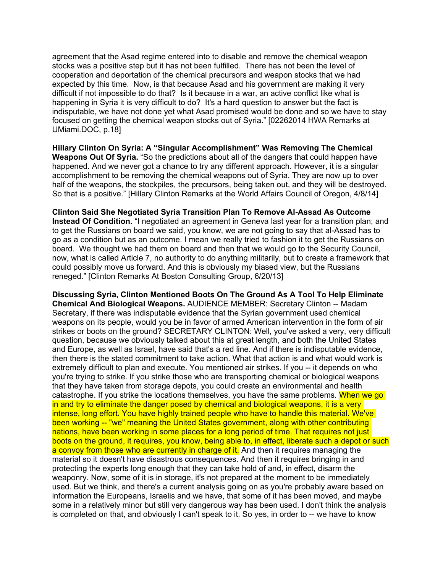agreement that the Asad regime entered into to disable and remove the chemical weapon stocks was a positive step but it has not been fulfilled. There has not been the level of cooperation and deportation of the chemical precursors and weapon stocks that we had expected by this time. Now, is that because Asad and his government are making it very difficult if not impossible to do that? Is it because in a war, an active conflict like what is happening in Syria it is very difficult to do? It's a hard question to answer but the fact is indisputable, we have not done yet what Asad promised would be done and so we have to stay focused on getting the chemical weapon stocks out of Syria." [02262014 HWA Remarks at UMiami.DOC, p.18]

**Hillary Clinton On Syria: A "Singular Accomplishment" Was Removing The Chemical Weapons Out Of Syria.** "So the predictions about all of the dangers that could happen have happened. And we never got a chance to try any different approach. However, it is a singular accomplishment to be removing the chemical weapons out of Syria. They are now up to over half of the weapons, the stockpiles, the precursors, being taken out, and they will be destroyed. So that is a positive." [Hillary Clinton Remarks at the World Affairs Council of Oregon, 4/8/14]

**Clinton Said She Negotiated Syria Transition Plan To Remove Al-Assad As Outcome Instead Of Condition.** "I negotiated an agreement in Geneva last year for a transition plan; and to get the Russians on board we said, you know, we are not going to say that al-Assad has to go as a condition but as an outcome. I mean we really tried to fashion it to get the Russians on board. We thought we had them on board and then that we would go to the Security Council, now, what is called Article 7, no authority to do anything militarily, but to create a framework that could possibly move us forward. And this is obviously my biased view, but the Russians reneged." [Clinton Remarks At Boston Consulting Group, 6/20/13]

**Discussing Syria, Clinton Mentioned Boots On The Ground As A Tool To Help Eliminate Chemical And Biological Weapons.** AUDIENCE MEMBER: Secretary Clinton -- Madam Secretary, if there was indisputable evidence that the Syrian government used chemical weapons on its people, would you be in favor of armed American intervention in the form of air strikes or boots on the ground? SECRETARY CLINTON: Well, you've asked a very, very difficult question, because we obviously talked about this at great length, and both the United States and Europe, as well as Israel, have said that's a red line. And if there is indisputable evidence, then there is the stated commitment to take action. What that action is and what would work is extremely difficult to plan and execute. You mentioned air strikes. If you -- it depends on who you're trying to strike. If you strike those who are transporting chemical or biological weapons that they have taken from storage depots, you could create an environmental and health catastrophe. If you strike the locations themselves, you have the same problems. When we go in and try to eliminate the danger posed by chemical and biological weapons, it is a very intense, long effort. You have highly trained people who have to handle this material. We've been working -- "we" meaning the United States government, along with other contributing nations, have been working in some places for a long period of time. That requires not just boots on the ground, it requires, you know, being able to, in effect, liberate such a depot or such a convoy from those who are currently in charge of it. And then it requires managing the material so it doesn't have disastrous consequences. And then it requires bringing in and protecting the experts long enough that they can take hold of and, in effect, disarm the weaponry. Now, some of it is in storage, it's not prepared at the moment to be immediately used. But we think, and there's a current analysis going on as you're probably aware based on information the Europeans, Israelis and we have, that some of it has been moved, and maybe some in a relatively minor but still very dangerous way has been used. I don't think the analysis is completed on that, and obviously I can't speak to it. So yes, in order to -- we have to know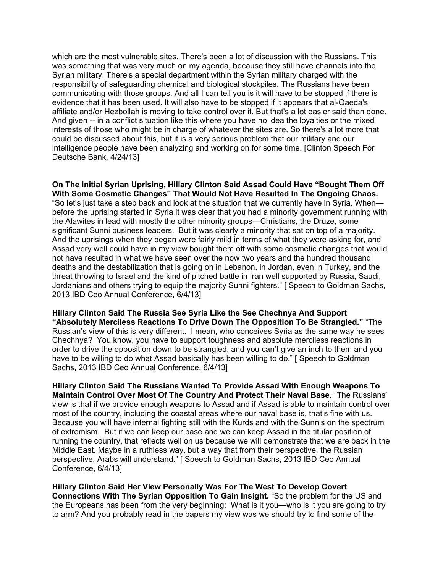which are the most vulnerable sites. There's been a lot of discussion with the Russians. This was something that was very much on my agenda, because they still have channels into the Syrian military. There's a special department within the Syrian military charged with the responsibility of safeguarding chemical and biological stockpiles. The Russians have been communicating with those groups. And all I can tell you is it will have to be stopped if there is evidence that it has been used. It will also have to be stopped if it appears that al-Qaeda's affiliate and/or Hezbollah is moving to take control over it. But that's a lot easier said than done. And given -- in a conflict situation like this where you have no idea the loyalties or the mixed interests of those who might be in charge of whatever the sites are. So there's a lot more that could be discussed about this, but it is a very serious problem that our military and our intelligence people have been analyzing and working on for some time. [Clinton Speech For Deutsche Bank, 4/24/13]

**On The Initial Syrian Uprising, Hillary Clinton Said Assad Could Have "Bought Them Off With Some Cosmetic Changes" That Would Not Have Resulted In The Ongoing Chaos.**  "So let's just take a step back and look at the situation that we currently have in Syria. When before the uprising started in Syria it was clear that you had a minority government running with the Alawites in lead with mostly the other minority groups—Christians, the Druze, some significant Sunni business leaders. But it was clearly a minority that sat on top of a majority. And the uprisings when they began were fairly mild in terms of what they were asking for, and Assad very well could have in my view bought them off with some cosmetic changes that would not have resulted in what we have seen over the now two years and the hundred thousand deaths and the destabilization that is going on in Lebanon, in Jordan, even in Turkey, and the threat throwing to Israel and the kind of pitched battle in Iran well supported by Russia, Saudi, Jordanians and others trying to equip the majority Sunni fighters." [ Speech to Goldman Sachs, 2013 IBD Ceo Annual Conference, 6/4/13]

**Hillary Clinton Said The Russia See Syria Like the See Chechnya And Support "Absolutely Merciless Reactions To Drive Down The Opposition To Be Strangled."** "The Russian's view of this is very different. I mean, who conceives Syria as the same way he sees Chechnya? You know, you have to support toughness and absolute merciless reactions in order to drive the opposition down to be strangled, and you can't give an inch to them and you have to be willing to do what Assad basically has been willing to do." [Speech to Goldman Sachs, 2013 IBD Ceo Annual Conference, 6/4/13]

**Hillary Clinton Said The Russians Wanted To Provide Assad With Enough Weapons To Maintain Control Over Most Of The Country And Protect Their Naval Base.** "The Russians' view is that if we provide enough weapons to Assad and if Assad is able to maintain control over most of the country, including the coastal areas where our naval base is, that's fine with us. Because you will have internal fighting still with the Kurds and with the Sunnis on the spectrum of extremism. But if we can keep our base and we can keep Assad in the titular position of running the country, that reflects well on us because we will demonstrate that we are back in the Middle East. Maybe in a ruthless way, but a way that from their perspective, the Russian perspective, Arabs will understand." [ Speech to Goldman Sachs, 2013 IBD Ceo Annual Conference, 6/4/13]

**Hillary Clinton Said Her View Personally Was For The West To Develop Covert Connections With The Syrian Opposition To Gain Insight.** "So the problem for the US and the Europeans has been from the very beginning: What is it you—who is it you are going to try to arm? And you probably read in the papers my view was we should try to find some of the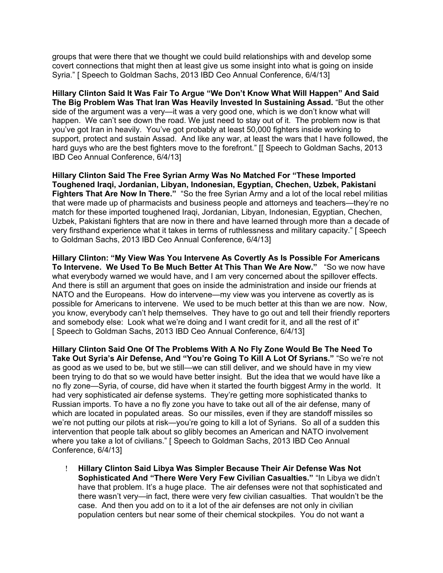groups that were there that we thought we could build relationships with and develop some covert connections that might then at least give us some insight into what is going on inside Syria." [ Speech to Goldman Sachs, 2013 IBD Ceo Annual Conference, 6/4/13]

**Hillary Clinton Said It Was Fair To Argue "We Don't Know What Will Happen" And Said The Big Problem Was That Iran Was Heavily Invested In Sustaining Assad.** "But the other side of the argument was a very—it was a very good one, which is we don't know what will happen. We can't see down the road. We just need to stay out of it. The problem now is that you've got Iran in heavily. You've got probably at least 50,000 fighters inside working to support, protect and sustain Assad. And like any war, at least the wars that I have followed, the hard guys who are the best fighters move to the forefront." [[ Speech to Goldman Sachs, 2013 IBD Ceo Annual Conference, 6/4/13]

**Hillary Clinton Said The Free Syrian Army Was No Matched For "These Imported Toughened Iraqi, Jordanian, Libyan, Indonesian, Egyptian, Chechen, Uzbek, Pakistani Fighters That Are Now In There."** "So the free Syrian Army and a lot of the local rebel militias that were made up of pharmacists and business people and attorneys and teachers—they're no match for these imported toughened Iraqi, Jordanian, Libyan, Indonesian, Egyptian, Chechen, Uzbek, Pakistani fighters that are now in there and have learned through more than a decade of very firsthand experience what it takes in terms of ruthlessness and military capacity." [ Speech to Goldman Sachs, 2013 IBD Ceo Annual Conference, 6/4/13]

**Hillary Clinton: "My View Was You Intervene As Covertly As Is Possible For Americans To Intervene. We Used To Be Much Better At This Than We Are Now."** "So we now have what everybody warned we would have, and I am very concerned about the spillover effects. And there is still an argument that goes on inside the administration and inside our friends at NATO and the Europeans. How do intervene—my view was you intervene as covertly as is possible for Americans to intervene. We used to be much better at this than we are now. Now, you know, everybody can't help themselves. They have to go out and tell their friendly reporters and somebody else: Look what we're doing and I want credit for it, and all the rest of it" [ Speech to Goldman Sachs, 2013 IBD Ceo Annual Conference, 6/4/13]

**Hillary Clinton Said One Of The Problems With A No Fly Zone Would Be The Need To Take Out Syria's Air Defense, And "You're Going To Kill A Lot Of Syrians."** "So we're not as good as we used to be, but we still—we can still deliver, and we should have in my view been trying to do that so we would have better insight. But the idea that we would have like a no fly zone—Syria, of course, did have when it started the fourth biggest Army in the world. It had very sophisticated air defense systems. They're getting more sophisticated thanks to Russian imports. To have a no fly zone you have to take out all of the air defense, many of which are located in populated areas. So our missiles, even if they are standoff missiles so we're not putting our pilots at risk—you're going to kill a lot of Syrians. So all of a sudden this intervention that people talk about so glibly becomes an American and NATO involvement where you take a lot of civilians." [ Speech to Goldman Sachs, 2013 IBD Ceo Annual Conference, 6/4/13]

 **Hillary Clinton Said Libya Was Simpler Because Their Air Defense Was Not Sophisticated And "There Were Very Few Civilian Casualties."** "In Libya we didn't have that problem. It's a huge place. The air defenses were not that sophisticated and there wasn't very—in fact, there were very few civilian casualties. That wouldn't be the case. And then you add on to it a lot of the air defenses are not only in civilian population centers but near some of their chemical stockpiles. You do not want a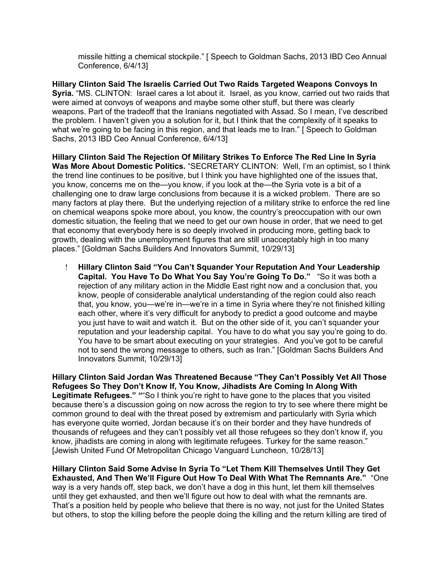missile hitting a chemical stockpile." [ Speech to Goldman Sachs, 2013 IBD Ceo Annual Conference, 6/4/13]

**Hillary Clinton Said The Israelis Carried Out Two Raids Targeted Weapons Convoys In Syria.** "MS. CLINTON: Israel cares a lot about it. Israel, as you know, carried out two raids that were aimed at convoys of weapons and maybe some other stuff, but there was clearly weapons. Part of the tradeoff that the Iranians negotiated with Assad. So I mean, I've described the problem. I haven't given you a solution for it, but I think that the complexity of it speaks to what we're going to be facing in this region, and that leads me to Iran." [ Speech to Goldman Sachs, 2013 IBD Ceo Annual Conference, 6/4/13]

**Hillary Clinton Said The Rejection Of Military Strikes To Enforce The Red Line In Syria Was More About Domestic Politics.** "SECRETARY CLINTON: Well, I'm an optimist, so I think the trend line continues to be positive, but I think you have highlighted one of the issues that, you know, concerns me on the—you know, if you look at the—the Syria vote is a bit of a challenging one to draw large conclusions from because it is a wicked problem. There are so many factors at play there. But the underlying rejection of a military strike to enforce the red line on chemical weapons spoke more about, you know, the country's preoccupation with our own domestic situation, the feeling that we need to get our own house in order, that we need to get that economy that everybody here is so deeply involved in producing more, getting back to growth, dealing with the unemployment figures that are still unacceptably high in too many places." [Goldman Sachs Builders And Innovators Summit, 10/29/13]

 **Hillary Clinton Said "You Can't Squander Your Reputation And Your Leadership Capital. You Have To Do What You Say You're Going To Do."** "So it was both a rejection of any military action in the Middle East right now and a conclusion that, you know, people of considerable analytical understanding of the region could also reach that, you know, you—we're in—we're in a time in Syria where they're not finished killing each other, where it's very difficult for anybody to predict a good outcome and maybe you just have to wait and watch it. But on the other side of it, you can't squander your reputation and your leadership capital. You have to do what you say you're going to do. You have to be smart about executing on your strategies. And you've got to be careful not to send the wrong message to others, such as Iran." [Goldman Sachs Builders And Innovators Summit, 10/29/13]

**Hillary Clinton Said Jordan Was Threatened Because "They Can't Possibly Vet All Those Refugees So They Don't Know If, You Know, Jihadists Are Coming In Along With Legitimate Refugees." "**"So I think you're right to have gone to the places that you visited because there's a discussion going on now across the region to try to see where there might be common ground to deal with the threat posed by extremism and particularly with Syria which has everyone quite worried, Jordan because it's on their border and they have hundreds of thousands of refugees and they can't possibly vet all those refugees so they don't know if, you know, jihadists are coming in along with legitimate refugees. Turkey for the same reason." [Jewish United Fund Of Metropolitan Chicago Vanguard Luncheon, 10/28/13]

**Hillary Clinton Said Some Advise In Syria To "Let Them Kill Themselves Until They Get Exhausted, And Then We'll Figure Out How To Deal With What The Remnants Are."** "One way is a very hands off, step back, we don't have a dog in this hunt, let them kill themselves until they get exhausted, and then we'll figure out how to deal with what the remnants are. That's a position held by people who believe that there is no way, not just for the United States but others, to stop the killing before the people doing the killing and the return killing are tired of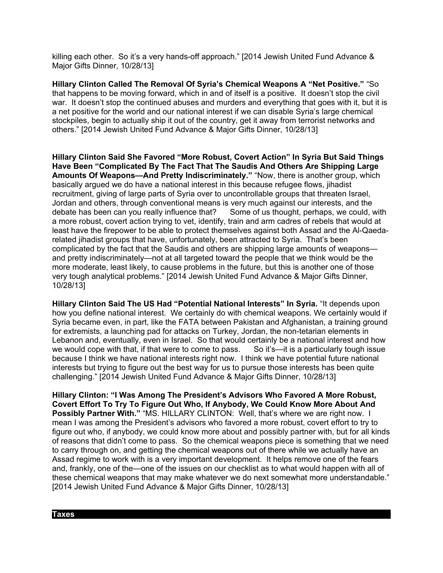killing each other. So it's a very hands-off approach." [2014 Jewish United Fund Advance & Major Gifts Dinner, 10/28/13]

**Hillary Clinton Called The Removal Of Syria's Chemical Weapons A "Net Positive."** "So that happens to be moving forward, which in and of itself is a positive. It doesn't stop the civil war. It doesn't stop the continued abuses and murders and everything that goes with it, but it is a net positive for the world and our national interest if we can disable Syria's large chemical stockpiles, begin to actually ship it out of the country, get it away from terrorist networks and others." [2014 Jewish United Fund Advance & Major Gifts Dinner, 10/28/13]

**Hillary Clinton Said She Favored "More Robust, Covert Action" In Syria But Said Things Have Been "Complicated By The Fact That The Saudis And Others Are Shipping Large Amounts Of Weapons—And Pretty Indiscriminately."** "Now, there is another group, which basically argued we do have a national interest in this because refugee flows, jihadist recruitment, giving of large parts of Syria over to uncontrollable groups that threaten Israel, Jordan and others, through conventional means is very much against our interests, and the debate has been can you really influence that? Some of us thought, perhaps, we could, with a more robust, covert action trying to vet, identify, train and arm cadres of rebels that would at least have the firepower to be able to protect themselves against both Assad and the Al-Qaedarelated jihadist groups that have, unfortunately, been attracted to Syria. That's been complicated by the fact that the Saudis and others are shipping large amounts of weapons and pretty indiscriminately—not at all targeted toward the people that we think would be the more moderate, least likely, to cause problems in the future, but this is another one of those very tough analytical problems." [2014 Jewish United Fund Advance & Major Gifts Dinner, 10/28/13]

**Hillary Clinton Said The US Had "Potential National Interests" In Syria.** "It depends upon how you define national interest. We certainly do with chemical weapons. We certainly would if Syria became even, in part, like the FATA between Pakistan and Afghanistan, a training ground for extremists, a launching pad for attacks on Turkey, Jordan, the non-tetarian elements in Lebanon and, eventually, even in Israel. So that would certainly be a national interest and how we would cope with that, if that were to come to pass. So it's—it is a particularly tough issue because I think we have national interests right now. I think we have potential future national interests but trying to figure out the best way for us to pursue those interests has been quite challenging." [2014 Jewish United Fund Advance & Major Gifts Dinner, 10/28/13]

**Hillary Clinton: "I Was Among The President's Advisors Who Favored A More Robust, Covert Effort To Try To Figure Out Who, If Anybody, We Could Know More About And Possibly Partner With."** "MS. HILLARY CLINTON: Well, that's where we are right now. I mean I was among the President's advisors who favored a more robust, covert effort to try to figure out who, if anybody, we could know more about and possibly partner with, but for all kinds of reasons that didn't come to pass. So the chemical weapons piece is something that we need to carry through on, and getting the chemical weapons out of there while we actually have an Assad regime to work with is a very important development. It helps remove one of the fears and, frankly, one of the—one of the issues on our checklist as to what would happen with all of these chemical weapons that may make whatever we do next somewhat more understandable." [2014 Jewish United Fund Advance & Major Gifts Dinner, 10/28/13]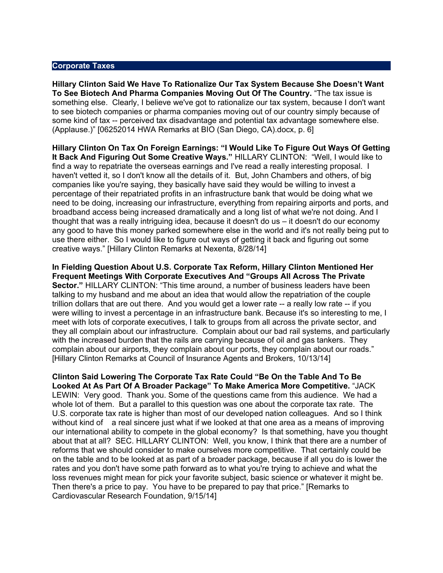#### **Corporate Taxes**

**Hillary Clinton Said We Have To Rationalize Our Tax System Because She Doesn't Want To See Biotech And Pharma Companies Moving Out Of The Country.** "The tax issue is something else. Clearly, I believe we've got to rationalize our tax system, because I don't want to see biotech companies or pharma companies moving out of our country simply because of some kind of tax -- perceived tax disadvantage and potential tax advantage somewhere else. (Applause.)" [06252014 HWA Remarks at BIO (San Diego, CA).docx, p. 6]

**Hillary Clinton On Tax On Foreign Earnings: "I Would Like To Figure Out Ways Of Getting It Back And Figuring Out Some Creative Ways."** HILLARY CLINTON: "Well, I would like to find a way to repatriate the overseas earnings and I've read a really interesting proposal. I haven't vetted it, so I don't know all the details of it. But, John Chambers and others, of big companies like you're saying, they basically have said they would be willing to invest a percentage of their repatriated profits in an infrastructure bank that would be doing what we need to be doing, increasing our infrastructure, everything from repairing airports and ports, and broadband access being increased dramatically and a long list of what we're not doing. And I thought that was a really intriguing idea, because it doesn't do us – it doesn't do our economy any good to have this money parked somewhere else in the world and it's not really being put to use there either. So I would like to figure out ways of getting it back and figuring out some creative ways." [Hillary Clinton Remarks at Nexenta, 8/28/14]

**In Fielding Question About U.S. Corporate Tax Reform, Hillary Clinton Mentioned Her Frequent Meetings With Corporate Executives And "Groups All Across The Private Sector."** HILLARY CLINTON: "This time around, a number of business leaders have been talking to my husband and me about an idea that would allow the repatriation of the couple trillion dollars that are out there. And you would get a lower rate -- a really low rate -- if you were willing to invest a percentage in an infrastructure bank. Because it's so interesting to me, I meet with lots of corporate executives, I talk to groups from all across the private sector, and they all complain about our infrastructure. Complain about our bad rail systems, and particularly with the increased burden that the rails are carrying because of oil and gas tankers. They complain about our airports, they complain about our ports, they complain about our roads." [Hillary Clinton Remarks at Council of Insurance Agents and Brokers, 10/13/14]

**Clinton Said Lowering The Corporate Tax Rate Could "Be On the Table And To Be Looked At As Part Of A Broader Package" To Make America More Competitive.** "JACK LEWIN: Very good. Thank you. Some of the questions came from this audience. We had a whole lot of them. But a parallel to this question was one about the corporate tax rate. The U.S. corporate tax rate is higher than most of our developed nation colleagues. And so I think without kind of a real sincere just what if we looked at that one area as a means of improving our international ability to compete in the global economy? Is that something, have you thought about that at all? SEC. HILLARY CLINTON: Well, you know, I think that there are a number of reforms that we should consider to make ourselves more competitive. That certainly could be on the table and to be looked at as part of a broader package, because if all you do is lower the rates and you don't have some path forward as to what you're trying to achieve and what the loss revenues might mean for pick your favorite subject, basic science or whatever it might be. Then there's a price to pay. You have to be prepared to pay that price." [Remarks to Cardiovascular Research Foundation, 9/15/14]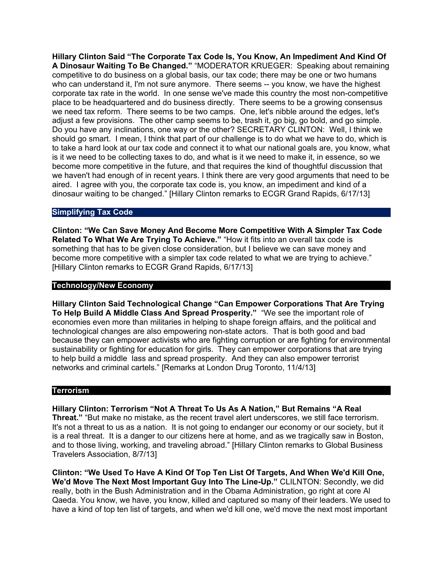**Hillary Clinton Said "The Corporate Tax Code Is, You Know, An Impediment And Kind Of A Dinosaur Waiting To Be Changed."** "MODERATOR KRUEGER: Speaking about remaining competitive to do business on a global basis, our tax code; there may be one or two humans who can understand it, I'm not sure anymore. There seems -- you know, we have the highest corporate tax rate in the world. In one sense we've made this country the most non-competitive place to be headquartered and do business directly. There seems to be a growing consensus we need tax reform. There seems to be two camps. One, let's nibble around the edges, let's adjust a few provisions. The other camp seems to be, trash it, go big, go bold, and go simple. Do you have any inclinations, one way or the other? SECRETARY CLINTON: Well, I think we should go smart. I mean, I think that part of our challenge is to do what we have to do, which is to take a hard look at our tax code and connect it to what our national goals are, you know, what is it we need to be collecting taxes to do, and what is it we need to make it, in essence, so we become more competitive in the future, and that requires the kind of thoughtful discussion that we haven't had enough of in recent years. I think there are very good arguments that need to be aired. I agree with you, the corporate tax code is, you know, an impediment and kind of a dinosaur waiting to be changed." [Hillary Clinton remarks to ECGR Grand Rapids, 6/17/13]

# **Simplifying Tax Code**

**Clinton: "We Can Save Money And Become More Competitive With A Simpler Tax Code Related To What We Are Trying To Achieve."** "How it fits into an overall tax code is something that has to be given close consideration, but I believe we can save money and become more competitive with a simpler tax code related to what we are trying to achieve." [Hillary Clinton remarks to ECGR Grand Rapids, 6/17/13]

### **Technology/New Economy**

**Hillary Clinton Said Technological Change "Can Empower Corporations That Are Trying To Help Build A Middle Class And Spread Prosperity."** "We see the important role of economies even more than militaries in helping to shape foreign affairs, and the political and technological changes are also empowering non-state actors. That is both good and bad because they can empower activists who are fighting corruption or are fighting for environmental sustainability or fighting for education for girls. They can empower corporations that are trying to help build a middle lass and spread prosperity. And they can also empower terrorist networks and criminal cartels." [Remarks at London Drug Toronto, 11/4/13]

## **Terrorism**

**Hillary Clinton: Terrorism "Not A Threat To Us As A Nation," But Remains "A Real Threat."** "But make no mistake, as the recent travel alert underscores, we still face terrorism. It's not a threat to us as a nation. It is not going to endanger our economy or our society, but it is a real threat. It is a danger to our citizens here at home, and as we tragically saw in Boston, and to those living, working, and traveling abroad." [Hillary Clinton remarks to Global Business Travelers Association, 8/7/13]

**Clinton: "We Used To Have A Kind Of Top Ten List Of Targets, And When We'd Kill One, We'd Move The Next Most Important Guy Into The Line-Up."** CLILNTON: Secondly, we did really, both in the Bush Administration and in the Obama Administration, go right at core Al Qaeda. You know, we have, you know, killed and captured so many of their leaders. We used to have a kind of top ten list of targets, and when we'd kill one, we'd move the next most important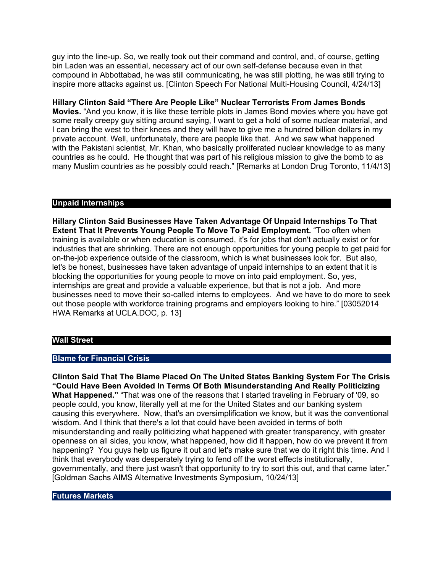guy into the line-up. So, we really took out their command and control, and, of course, getting bin Laden was an essential, necessary act of our own self-defense because even in that compound in Abbottabad, he was still communicating, he was still plotting, he was still trying to inspire more attacks against us. [Clinton Speech For National Multi-Housing Council, 4/24/13]

**Hillary Clinton Said "There Are People Like" Nuclear Terrorists From James Bonds Movies.** "And you know, it is like these terrible plots in James Bond movies where you have got some really creepy guy sitting around saying, I want to get a hold of some nuclear material, and I can bring the west to their knees and they will have to give me a hundred billion dollars in my private account. Well, unfortunately, there are people like that. And we saw what happened with the Pakistani scientist, Mr. Khan, who basically proliferated nuclear knowledge to as many countries as he could. He thought that was part of his religious mission to give the bomb to as many Muslim countries as he possibly could reach." [Remarks at London Drug Toronto, 11/4/13]

## **Unpaid Internships**

**Hillary Clinton Said Businesses Have Taken Advantage Of Unpaid Internships To That Extent That It Prevents Young People To Move To Paid Employment.** "Too often when training is available or when education is consumed, it's for jobs that don't actually exist or for industries that are shrinking. There are not enough opportunities for young people to get paid for on-the-job experience outside of the classroom, which is what businesses look for. But also, let's be honest, businesses have taken advantage of unpaid internships to an extent that it is blocking the opportunities for young people to move on into paid employment. So, yes, internships are great and provide a valuable experience, but that is not a job. And more businesses need to move their so-called interns to employees. And we have to do more to seek out those people with workforce training programs and employers looking to hire." [03052014 HWA Remarks at UCLA.DOC, p. 13]

## **Wall Street**

## **Blame for Financial Crisis**

**Clinton Said That The Blame Placed On The United States Banking System For The Crisis "Could Have Been Avoided In Terms Of Both Misunderstanding And Really Politicizing What Happened."** "That was one of the reasons that I started traveling in February of '09, so people could, you know, literally yell at me for the United States and our banking system causing this everywhere. Now, that's an oversimplification we know, but it was the conventional wisdom. And I think that there's a lot that could have been avoided in terms of both misunderstanding and really politicizing what happened with greater transparency, with greater openness on all sides, you know, what happened, how did it happen, how do we prevent it from happening? You guys help us figure it out and let's make sure that we do it right this time. And I think that everybody was desperately trying to fend off the worst effects institutionally, governmentally, and there just wasn't that opportunity to try to sort this out, and that came later." [Goldman Sachs AIMS Alternative Investments Symposium, 10/24/13]

#### **Futures Markets**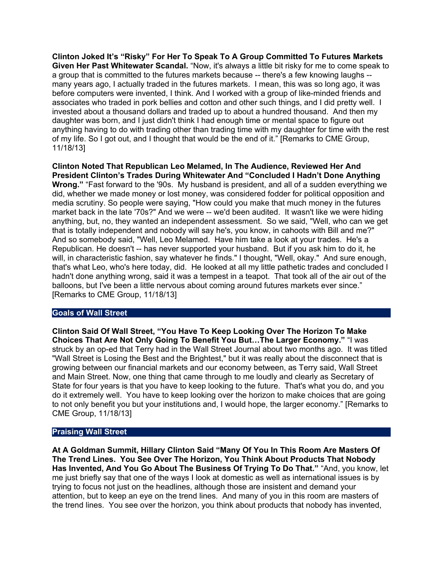**Clinton Joked It's "Risky" For Her To Speak To A Group Committed To Futures Markets Given Her Past Whitewater Scandal.** "Now, it's always a little bit risky for me to come speak to a group that is committed to the futures markets because -- there's a few knowing laughs - many years ago, I actually traded in the futures markets. I mean, this was so long ago, it was before computers were invented, I think. And I worked with a group of like-minded friends and associates who traded in pork bellies and cotton and other such things, and I did pretty well. I invested about a thousand dollars and traded up to about a hundred thousand. And then my daughter was born, and I just didn't think I had enough time or mental space to figure out anything having to do with trading other than trading time with my daughter for time with the rest of my life. So I got out, and I thought that would be the end of it." [Remarks to CME Group, 11/18/13]

**Clinton Noted That Republican Leo Melamed, In The Audience, Reviewed Her And President Clinton's Trades During Whitewater And "Concluded I Hadn't Done Anything Wrong."** "Fast forward to the '90s. My husband is president, and all of a sudden everything we did, whether we made money or lost money, was considered fodder for political opposition and media scrutiny. So people were saying, "How could you make that much money in the futures market back in the late '70s?" And we were -- we'd been audited. It wasn't like we were hiding anything, but, no, they wanted an independent assessment. So we said, "Well, who can we get that is totally independent and nobody will say he's, you know, in cahoots with Bill and me?" And so somebody said, "Well, Leo Melamed. Have him take a look at your trades. He's a Republican. He doesn't -- has never supported your husband. But if you ask him to do it, he will, in characteristic fashion, say whatever he finds." I thought, "Well, okay." And sure enough, that's what Leo, who's here today, did. He looked at all my little pathetic trades and concluded I hadn't done anything wrong, said it was a tempest in a teapot. That took all of the air out of the balloons, but I've been a little nervous about coming around futures markets ever since." [Remarks to CME Group, 11/18/13]

## **Goals of Wall Street**

**Clinton Said Of Wall Street, "You Have To Keep Looking Over The Horizon To Make Choices That Are Not Only Going To Benefit You But…The Larger Economy."** "I was struck by an op-ed that Terry had in the Wall Street Journal about two months ago. It was titled "Wall Street is Losing the Best and the Brightest," but it was really about the disconnect that is growing between our financial markets and our economy between, as Terry said, Wall Street and Main Street. Now, one thing that came through to me loudly and clearly as Secretary of State for four years is that you have to keep looking to the future. That's what you do, and you do it extremely well. You have to keep looking over the horizon to make choices that are going to not only benefit you but your institutions and, I would hope, the larger economy." [Remarks to CME Group, 11/18/13]

# **Praising Wall Street**

**At A Goldman Summit, Hillary Clinton Said "Many Of You In This Room Are Masters Of The Trend Lines. You See Over The Horizon, You Think About Products That Nobody Has Invented, And You Go About The Business Of Trying To Do That."** "And, you know, let me just briefly say that one of the ways I look at domestic as well as international issues is by trying to focus not just on the headlines, although those are insistent and demand your attention, but to keep an eye on the trend lines. And many of you in this room are masters of the trend lines. You see over the horizon, you think about products that nobody has invented,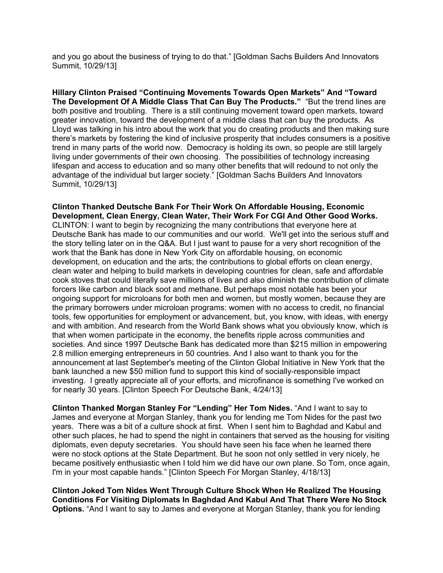and you go about the business of trying to do that." [Goldman Sachs Builders And Innovators Summit, 10/29/13]

**Hillary Clinton Praised "Continuing Movements Towards Open Markets" And "Toward The Development Of A Middle Class That Can Buy The Products."** "But the trend lines are both positive and troubling. There is a still continuing movement toward open markets, toward greater innovation, toward the development of a middle class that can buy the products. As Lloyd was talking in his intro about the work that you do creating products and then making sure there's markets by fostering the kind of inclusive prosperity that includes consumers is a positive trend in many parts of the world now. Democracy is holding its own, so people are still largely living under governments of their own choosing. The possibilities of technology increasing lifespan and access to education and so many other benefits that will redound to not only the advantage of the individual but larger society." [Goldman Sachs Builders And Innovators Summit, 10/29/13]

**Clinton Thanked Deutsche Bank For Their Work On Affordable Housing, Economic Development, Clean Energy, Clean Water, Their Work For CGI And Other Good Works.** CLINTON: I want to begin by recognizing the many contributions that everyone here at Deutsche Bank has made to our communities and our world. We'll get into the serious stuff and the story telling later on in the Q&A. But I just want to pause for a very short recognition of the work that the Bank has done in New York City on affordable housing, on economic development, on education and the arts; the contributions to global efforts on clean energy, clean water and helping to build markets in developing countries for clean, safe and affordable cook stoves that could literally save millions of lives and also diminish the contribution of climate forcers like carbon and black soot and methane. But perhaps most notable has been your ongoing support for microloans for both men and women, but mostly women, because they are the primary borrowers under microloan programs: women with no access to credit, no financial tools, few opportunities for employment or advancement, but, you know, with ideas, with energy and with ambition. And research from the World Bank shows what you obviously know, which is that when women participate in the economy, the benefits ripple across communities and societies. And since 1997 Deutsche Bank has dedicated more than \$215 million in empowering 2.8 million emerging entrepreneurs in 50 countries. And I also want to thank you for the announcement at last September's meeting of the Clinton Global Initiative in New York that the bank launched a new \$50 million fund to support this kind of socially-responsible impact investing. I greatly appreciate all of your efforts, and microfinance is something I've worked on for nearly 30 years. [Clinton Speech For Deutsche Bank, 4/24/13]

**Clinton Thanked Morgan Stanley For "Lending" Her Tom Nides.** "And I want to say to James and everyone at Morgan Stanley, thank you for lending me Tom Nides for the past two years. There was a bit of a culture shock at first. When I sent him to Baghdad and Kabul and other such places, he had to spend the night in containers that served as the housing for visiting diplomats, even deputy secretaries. You should have seen his face when he learned there were no stock options at the State Department. But he soon not only settled in very nicely, he became positively enthusiastic when I told him we did have our own plane. So Tom, once again, I'm in your most capable hands." [Clinton Speech For Morgan Stanley, 4/18/13]

**Clinton Joked Tom Nides Went Through Culture Shock When He Realized The Housing Conditions For Visiting Diplomats In Baghdad And Kabul And That There Were No Stock Options.** "And I want to say to James and everyone at Morgan Stanley, thank you for lending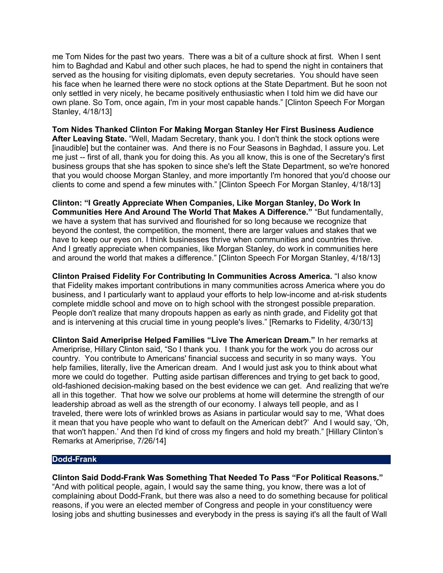me Tom Nides for the past two years. There was a bit of a culture shock at first. When I sent him to Baghdad and Kabul and other such places, he had to spend the night in containers that served as the housing for visiting diplomats, even deputy secretaries. You should have seen his face when he learned there were no stock options at the State Department. But he soon not only settled in very nicely, he became positively enthusiastic when I told him we did have our own plane. So Tom, once again, I'm in your most capable hands." [Clinton Speech For Morgan Stanley, 4/18/13]

**Tom Nides Thanked Clinton For Making Morgan Stanley Her First Business Audience After Leaving State.** "Well, Madam Secretary, thank you. I don't think the stock options were [inaudible] but the container was. And there is no Four Seasons in Baghdad, I assure you. Let me just -- first of all, thank you for doing this. As you all know, this is one of the Secretary's first business groups that she has spoken to since she's left the State Department, so we're honored that you would choose Morgan Stanley, and more importantly I'm honored that you'd choose our clients to come and spend a few minutes with." [Clinton Speech For Morgan Stanley, 4/18/13]

**Clinton: "I Greatly Appreciate When Companies, Like Morgan Stanley, Do Work In Communities Here And Around The World That Makes A Difference."** "But fundamentally, we have a system that has survived and flourished for so long because we recognize that beyond the contest, the competition, the moment, there are larger values and stakes that we have to keep our eyes on. I think businesses thrive when communities and countries thrive. And I greatly appreciate when companies, like Morgan Stanley, do work in communities here and around the world that makes a difference." [Clinton Speech For Morgan Stanley, 4/18/13]

**Clinton Praised Fidelity For Contributing In Communities Across America.** "I also know that Fidelity makes important contributions in many communities across America where you do business, and I particularly want to applaud your efforts to help low-income and at-risk students complete middle school and move on to high school with the strongest possible preparation. People don't realize that many dropouts happen as early as ninth grade, and Fidelity got that and is intervening at this crucial time in young people's lives." [Remarks to Fidelity, 4/30/13]

**Clinton Said Ameriprise Helped Families "Live The American Dream."** In her remarks at Ameriprise, Hillary Clinton said, "So I thank you. I thank you for the work you do across our country. You contribute to Americans' financial success and security in so many ways. You help families, literally, live the American dream. And I would just ask you to think about what more we could do together. Putting aside partisan differences and trying to get back to good, old-fashioned decision-making based on the best evidence we can get. And realizing that we're all in this together. That how we solve our problems at home will determine the strength of our leadership abroad as well as the strength of our economy. I always tell people, and as I traveled, there were lots of wrinkled brows as Asians in particular would say to me, 'What does it mean that you have people who want to default on the American debt?' And I would say, 'Oh, that won't happen.' And then I'd kind of cross my fingers and hold my breath." [Hillary Clinton's Remarks at Ameriprise, 7/26/14]

## **Dodd-Frank**

**Clinton Said Dodd-Frank Was Something That Needed To Pass "For Political Reasons."**  "And with political people, again, I would say the same thing, you know, there was a lot of complaining about Dodd-Frank, but there was also a need to do something because for political reasons, if you were an elected member of Congress and people in your constituency were losing jobs and shutting businesses and everybody in the press is saying it's all the fault of Wall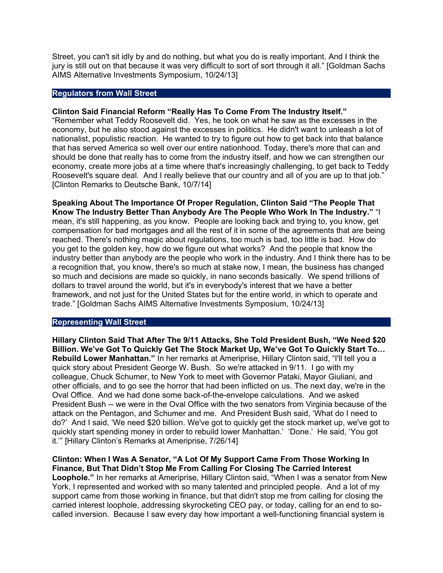Street, you can't sit idly by and do nothing, but what you do is really important. And I think the jury is still out on that because it was very difficult to sort of sort through it all." [Goldman Sachs AIMS Alternative Investments Symposium, 10/24/13]

# **Regulators from Wall Street**

## **Clinton Said Financial Reform "Really Has To Come From The Industry Itself."**

"Remember what Teddy Roosevelt did. Yes, he took on what he saw as the excesses in the economy, but he also stood against the excesses in politics. He didn't want to unleash a lot of nationalist, populistic reaction. He wanted to try to figure out how to get back into that balance that has served America so well over our entire nationhood. Today, there's more that can and should be done that really has to come from the industry itself, and how we can strengthen our economy, create more jobs at a time where that's increasingly challenging, to get back to Teddy Roosevelt's square deal. And I really believe that our country and all of you are up to that job." [Clinton Remarks to Deutsche Bank, 10/7/14]

**Speaking About The Importance Of Proper Regulation, Clinton Said "The People That Know The Industry Better Than Anybody Are The People Who Work In The Industry."** "I mean, it's still happening, as you know. People are looking back and trying to, you know, get compensation for bad mortgages and all the rest of it in some of the agreements that are being reached. There's nothing magic about regulations, too much is bad, too little is bad. How do you get to the golden key, how do we figure out what works? And the people that know the industry better than anybody are the people who work in the industry. And I think there has to be a recognition that, you know, there's so much at stake now, I mean, the business has changed so much and decisions are made so quickly, in nano seconds basically. We spend trillions of dollars to travel around the world, but it's in everybody's interest that we have a better framework, and not just for the United States but for the entire world, in which to operate and trade." [Goldman Sachs AIMS Alternative Investments Symposium, 10/24/13]

#### **Representing Wall Street**

**Hillary Clinton Said That After The 9/11 Attacks, She Told President Bush, "We Need \$20 Billion. We've Got To Quickly Get The Stock Market Up, We've Got To Quickly Start To… Rebuild Lower Manhattan."** In her remarks at Ameriprise, Hillary Clinton said, "I'll tell you a quick story about President George W. Bush. So we're attacked in 9/11. I go with my colleague, Chuck Schumer, to New York to meet with Governor Pataki, Mayor Giuliani, and other officials, and to go see the horror that had been inflicted on us. The next day, we're in the Oval Office. And we had done some back-of-the-envelope calculations. And we asked President Bush -- we were in the Oval Office with the two senators from Virginia because of the attack on the Pentagon, and Schumer and me. And President Bush said, 'What do I need to do?' And I said, 'We need \$20 billion. We've got to quickly get the stock market up, we've got to quickly start spending money in order to rebuild lower Manhattan.' 'Done.' He said, 'You got it.'" [Hillary Clinton's Remarks at Ameriprise, 7/26/14]

# **Clinton: When I Was A Senator, "A Lot Of My Support Came From Those Working In Finance, But That Didn't Stop Me From Calling For Closing The Carried Interest**

**Loophole."** In her remarks at Ameriprise, Hillary Clinton said, "When I was a senator from New York, I represented and worked with so many talented and principled people. And a lot of my support came from those working in finance, but that didn't stop me from calling for closing the carried interest loophole, addressing skyrocketing CEO pay, or today, calling for an end to socalled inversion. Because I saw every day how important a well-functioning financial system is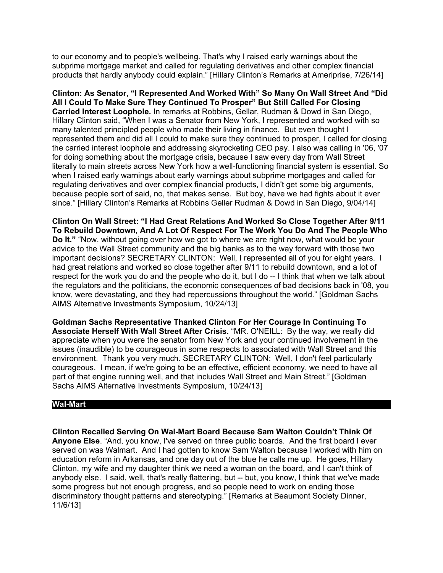to our economy and to people's wellbeing. That's why I raised early warnings about the subprime mortgage market and called for regulating derivatives and other complex financial products that hardly anybody could explain." [Hillary Clinton's Remarks at Ameriprise, 7/26/14]

**Clinton: As Senator, "I Represented And Worked With" So Many On Wall Street And "Did All I Could To Make Sure They Continued To Prosper" But Still Called For Closing Carried Interest Loophole.** In remarks at Robbins, Gellar, Rudman & Dowd in San Diego, Hillary Clinton said, "When I was a Senator from New York, I represented and worked with so many talented principled people who made their living in finance. But even thought I represented them and did all I could to make sure they continued to prosper, I called for closing the carried interest loophole and addressing skyrocketing CEO pay. I also was calling in '06, '07 for doing something about the mortgage crisis, because I saw every day from Wall Street literally to main streets across New York how a well-functioning financial system is essential. So when I raised early warnings about early warnings about subprime mortgages and called for regulating derivatives and over complex financial products, I didn't get some big arguments, because people sort of said, no, that makes sense. But boy, have we had fights about it ever since." [Hillary Clinton's Remarks at Robbins Geller Rudman & Dowd in San Diego, 9/04/14]

**Clinton On Wall Street: "I Had Great Relations And Worked So Close Together After 9/11 To Rebuild Downtown, And A Lot Of Respect For The Work You Do And The People Who Do It."** "Now, without going over how we got to where we are right now, what would be your advice to the Wall Street community and the big banks as to the way forward with those two important decisions? SECRETARY CLINTON: Well, I represented all of you for eight years. I had great relations and worked so close together after 9/11 to rebuild downtown, and a lot of respect for the work you do and the people who do it, but I do -- I think that when we talk about the regulators and the politicians, the economic consequences of bad decisions back in '08, you know, were devastating, and they had repercussions throughout the world." [Goldman Sachs AIMS Alternative Investments Symposium, 10/24/13]

**Goldman Sachs Representative Thanked Clinton For Her Courage In Continuing To Associate Herself With Wall Street After Crisis.** "MR. O'NEILL: By the way, we really did appreciate when you were the senator from New York and your continued involvement in the issues (inaudible) to be courageous in some respects to associated with Wall Street and this environment. Thank you very much. SECRETARY CLINTON: Well, I don't feel particularly courageous. I mean, if we're going to be an effective, efficient economy, we need to have all part of that engine running well, and that includes Wall Street and Main Street." [Goldman Sachs AIMS Alternative Investments Symposium, 10/24/13]

## **Wal-Mart**

**Clinton Recalled Serving On Wal-Mart Board Because Sam Walton Couldn't Think Of Anyone Else**. "And, you know, I've served on three public boards. And the first board I ever served on was Walmart. And I had gotten to know Sam Walton because I worked with him on education reform in Arkansas, and one day out of the blue he calls me up. He goes, Hillary Clinton, my wife and my daughter think we need a woman on the board, and I can't think of anybody else. I said, well, that's really flattering, but -- but, you know, I think that we've made some progress but not enough progress, and so people need to work on ending those discriminatory thought patterns and stereotyping." [Remarks at Beaumont Society Dinner, 11/6/13]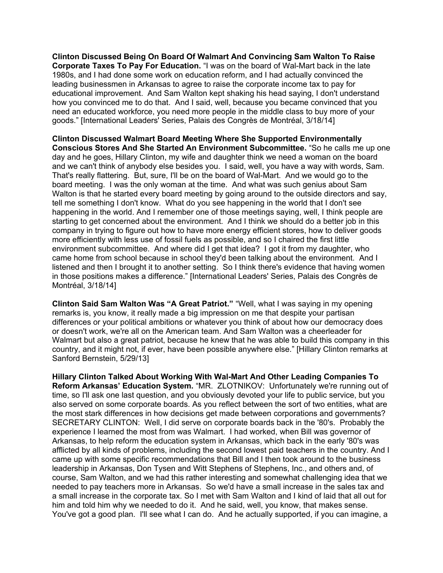**Clinton Discussed Being On Board Of Walmart And Convincing Sam Walton To Raise Corporate Taxes To Pay For Education.** "I was on the board of Wal-Mart back in the late 1980s, and I had done some work on education reform, and I had actually convinced the leading businessmen in Arkansas to agree to raise the corporate income tax to pay for educational improvement. And Sam Walton kept shaking his head saying, I don't understand how you convinced me to do that. And I said, well, because you became convinced that you need an educated workforce, you need more people in the middle class to buy more of your goods." [International Leaders' Series, Palais des Congrès de Montréal, 3/18/14]

**Clinton Discussed Walmart Board Meeting Where She Supported Environmentally Conscious Stores And She Started An Environment Subcommittee.** "So he calls me up one day and he goes, Hillary Clinton, my wife and daughter think we need a woman on the board and we can't think of anybody else besides you. I said, well, you have a way with words, Sam. That's really flattering. But, sure, I'll be on the board of Wal-Mart. And we would go to the board meeting. I was the only woman at the time. And what was such genius about Sam Walton is that he started every board meeting by going around to the outside directors and say, tell me something I don't know. What do you see happening in the world that I don't see happening in the world. And I remember one of those meetings saying, well, I think people are starting to get concerned about the environment. And I think we should do a better job in this company in trying to figure out how to have more energy efficient stores, how to deliver goods more efficiently with less use of fossil fuels as possible, and so I chaired the first little environment subcommittee. And where did I get that idea? I got it from my daughter, who came home from school because in school they'd been talking about the environment. And I listened and then I brought it to another setting. So I think there's evidence that having women in those positions makes a difference." [International Leaders' Series, Palais des Congrès de Montréal, 3/18/14]

**Clinton Said Sam Walton Was "A Great Patriot."** "Well, what I was saying in my opening remarks is, you know, it really made a big impression on me that despite your partisan differences or your political ambitions or whatever you think of about how our democracy does or doesn't work, we're all on the American team. And Sam Walton was a cheerleader for Walmart but also a great patriot, because he knew that he was able to build this company in this country, and it might not, if ever, have been possible anywhere else." [Hillary Clinton remarks at Sanford Bernstein, 5/29/13]

**Hillary Clinton Talked About Working With Wal-Mart And Other Leading Companies To Reform Arkansas' Education System.** "MR. ZLOTNIKOV: Unfortunately we're running out of time, so I'll ask one last question, and you obviously devoted your life to public service, but you also served on some corporate boards. As you reflect between the sort of two entities, what are the most stark differences in how decisions get made between corporations and governments? SECRETARY CLINTON: Well, I did serve on corporate boards back in the '80's. Probably the experience I learned the most from was Walmart. I had worked, when Bill was governor of Arkansas, to help reform the education system in Arkansas, which back in the early '80's was afflicted by all kinds of problems, including the second lowest paid teachers in the country. And I came up with some specific recommendations that Bill and I then took around to the business leadership in Arkansas, Don Tysen and Witt Stephens of Stephens, Inc., and others and, of course, Sam Walton, and we had this rather interesting and somewhat challenging idea that we needed to pay teachers more in Arkansas. So we'd have a small increase in the sales tax and a small increase in the corporate tax. So I met with Sam Walton and I kind of laid that all out for him and told him why we needed to do it. And he said, well, you know, that makes sense. You've got a good plan. I'll see what I can do. And he actually supported, if you can imagine, a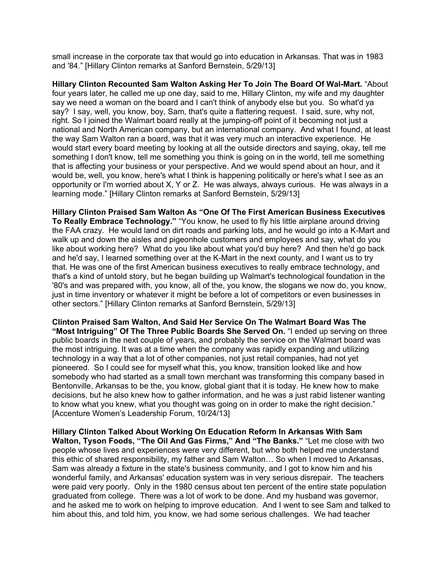small increase in the corporate tax that would go into education in Arkansas. That was in 1983 and '84." [Hillary Clinton remarks at Sanford Bernstein, 5/29/13]

**Hillary Clinton Recounted Sam Walton Asking Her To Join The Board Of Wal-Mart.** "About four years later, he called me up one day, said to me, Hillary Clinton, my wife and my daughter say we need a woman on the board and I can't think of anybody else but you. So what'd ya say? I say, well, you know, boy, Sam, that's quite a flattering request. I said, sure, why not, right. So I joined the Walmart board really at the jumping-off point of it becoming not just a national and North American company, but an international company. And what I found, at least the way Sam Walton ran a board, was that it was very much an interactive experience. He would start every board meeting by looking at all the outside directors and saying, okay, tell me something I don't know, tell me something you think is going on in the world, tell me something that is affecting your business or your perspective. And we would spend about an hour, and it would be, well, you know, here's what I think is happening politically or here's what I see as an opportunity or I'm worried about X, Y or Z. He was always, always curious. He was always in a learning mode." [Hillary Clinton remarks at Sanford Bernstein, 5/29/13]

**Hillary Clinton Praised Sam Walton As "One Of The First American Business Executives To Really Embrace Technology."** "You know, he used to fly his little airplane around driving the FAA crazy. He would land on dirt roads and parking lots, and he would go into a K-Mart and walk up and down the aisles and pigeonhole customers and employees and say, what do you like about working here? What do you like about what you'd buy here? And then he'd go back and he'd say, I learned something over at the K-Mart in the next county, and I want us to try that. He was one of the first American business executives to really embrace technology, and that's a kind of untold story, but he began building up Walmart's technological foundation in the '80's and was prepared with, you know, all of the, you know, the slogans we now do, you know, just in time inventory or whatever it might be before a lot of competitors or even businesses in other sectors." [Hillary Clinton remarks at Sanford Bernstein, 5/29/13]

**Clinton Praised Sam Walton, And Said Her Service On The Walmart Board Was The "Most Intriguing" Of The Three Public Boards She Served On.** "I ended up serving on three public boards in the next couple of years, and probably the service on the Walmart board was the most intriguing. It was at a time when the company was rapidly expanding and utilizing technology in a way that a lot of other companies, not just retail companies, had not yet pioneered. So I could see for myself what this, you know, transition looked like and how somebody who had started as a small town merchant was transforming this company based in Bentonville, Arkansas to be the, you know, global giant that it is today. He knew how to make decisions, but he also knew how to gather information, and he was a just rabid listener wanting to know what you knew, what you thought was going on in order to make the right decision." [Accenture Women's Leadership Forum, 10/24/13]

**Hillary Clinton Talked About Working On Education Reform In Arkansas With Sam Walton, Tyson Foods, "The Oil And Gas Firms," And "The Banks."** "Let me close with two people whose lives and experiences were very different, but who both helped me understand this ethic of shared responsibility, my father and Sam Walton… So when I moved to Arkansas, Sam was already a fixture in the state's business community, and I got to know him and his wonderful family, and Arkansas' education system was in very serious disrepair. The teachers were paid very poorly. Only in the 1980 census about ten percent of the entire state population graduated from college. There was a lot of work to be done. And my husband was governor, and he asked me to work on helping to improve education. And I went to see Sam and talked to him about this, and told him, you know, we had some serious challenges. We had teacher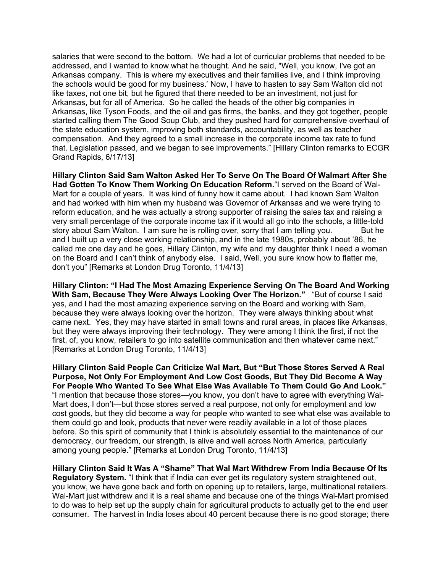salaries that were second to the bottom. We had a lot of curricular problems that needed to be addressed, and I wanted to know what he thought. And he said, "Well, you know, I've got an Arkansas company. This is where my executives and their families live, and I think improving the schools would be good for my business.' Now, I have to hasten to say Sam Walton did not like taxes, not one bit, but he figured that there needed to be an investment, not just for Arkansas, but for all of America. So he called the heads of the other big companies in Arkansas, like Tyson Foods, and the oil and gas firms, the banks, and they got together, people started calling them The Good Soup Club, and they pushed hard for comprehensive overhaul of the state education system, improving both standards, accountability, as well as teacher compensation. And they agreed to a small increase in the corporate income tax rate to fund that. Legislation passed, and we began to see improvements." [Hillary Clinton remarks to ECGR Grand Rapids, 6/17/13]

**Hillary Clinton Said Sam Walton Asked Her To Serve On The Board Of Walmart After She Had Gotten To Know Them Working On Education Reform.**"I served on the Board of Wal-Mart for a couple of years. It was kind of funny how it came about. I had known Sam Walton and had worked with him when my husband was Governor of Arkansas and we were trying to reform education, and he was actually a strong supporter of raising the sales tax and raising a very small percentage of the corporate income tax if it would all go into the schools, a little-told story about Sam Walton. I am sure he is rolling over, sorry that I am telling you. But he and I built up a very close working relationship, and in the late 1980s, probably about '86, he called me one day and he goes, Hillary Clinton, my wife and my daughter think I need a woman on the Board and I can't think of anybody else. I said, Well, you sure know how to flatter me, don't you" [Remarks at London Drug Toronto, 11/4/13]

**Hillary Clinton: "I Had The Most Amazing Experience Serving On The Board And Working With Sam, Because They Were Always Looking Over The Horizon."** "But of course I said yes, and I had the most amazing experience serving on the Board and working with Sam, because they were always looking over the horizon. They were always thinking about what came next. Yes, they may have started in small towns and rural areas, in places like Arkansas, but they were always improving their technology. They were among I think the first, if not the first, of, you know, retailers to go into satellite communication and then whatever came next." [Remarks at London Drug Toronto, 11/4/13]

**Hillary Clinton Said People Can Criticize Wal Mart, But "But Those Stores Served A Real Purpose, Not Only For Employment And Low Cost Goods, But They Did Become A Way For People Who Wanted To See What Else Was Available To Them Could Go And Look."** "I mention that because those stores—you know, you don't have to agree with everything Wal-Mart does, I don't—but those stores served a real purpose, not only for employment and low cost goods, but they did become a way for people who wanted to see what else was available to them could go and look, products that never were readily available in a lot of those places before. So this spirit of community that I think is absolutely essential to the maintenance of our democracy, our freedom, our strength, is alive and well across North America, particularly among young people." [Remarks at London Drug Toronto, 11/4/13]

**Hillary Clinton Said It Was A "Shame" That Wal Mart Withdrew From India Because Of Its Regulatory System.** "I think that if India can ever get its regulatory system straightened out, you know, we have gone back and forth on opening up to retailers, large, multinational retailers. Wal-Mart just withdrew and it is a real shame and because one of the things Wal-Mart promised to do was to help set up the supply chain for agricultural products to actually get to the end user consumer. The harvest in India loses about 40 percent because there is no good storage; there